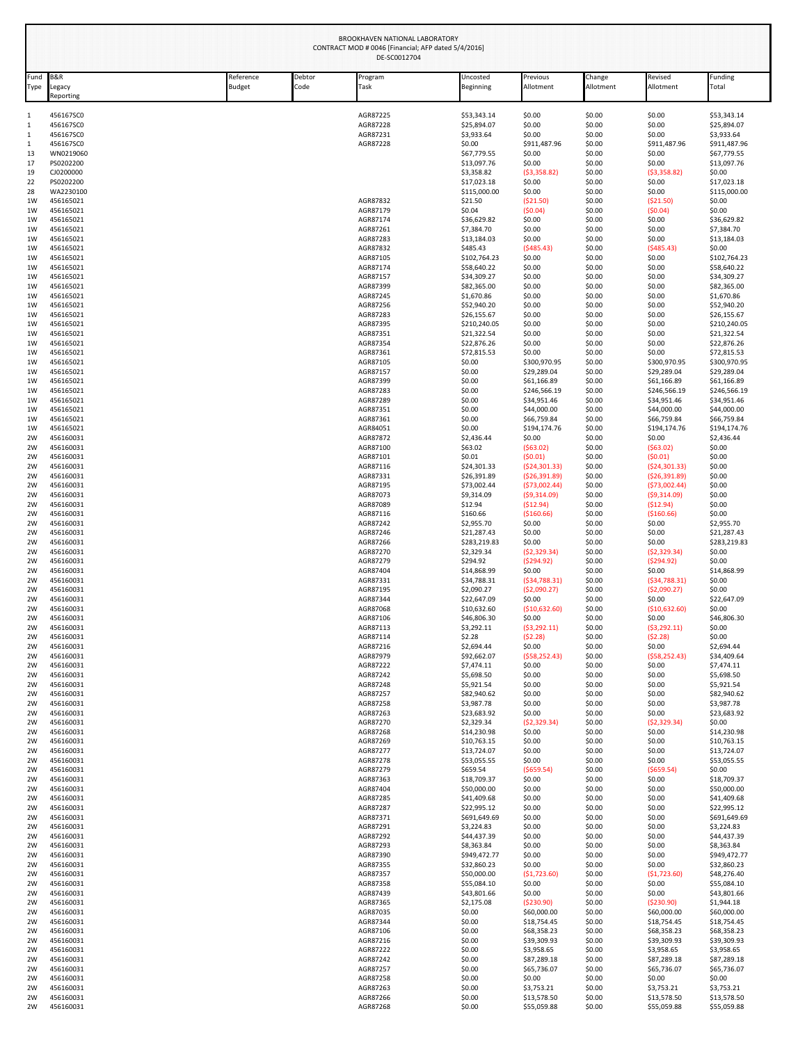| Fund              | B&R                    | Reference     | Debtor | Program              | Uncosted                    | Previous                       | Change           | Revised                        | Funding                     |
|-------------------|------------------------|---------------|--------|----------------------|-----------------------------|--------------------------------|------------------|--------------------------------|-----------------------------|
| Type              | egacy<br>Reporting     | <b>Budget</b> | Code   | Task                 | Beginning                   | Allotment                      | Allotment        | Allotment                      | Total                       |
| $\mathbf{1}$      | 456167SC0              |               |        | AGR87225             | \$53,343.14                 | \$0.00                         | \$0.00           | \$0.00                         | \$53,343.14                 |
| $\mathbf{1}$<br>1 | 456167SC0<br>456167SC0 |               |        | AGR87228<br>AGR87231 | \$25,894.07<br>\$3,933.64   | \$0.00<br>\$0.00               | \$0.00<br>\$0.00 | \$0.00<br>\$0.00               | \$25,894.07<br>\$3,933.64   |
| 1                 | 456167SC0              |               |        | AGR87228             | \$0.00                      | \$911,487.96                   | \$0.00           | \$911,487.96                   | \$911,487.96                |
| 13                | WN0219060              |               |        |                      | \$67,779.55                 | \$0.00                         | \$0.00           | \$0.00                         | \$67,779.55                 |
| 17<br>19          | PS0202200<br>CJ0200000 |               |        |                      | \$13,097.76<br>\$3,358.82   | \$0.00<br>(53,358.82)          | \$0.00<br>\$0.00 | \$0.00<br>(53,358.82)          | \$13,097.76<br>\$0.00       |
| 22                | PS0202200              |               |        |                      | \$17,023.18                 | \$0.00                         | \$0.00           | \$0.00                         | \$17,023.18                 |
| 28                | WA2230100              |               |        |                      | \$115,000.00                | \$0.00                         | \$0.00           | \$0.00                         | \$115,000.00                |
| 1W<br>1W          | 456165021<br>456165021 |               |        | AGR87832<br>AGR87179 | \$21.50<br>\$0.04           | (\$21.50)<br>(50.04)           | \$0.00<br>\$0.00 | ( \$21.50)<br>(50.04)          | \$0.00<br>\$0.00            |
| 1W                | 456165021              |               |        | AGR87174             | \$36,629.82                 | \$0.00                         | \$0.00           | \$0.00                         | \$36,629.82                 |
| 1W                | 456165021              |               |        | AGR87261             | \$7,384.70                  | \$0.00                         | \$0.00           | \$0.00                         | \$7,384.70                  |
| 1W<br>1W          | 456165021<br>456165021 |               |        | AGR87283<br>AGR87832 | \$13,184.03<br>\$485.43     | \$0.00<br>(5485.43)            | \$0.00<br>\$0.00 | \$0.00<br>(5485.43)            | \$13,184.03<br>\$0.00       |
| 1W                | 456165021              |               |        | AGR87105             | \$102,764.23                | \$0.00                         | \$0.00           | \$0.00                         | \$102,764.23                |
| 1W                | 456165021              |               |        | AGR87174             | \$58,640.22                 | \$0.00                         | \$0.00           | \$0.00                         | \$58,640.22                 |
| 1W<br>1W          | 456165021<br>456165021 |               |        | AGR87157<br>AGR87399 | \$34,309.27<br>\$82,365.00  | \$0.00<br>\$0.00               | \$0.00<br>\$0.00 | \$0.00<br>\$0.00               | \$34,309.27<br>\$82,365.00  |
| 1W                | 456165021              |               |        | AGR87245             | \$1,670.86                  | \$0.00                         | \$0.00           | \$0.00                         | \$1,670.86                  |
| 1W                | 456165021              |               |        | AGR87256             | \$52,940.20                 | \$0.00                         | \$0.00           | \$0.00                         | \$52,940.20                 |
| 1W<br>1W          | 456165021<br>456165021 |               |        | AGR87283<br>AGR87395 | \$26,155.67<br>\$210,240.05 | \$0.00<br>\$0.00               | \$0.00<br>\$0.00 | \$0.00<br>\$0.00               | \$26,155.67<br>\$210,240.05 |
| 1W                | 456165021              |               |        | AGR87351             | \$21,322.54                 | \$0.00                         | \$0.00           | \$0.00                         | \$21,322.54                 |
| 1W                | 456165021              |               |        | AGR87354             | \$22,876.26                 | \$0.00                         | \$0.00           | \$0.00                         | \$22,876.26                 |
| 1W<br>1W          | 456165021<br>456165021 |               |        | AGR87361<br>AGR87105 | \$72,815.53<br>\$0.00       | \$0.00<br>\$300,970.95         | \$0.00<br>\$0.00 | \$0.00<br>\$300,970.95         | \$72,815.53<br>\$300,970.95 |
| 1W                | 456165021              |               |        | AGR87157             | \$0.00                      | \$29,289.04                    | \$0.00           | \$29,289.04                    | \$29,289.04                 |
| 1W                | 456165021              |               |        | AGR87399             | \$0.00                      | \$61,166.89                    | \$0.00           | \$61,166.89                    | \$61,166.89                 |
| 1W<br>1W          | 456165021<br>456165021 |               |        | AGR87283<br>AGR87289 | \$0.00<br>\$0.00            | \$246,566.19<br>\$34,951.46    | \$0.00<br>\$0.00 | \$246,566.19<br>\$34,951.46    | \$246,566.19<br>\$34,951.46 |
| 1W                | 456165021              |               |        | AGR87351             | \$0.00                      | \$44,000.00                    | \$0.00           | \$44,000.00                    | \$44,000.00                 |
| 1W                | 456165021              |               |        | AGR87361             | \$0.00                      | \$66,759.84                    | \$0.00           | \$66,759.84                    | \$66,759.84                 |
| 1W<br>2W          | 456165021<br>456160031 |               |        | AGR84051<br>AGR87872 | \$0.00<br>\$2,436.44        | \$194,174.76<br>\$0.00         | \$0.00<br>\$0.00 | \$194,174.76<br>\$0.00         | \$194,174.76<br>\$2,436.44  |
| 2W                | 456160031              |               |        | AGR87100             | \$63.02                     | (563.02)                       | \$0.00           | (563.02)                       | \$0.00                      |
| 2W                | 456160031<br>456160031 |               |        | AGR87101             | \$0.01                      | (50.01)                        | \$0.00           | (50.01)                        | \$0.00<br>\$0.00            |
| 2W<br>2W          | 456160031              |               |        | AGR87116<br>AGR87331 | \$24,301.33<br>\$26,391.89  | (524, 301.33)<br>(526, 391.89) | \$0.00<br>\$0.00 | (524, 301.33)<br>(526, 391.89) | \$0.00                      |
| 2W                | 456160031              |               |        | AGR87195             | \$73,002.44                 | (573,002.44)                   | \$0.00           | (573,002.44)                   | \$0.00                      |
| 2W<br>2W          | 456160031              |               |        | AGR87073             | \$9,314.09                  | (59,314.09)                    | \$0.00           | (59,314.09)                    | \$0.00                      |
| 2W                | 456160031<br>456160031 |               |        | AGR87089<br>AGR87116 | \$12.94<br>\$160.66         | (512.94)<br>( \$160.66)        | \$0.00<br>\$0.00 | (512.94)<br>( \$160.66)        | \$0.00<br>\$0.00            |
| 2W                | 456160031              |               |        | AGR87242             | \$2,955.70                  | \$0.00                         | \$0.00           | \$0.00                         | \$2,955.70                  |
| 2W                | 456160031              |               |        | AGR87246             | \$21,287.43<br>\$283,219.83 | \$0.00                         | \$0.00           | \$0.00                         | \$21,287.43                 |
| 2W<br>2W          | 456160031<br>456160031 |               |        | AGR87266<br>AGR87270 | \$2,329.34                  | \$0.00<br>(52, 329.34)         | \$0.00<br>\$0.00 | \$0.00<br>(52, 329.34)         | \$283,219.83<br>\$0.00      |
| 2W                | 456160031              |               |        | AGR87279             | \$294.92                    | (5294.92)                      | \$0.00           | (5294.92)                      | \$0.00                      |
| 2W                | 456160031              |               |        | AGR87404             | \$14,868.99                 | \$0.00                         | \$0.00           | \$0.00                         | \$14,868.99                 |
| 2W<br>2W          | 456160031<br>456160031 |               |        | AGR87331<br>AGR87195 | \$34,788.31<br>\$2,090.27   | (534,788.31)<br>(52,090.27)    | \$0.00<br>\$0.00 | (534,788.31)<br>(52,090.27)    | \$0.00<br>\$0.00            |
| 2W                | 456160031              |               |        | AGR87344             | \$22,647.09                 | \$0.00                         | \$0.00           | \$0.00                         | \$22,647.09                 |
| 2W<br>2W          | 456160031<br>456160031 |               |        | AGR87068<br>AGR87106 | \$10,632.60<br>\$46,806.30  | (\$10,632.60)<br>\$0.00        | \$0.00<br>\$0.00 | (\$10,632.60)<br>\$0.00        | \$0.00<br>\$46,806.30       |
| 2W                | 456160031              |               |        | AGR87113             | \$3,292.11                  | (53, 292.11)                   | \$0.00           | (53, 292.11)                   | \$0.00                      |
| 2W                | 456160031              |               |        | AGR87114             | \$2.28                      | (52.28)                        | \$0.00           | (52.28)                        | \$0.00                      |
| 2W<br>2W          | 456160031<br>456160031 |               |        | AGR87216<br>AGR87979 | \$2,694.44<br>\$92,662.07   | \$0.00<br>(558, 252.43)        | \$0.00<br>\$0.00 | \$0.00<br>(558, 252.43)        | \$2,694.44<br>\$34,409.64   |
| 2W                | 456160031              |               |        | AGR87222             | \$7,474.11                  | \$0.00                         | \$0.00           | \$0.00                         | \$7,474.11                  |
| 2W                | 456160031              |               |        | AGR87242             | \$5,698.50                  | \$0.00                         | \$0.00           | \$0.00                         | \$5,698.50                  |
| 2W<br>2W          | 456160031<br>456160031 |               |        | AGR87248<br>AGR87257 | \$5,921.54<br>\$82,940.62   | \$0.00<br>\$0.00               | \$0.00<br>\$0.00 | \$0.00<br>\$0.00               | \$5,921.54<br>\$82,940.62   |
| 2W                | 456160031              |               |        | AGR87258             | \$3,987.78                  | \$0.00                         | \$0.00           | \$0.00                         | \$3,987.78                  |
| 2W                | 456160031              |               |        | AGR87263<br>AGR87270 | \$23,683.92                 | \$0.00                         | \$0.00           | \$0.00                         | \$23,683.92                 |
| 2W<br>2W          | 456160031<br>456160031 |               |        | AGR87268             | \$2,329.34<br>\$14,230.98   | (52, 329.34)<br>\$0.00         | \$0.00<br>\$0.00 | (52, 329.34)<br>\$0.00         | \$0.00<br>\$14,230.98       |
| 2W                | 456160031              |               |        | AGR87269             | \$10,763.15                 | \$0.00                         | \$0.00           | \$0.00                         | \$10,763.15                 |
| 2W<br>2W          | 456160031<br>456160031 |               |        | AGR87277             | \$13,724.07<br>\$53,055.55  | \$0.00<br>\$0.00               | \$0.00<br>\$0.00 | \$0.00<br>\$0.00               | \$13,724.07<br>\$53,055.55  |
| 2W                | 456160031              |               |        | AGR87278<br>AGR87279 | \$659.54                    | ( \$659.54)                    | \$0.00           | ( \$659.54)                    | \$0.00                      |
| 2W                | 456160031              |               |        | AGR87363             | \$18,709.37                 | \$0.00                         | \$0.00           | \$0.00                         | \$18,709.37                 |
| 2W                | 456160031              |               |        | AGR87404             | \$50,000.00                 | \$0.00                         | \$0.00           | \$0.00                         | \$50,000.00                 |
| 2W<br>2W          | 456160031<br>456160031 |               |        | AGR87285<br>AGR87287 | \$41,409.68<br>\$22,995.12  | \$0.00<br>\$0.00               | \$0.00<br>\$0.00 | \$0.00<br>\$0.00               | \$41,409.68<br>\$22,995.12  |
| 2W                | 456160031              |               |        | AGR87371             | \$691,649.69                | \$0.00                         | \$0.00           | \$0.00                         | \$691,649.69                |
| 2W<br>2W          | 456160031<br>456160031 |               |        | AGR87291<br>AGR87292 | \$3,224.83<br>\$44,437.39   | \$0.00<br>\$0.00               | \$0.00<br>\$0.00 | \$0.00<br>\$0.00               | \$3,224.83<br>\$44,437.39   |
| 2W                | 456160031              |               |        | AGR87293             | \$8,363.84                  | \$0.00                         | \$0.00           | \$0.00                         | \$8,363.84                  |
| 2W                | 456160031              |               |        | AGR87390             | \$949,472.77                | \$0.00                         | \$0.00           | \$0.00                         | \$949,472.77                |
| 2W<br>2W          | 456160031<br>456160031 |               |        | AGR87355<br>AGR87357 | \$32,860.23<br>\$50,000.00  | \$0.00<br>(51, 723.60)         | \$0.00<br>\$0.00 | \$0.00<br>(51,723.60)          | \$32,860.23<br>\$48,276.40  |
| 2W                | 456160031              |               |        | AGR87358             | \$55,084.10                 | \$0.00                         | \$0.00           | \$0.00                         | \$55,084.10                 |
| 2W                | 456160031              |               |        | AGR87439             | \$43,801.66                 | \$0.00                         | \$0.00           | \$0.00                         | \$43,801.66                 |
| 2W<br>2W          | 456160031<br>456160031 |               |        | AGR87365<br>AGR87035 | \$2,175.08<br>\$0.00        | ( \$230.90)<br>\$60,000.00     | \$0.00<br>\$0.00 | ( \$230.90)<br>\$60,000.00     | \$1,944.18<br>\$60,000.00   |
| 2W                | 456160031              |               |        | AGR87344             | \$0.00                      | \$18,754.45                    | \$0.00           | \$18,754.45                    | \$18,754.45                 |
| 2W                | 456160031              |               |        | AGR87106             | \$0.00                      | \$68,358.23                    | \$0.00           | \$68,358.23                    | \$68,358.23                 |
| 2W                | 456160031              |               |        | AGR87216             | \$0.00                      | \$39,309.93                    | \$0.00           | \$39,309.93                    | \$39,309.93                 |
| 2W<br>2W          | 456160031<br>456160031 |               |        | AGR87222<br>AGR87242 | \$0.00<br>\$0.00            | \$3,958.65<br>\$87,289.18      | \$0.00<br>\$0.00 | \$3,958.65<br>\$87,289.18      | \$3,958.65<br>\$87,289.18   |
| 2W                | 456160031              |               |        | AGR87257             | \$0.00                      | \$65,736.07                    | \$0.00           | \$65,736.07                    | \$65,736.07                 |
| 2W                | 456160031              |               |        | AGR87258             | \$0.00                      | \$0.00                         | \$0.00           | \$0.00                         | \$0.00                      |
| 2W<br>2W          | 456160031<br>456160031 |               |        | AGR87263<br>AGR87266 | \$0.00<br>\$0.00            | \$3,753.21<br>\$13,578.50      | \$0.00<br>\$0.00 | \$3,753.21<br>\$13,578.50      | \$3,753.21<br>\$13,578.50   |
| 2W                | 456160031              |               |        | AGR87268             | \$0.00                      | \$55,059.88                    | \$0.00           | \$55,059.88                    | \$55,059.88                 |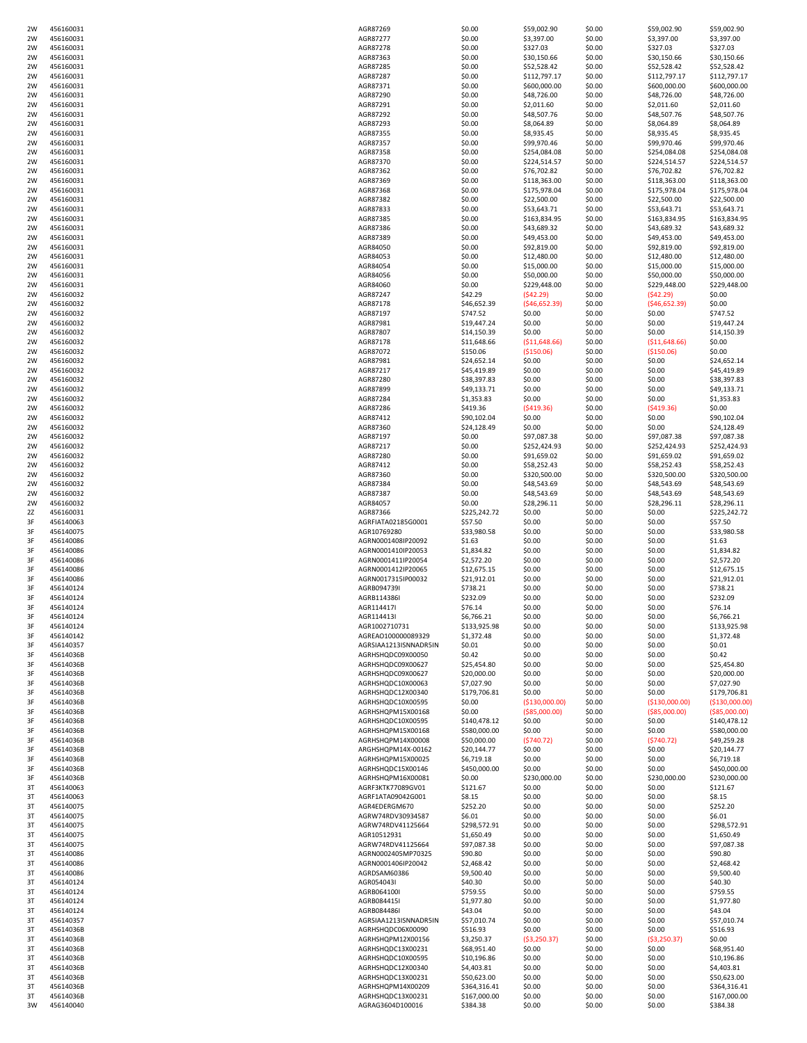| 2W | 456160031 | AGR87269              | \$0.00       | \$59,002.90    | \$0.00 | \$59,002.90     | \$59,002.90    |
|----|-----------|-----------------------|--------------|----------------|--------|-----------------|----------------|
| 2W | 456160031 | AGR87277              | \$0.00       | \$3,397.00     | \$0.00 | \$3,397.00      | \$3,397.00     |
| 2W | 456160031 | AGR87278              | \$0.00       | \$327.03       | \$0.00 | \$327.03        | \$327.03       |
| 2W | 456160031 | AGR87363              | \$0.00       | \$30,150.66    | \$0.00 | \$30,150.66     | \$30,150.66    |
| 2W | 456160031 | AGR87285              | \$0.00       | \$52,528.42    | \$0.00 | \$52,528.42     | \$52,528.42    |
| 2W | 456160031 | AGR87287              | \$0.00       | \$112,797.17   | \$0.00 | \$112,797.17    | \$112,797.17   |
| 2W | 456160031 | AGR87371              | \$0.00       |                | \$0.00 | \$600,000.00    | \$600,000.00   |
|    | 456160031 |                       |              | \$600,000.00   |        |                 |                |
| 2W |           | AGR87290              | \$0.00       | \$48,726.00    | \$0.00 | \$48,726.00     | \$48,726.00    |
| 2W | 456160031 | AGR87291              | \$0.00       | \$2,011.60     | \$0.00 | \$2,011.60      | \$2,011.60     |
| 2W | 456160031 | AGR87292              | \$0.00       | \$48,507.76    | \$0.00 | \$48,507.76     | \$48,507.76    |
| 2W | 456160031 | AGR87293              | \$0.00       | \$8,064.89     | \$0.00 | \$8,064.89      | \$8,064.89     |
| 2W | 456160031 | AGR87355              | \$0.00       | \$8,935.45     | \$0.00 | \$8,935.45      | \$8,935.45     |
| 2W | 456160031 | AGR87357              | \$0.00       | \$99,970.46    | \$0.00 | \$99,970.46     | \$99,970.46    |
| 2W | 456160031 | AGR87358              | \$0.00       | \$254,084.08   | \$0.00 | \$254,084.08    | \$254,084.08   |
| 2W | 456160031 | AGR87370              | \$0.00       | \$224,514.57   | \$0.00 | \$224,514.57    | \$224,514.57   |
| 2W | 456160031 | AGR87362              | \$0.00       | \$76,702.82    | \$0.00 | \$76,702.82     | \$76,702.82    |
| 2W | 456160031 | AGR87369              | \$0.00       | \$118,363.00   | \$0.00 | \$118,363.00    | \$118,363.00   |
| 2W | 456160031 | AGR87368              | \$0.00       | \$175,978.04   | \$0.00 | \$175,978.04    | \$175,978.04   |
|    |           |                       |              | \$22,500.00    |        |                 |                |
| 2W | 456160031 | AGR87382              | \$0.00       |                | \$0.00 | \$22,500.00     | \$22,500.00    |
| 2W | 456160031 | AGR87833              | \$0.00       | \$53,643.71    | \$0.00 | \$53,643.71     | \$53,643.71    |
| 2W | 456160031 | AGR87385              | \$0.00       | \$163,834.95   | \$0.00 | \$163,834.95    | \$163,834.95   |
| 2W | 456160031 | AGR87386              | \$0.00       | \$43,689.32    | \$0.00 | \$43,689.32     | \$43,689.32    |
| 2W | 456160031 | AGR87389              | \$0.00       | \$49,453.00    | \$0.00 | \$49,453.00     | \$49,453.00    |
| 2W | 456160031 | AGR84050              | \$0.00       | \$92,819.00    | \$0.00 | \$92,819.00     | \$92,819.00    |
| 2W | 456160031 | AGR84053              | \$0.00       | \$12,480.00    | \$0.00 | \$12,480.00     | \$12,480.00    |
| 2W | 456160031 | AGR84054              | \$0.00       | \$15,000.00    | \$0.00 | \$15,000.00     | \$15,000.00    |
| 2W | 456160031 | AGR84056              | \$0.00       | \$50,000.00    | \$0.00 | \$50,000.00     | \$50,000.00    |
| 2W | 456160031 | AGR84060              | \$0.00       | \$229,448.00   | \$0.00 | \$229,448.00    | \$229,448.00   |
| 2W | 456160032 | AGR87247              | \$42.29      | (542.29)       | \$0.00 | (542.29)        | \$0.00         |
| 2W | 456160032 | AGR87178              | \$46,652.39  | (546, 652.39)  | \$0.00 | (546, 652.39)   | \$0.00         |
| 2W | 456160032 | AGR87197              | \$747.52     | \$0.00         | \$0.00 | \$0.00          | \$747.52       |
|    | 456160032 |                       |              |                |        |                 |                |
| 2W |           | AGR87981              | \$19,447.24  | \$0.00         | \$0.00 | \$0.00          | \$19,447.24    |
| 2W | 456160032 | AGR87807              | \$14,150.39  | \$0.00         | \$0.00 | \$0.00          | \$14,150.39    |
| 2W | 456160032 | AGR87178              | \$11,648.66  | (511, 648.66)  | \$0.00 | ( \$11,648.66)  | \$0.00         |
| 2W | 456160032 | AGR87072              | \$150.06     | (\$150.06)     | \$0.00 | ( \$150.06)     | \$0.00         |
| 2W | 456160032 | AGR87981              | \$24,652.14  | \$0.00         | \$0.00 | \$0.00          | \$24,652.14    |
| 2W | 456160032 | AGR87217              | \$45,419.89  | \$0.00         | \$0.00 | \$0.00          | \$45,419.89    |
| 2W | 456160032 | AGR87280              | \$38,397.83  | \$0.00         | \$0.00 | \$0.00          | \$38,397.83    |
| 2W | 456160032 | AGR87899              | \$49,133.71  | \$0.00         | \$0.00 | \$0.00          | \$49,133.71    |
| 2W | 456160032 | AGR87284              | \$1,353.83   | \$0.00         | \$0.00 | \$0.00          | \$1,353.83     |
| 2W | 456160032 | AGR87286              | \$419.36     | (5419.36)      | \$0.00 | (5419.36)       | \$0.00         |
| 2W | 456160032 | AGR87412              | \$90,102.04  | \$0.00         | \$0.00 | \$0.00          | \$90,102.04    |
|    |           |                       |              |                |        |                 |                |
| 2W | 456160032 | AGR87360              | \$24,128.49  | \$0.00         | \$0.00 | \$0.00          | \$24,128.49    |
| 2W | 456160032 | AGR87197              | \$0.00       | \$97,087.38    | \$0.00 | \$97,087.38     | \$97,087.38    |
| 2W | 456160032 | AGR87217              | \$0.00       | \$252,424.93   | \$0.00 | \$252,424.93    | \$252,424.93   |
| 2W | 456160032 | AGR87280              | \$0.00       | \$91,659.02    | \$0.00 | \$91,659.02     | \$91,659.02    |
| 2W | 456160032 | AGR87412              | \$0.00       | \$58,252.43    | \$0.00 | \$58,252.43     | \$58,252.43    |
| 2W | 456160032 | AGR87360              | \$0.00       | \$320,500.00   | \$0.00 | \$320,500.00    | \$320,500.00   |
| 2W | 456160032 | AGR87384              | \$0.00       | \$48,543.69    | \$0.00 | \$48,543.69     | \$48,543.69    |
| 2W | 456160032 | AGR87387              | \$0.00       | \$48,543.69    | \$0.00 | \$48,543.69     | \$48,543.69    |
| 2W | 456160032 | AGR84057              | \$0.00       | \$28,296.11    | \$0.00 | \$28,296.11     | \$28,296.11    |
| 2Z | 456160031 | AGR87366              | \$225,242.72 | \$0.00         | \$0.00 | \$0.00          | \$225,242.72   |
| 3F | 456140063 | AGRFIATA02185G0001    | \$57.50      | \$0.00         | \$0.00 | \$0.00          | \$57.50        |
| 3F | 456140075 |                       | \$33,980.58  | \$0.00         | \$0.00 | \$0.00          | \$33,980.58    |
|    |           | AGR10769280           |              |                |        | \$0.00          |                |
| 3F | 456140086 | AGRN0001408IP20092    | \$1.63       | \$0.00         | \$0.00 |                 | \$1.63         |
| 3F | 456140086 | AGRN0001410IP20053    | \$1,834.82   | \$0.00         | \$0.00 | \$0.00          | \$1,834.82     |
| 3F | 456140086 | AGRN0001411IP20054    | \$2,572.20   | \$0.00         | \$0.00 | \$0.00          | \$2,572.20     |
| 3F | 456140086 | AGRN0001412IP20065    | \$12,675.15  | \$0.00         | \$0.00 | \$0.00          | \$12,675.15    |
| 3F | 456140086 | AGRN0017315IP00032    | \$21,912.01  | \$0.00         | \$0.00 | \$0.00          | \$21,912.01    |
| 3F | 456140124 | AGRB094739I           | \$738.21     | \$0.00         | \$0.00 | \$0.00          | \$738.21       |
| 3F | 456140124 | AGRB114386I           | \$232.09     | \$0.00         | \$0.00 | \$0.00          | \$232.09       |
| 3F | 456140124 | AGR114417I            | \$76.14      | \$0.00         | \$0.00 | \$0.00          | \$76.14        |
| 3F | 456140124 | AGR114413I            | \$6,766.21   | \$0.00         | \$0.00 | \$0.00          | \$6,766.21     |
| 3F | 456140124 | AGR1002710731         | \$133,925.98 | \$0.00         | \$0.00 | \$0.00          | \$133,925.98   |
| 3F | 456140142 | AGREAO100000089329    | \$1,372.48   | \$0.00         | \$0.00 | \$0.00          | \$1,372.48     |
| 3F | 456140357 | AGRSIAA1213ISNNADR5IN | \$0.01       | \$0.00         | \$0.00 | \$0.00          | \$0.01         |
| 3F | 45614036B | AGRHSHQDC09X00050     | \$0.42       | \$0.00         | \$0.00 | \$0.00          | \$0.42         |
| 3F | 45614036B | AGRHSHQDC09X00627     | \$25,454.80  | \$0.00         | \$0.00 | \$0.00          | \$25,454.80    |
|    |           |                       |              |                |        |                 |                |
| 3F | 45614036B | AGRHSHQDC09X00627     | \$20,000.00  | \$0.00         | \$0.00 | \$0.00          | \$20,000.00    |
| 3F | 45614036B | AGRHSHQDC10X00063     | \$7,027.90   | \$0.00         | \$0.00 | \$0.00          | \$7,027.90     |
| 3F | 45614036B | AGRHSHQDC12X00340     | \$179,706.81 | \$0.00         | \$0.00 | \$0.00          | \$179,706.81   |
| 3F | 45614036B | AGRHSHQDC10X00595     | \$0.00       | (\$130,000.00) | \$0.00 | ( \$130,000.00] | (\$130,000.00] |
| 3F | 45614036B | AGRHSHQPM15X00168     | \$0.00       | ( \$85,000.00) | \$0.00 | ( \$85,000.00)  | ( \$85,000.00) |
| 3F | 45614036B | AGRHSHQDC10X00595     | \$140,478.12 | \$0.00         | \$0.00 | \$0.00          | \$140,478.12   |
| 3F | 45614036B | AGRHSHQPM15X00168     | \$580,000.00 | \$0.00         | \$0.00 | \$0.00          | \$580,000.00   |
| 3F | 45614036B | AGRHSHQPM14X00008     | \$50,000.00  | (5740.72)      | \$0.00 | (5740.72)       | \$49,259.28    |
| 3F | 45614036B | ARGHSHQPM14X-00162    | \$20,144.77  | \$0.00         | \$0.00 | \$0.00          | \$20,144.77    |
| 3F | 45614036B | AGRHSHQPM15X00025     | \$6,719.18   | \$0.00         | \$0.00 | \$0.00          | \$6,719.18     |
| 3F | 45614036B | AGRHSHQDC15X00146     | \$450,000.00 | \$0.00         | \$0.00 | \$0.00          | \$450,000.00   |
| 3F | 45614036B | AGRHSHQPM16X00081     | \$0.00       | \$230,000.00   | \$0.00 | \$230,000.00    | \$230,000.00   |
| 3T | 456140063 | AGRF3KTK77089GV01     | \$121.67     | \$0.00         | \$0.00 | \$0.00          | \$121.67       |
| 3T | 456140063 | AGRF1ATA09042G001     | \$8.15       | \$0.00         | \$0.00 | \$0.00          | \$8.15         |
| 3T | 456140075 | AGR4EDERGM670         | \$252.20     | \$0.00         | \$0.00 | \$0.00          | \$252.20       |
| 3T | 456140075 | AGRW74RDV30934587     | \$6.01       | \$0.00         | \$0.00 | \$0.00          | \$6.01         |
|    |           |                       |              |                |        |                 |                |
| 3T | 456140075 | AGRW74RDV41125664     | \$298,572.91 | \$0.00         | \$0.00 | \$0.00          | \$298,572.91   |
| 3T | 456140075 | AGR10512931           | \$1,650.49   | \$0.00         | \$0.00 | \$0.00          | \$1,650.49     |
| 3T | 456140075 | AGRW74RDV41125664     | \$97,087.38  | \$0.00         | \$0.00 | \$0.00          | \$97,087.38    |
| 3T | 456140086 | AGRN0002405MP70325    | \$90.80      | \$0.00         | \$0.00 | \$0.00          | \$90.80        |
| 3T | 456140086 | AGRN0001406IP20042    | \$2,468.42   | \$0.00         | \$0.00 | \$0.00          | \$2,468.42     |
| 3T | 456140086 | AGRDSAM60386          | \$9,500.40   | \$0.00         | \$0.00 | \$0.00          | \$9,500.40     |
| 3T | 456140124 | AGR054043I            | \$40.30      | \$0.00         | \$0.00 | \$0.00          | \$40.30        |
| 3T | 456140124 | AGRB064100I           | \$759.55     | \$0.00         | \$0.00 | \$0.00          | \$759.55       |
| 3T | 456140124 | AGRB084415I           | \$1,977.80   | \$0.00         | \$0.00 | \$0.00          | \$1,977.80     |
| 3T | 456140124 | AGRB084486I           | \$43.04      | \$0.00         | \$0.00 | \$0.00          | \$43.04        |
| 3T | 456140357 | AGRSIAA1213ISNNADR5IN | \$57,010.74  | \$0.00         | \$0.00 | \$0.00          | \$57,010.74    |
|    |           |                       |              |                |        |                 | \$516.93       |
| 3T | 45614036B | AGRHSHQDC06X00090     | \$516.93     | \$0.00         | \$0.00 | \$0.00          |                |
| 3T | 45614036B | AGRHSHQPM12X00156     | \$3,250.37   | ( \$3,250.37)  | \$0.00 | ( \$3,250.37)   | \$0.00         |
| 3T | 45614036B | AGRHSHQDC13X00231     | \$68,951.40  | \$0.00         | \$0.00 | \$0.00          | \$68,951.40    |
| 3T |           | AGRHSHQDC10X00595     | \$10,196.86  | \$0.00         | \$0.00 | \$0.00          | \$10,196.86    |
|    | 45614036B |                       |              |                |        |                 |                |
| 3T | 45614036B | AGRHSHQDC12X00340     | \$4,403.81   | \$0.00         | \$0.00 | \$0.00          | \$4,403.81     |
| 3T | 45614036B | AGRHSHQDC13X00231     | \$50,623.00  | \$0.00         | \$0.00 | \$0.00          | \$50,623.00    |
| 3T | 45614036B | AGRHSHQPM14X00209     | \$364,316.41 | \$0.00         | \$0.00 | \$0.00          | \$364,316.41   |
| 3T | 45614036B | AGRHSHQDC13X00231     | \$167,000.00 | \$0.00         | \$0.00 | \$0.00          | \$167,000.00   |
| 3W | 456140040 | AGRAG3604D100016      | \$384.38     | \$0.00         | \$0.00 | \$0.00          | \$384.38       |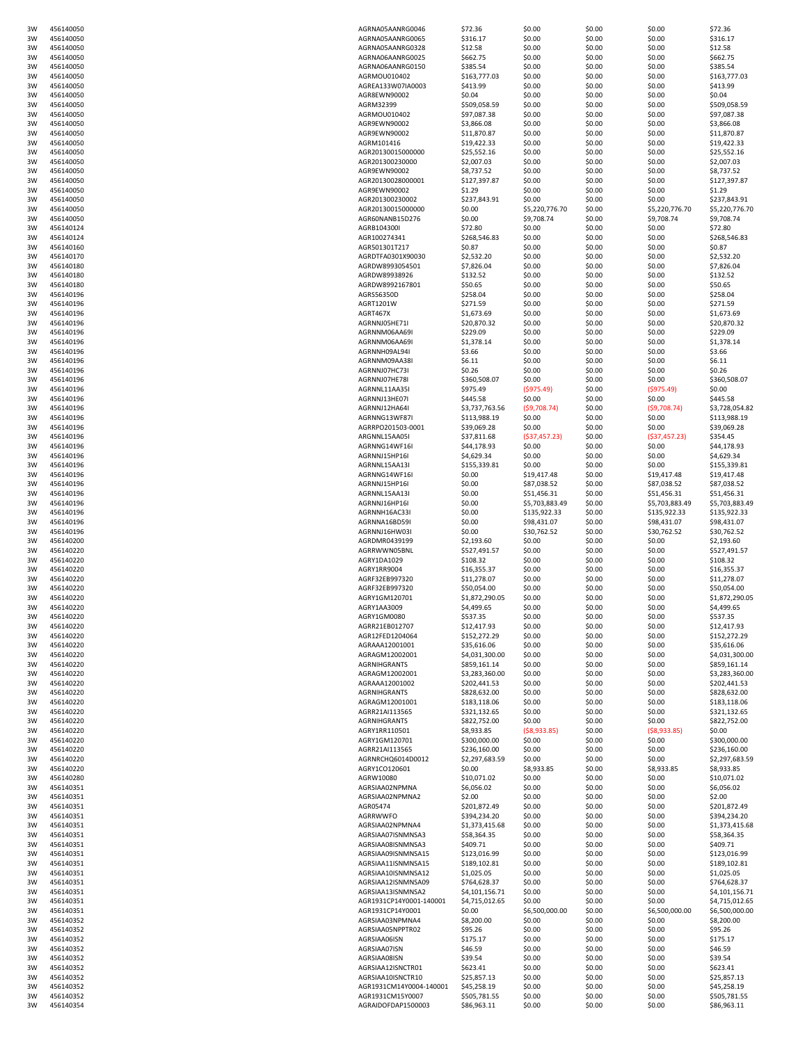| 3W | 456140050              | AGRNA05AANRG0046              | \$72.36                | \$0.00         | \$0.00 | \$0.00         | \$72.36                |
|----|------------------------|-------------------------------|------------------------|----------------|--------|----------------|------------------------|
| 3W | 456140050              | AGRNA05AANRG0065              | \$316.17               | \$0.00         | \$0.00 | \$0.00         | \$316.17               |
| 3W | 456140050              | AGRNA05AANRG0328              | \$12.58                | \$0.00         | \$0.00 | \$0.00         | \$12.58                |
| 3W | 456140050              | AGRNA06AANRG0025              | \$662.75               | \$0.00         | \$0.00 | \$0.00         | \$662.75               |
| 3W | 456140050              | AGRNA06AANRG0150              | \$385.54               | \$0.00         | \$0.00 | \$0.00         | \$385.54               |
| 3W | 456140050              | AGRMOU010402                  | \$163,777.03           | \$0.00         | \$0.00 | \$0.00         | \$163,777.03           |
| 3W | 456140050              | AGREA133W07IA0003             | \$413.99               | \$0.00         | \$0.00 | \$0.00         | \$413.99               |
| 3W | 456140050              | AGR8EWN90002                  | \$0.04                 | \$0.00         | \$0.00 | \$0.00         | \$0.04                 |
| 3W | 456140050              | AGRM32399                     | \$509,058.59           | \$0.00         | \$0.00 | \$0.00         | \$509,058.59           |
| 3W | 456140050              | AGRMOU010402                  | \$97,087.38            | \$0.00         | \$0.00 | \$0.00         | \$97,087.38            |
| 3W | 456140050              | AGR9EWN90002                  | \$3,866.08             | \$0.00         | \$0.00 | \$0.00         | \$3,866.08             |
| 3W | 456140050              | AGR9EWN90002                  | \$11,870.87            | \$0.00         | \$0.00 | \$0.00         | \$11,870.87            |
| 3W | 456140050              | AGRM101416                    | \$19,422.33            | \$0.00         | \$0.00 | \$0.00         | \$19,422.33            |
| 3W | 456140050              | AGR20130015000000             | \$25,552.16            | \$0.00         | \$0.00 | \$0.00         | \$25,552.16            |
| 3W | 456140050              | AGR201300230000               | \$2,007.03             | \$0.00         | \$0.00 | \$0.00         | \$2,007.03             |
| 3W | 456140050              | AGR9EWN90002                  | \$8,737.52             | \$0.00         | \$0.00 | \$0.00         | \$8,737.52             |
| 3W | 456140050              | AGR20130028000001             | \$127,397.87           | \$0.00         | \$0.00 | \$0.00         | \$127,397.87           |
| 3W | 456140050              | AGR9EWN90002                  | \$1.29                 | \$0.00         | \$0.00 | \$0.00         | \$1.29                 |
| 3W | 456140050              | AGR201300230002               | \$237,843.91           | \$0.00         | \$0.00 | \$0.00         | \$237,843.91           |
| 3W | 456140050              | AGR20130015000000             | \$0.00                 | \$5,220,776.70 | \$0.00 | \$5,220,776.70 | \$5,220,776.70         |
| 3W | 456140050              | AGR60NANB15D276               | \$0.00                 | \$9,708.74     | \$0.00 | \$9,708.74     | \$9,708.74             |
| 3W | 456140124              | AGRB104300I                   | \$72.80                | \$0.00         | \$0.00 | \$0.00         | \$72.80                |
| 3W |                        |                               |                        |                |        |                |                        |
|    | 456140124<br>456140160 | AGR100274341<br>AGR501301T217 | \$268,546.83<br>\$0.87 | \$0.00         | \$0.00 | \$0.00         | \$268,546.83<br>\$0.87 |
| 3W |                        |                               |                        | \$0.00         | \$0.00 | \$0.00         |                        |
| 3W | 456140170              | AGRDTFA0301X90030             | \$2,532.20             | \$0.00         | \$0.00 | \$0.00         | \$2,532.20             |
| 3W | 456140180              | AGRDW8993054501               | \$7,826.04             | \$0.00         | \$0.00 | \$0.00         | \$7,826.04             |
| 3W | 456140180              | AGRDW89938926                 | \$132.52               | \$0.00         | \$0.00 | \$0.00         | \$132.52               |
| 3W | 456140180              | AGRDW8992167801               | \$50.65                | \$0.00         | \$0.00 | \$0.00         | \$50.65                |
| 3W | 456140196              | AGRS56350D                    | \$258.04               | \$0.00         | \$0.00 | \$0.00         | \$258.04               |
| 3W | 456140196              | AGRT1201W                     | \$271.59               | \$0.00         | \$0.00 | \$0.00         | \$271.59               |
| 3W | 456140196              | AGRT467X                      | \$1,673.69             | \$0.00         | \$0.00 | \$0.00         | \$1,673.69             |
| 3W | 456140196              | AGRNNJ05HE71I                 | \$20,870.32            | \$0.00         | \$0.00 | \$0.00         | \$20,870.32            |
| 3W | 456140196              | AGRNNM06AA69I                 | \$229.09               | \$0.00         | \$0.00 | \$0.00         | \$229.09               |
| 3W | 456140196              | AGRNNM06AA69I                 | \$1,378.14             | \$0.00         | \$0.00 | \$0.00         | \$1,378.14             |
| 3W | 456140196              | AGRNNH09AL94I                 | \$3.66                 | \$0.00         | \$0.00 | \$0.00         | \$3.66                 |
| 3W | 456140196              | AGRNNM09AA38I                 | \$6.11                 | \$0.00         | \$0.00 | \$0.00         | \$6.11                 |
| 3W | 456140196              | AGRNNJ07HC73I                 | \$0.26                 | \$0.00         | \$0.00 | \$0.00         | \$0.26                 |
| 3W | 456140196              | AGRNNJ07HE78I                 | \$360,508.07           | \$0.00         | \$0.00 | \$0.00         | \$360,508.07           |
| 3W | 456140196              | AGRNNL11AA35                  | \$975.49               | (\$975.49)     | \$0.00 | (\$975.49)     | \$0.00                 |
| 3W | 456140196              | AGRNNJ13HE07I                 | \$445.58               | \$0.00         | \$0.00 | \$0.00         | \$445.58               |
| 3W | 456140196              | AGRNNJ12HA64I                 | \$3,737,763.56         | (59,708.74)    | \$0.00 | (59,708.74)    | \$3,728,054.82         |
| 3W | 456140196              | AGRNNG13WF87I                 | \$113,988.19           | \$0.00         | \$0.00 | \$0.00         | \$113,988.19           |
| 3W | 456140196              | AGRRPO201503-0001             | \$39,069.28            | \$0.00         | \$0.00 | \$0.00         | \$39,069.28            |
| 3W | 456140196              | ARGNNL15AA05                  | \$37,811.68            | (537, 457.23)  | \$0.00 | (537, 457.23)  | \$354.45               |
| 3W | 456140196              | AGRNNG14WF16I                 | \$44,178.93            | \$0.00         | \$0.00 | \$0.00         | \$44,178.93            |
| 3W | 456140196              | AGRNNJ15HP16I                 | \$4,629.34             | \$0.00         | \$0.00 | \$0.00         | \$4,629.34             |
|    |                        |                               |                        |                |        |                |                        |
| 3W | 456140196              | AGRNNL15AA13I                 | \$155,339.81           | \$0.00         | \$0.00 | \$0.00         | \$155,339.81           |
| 3W | 456140196              | AGRNNG14WF16I                 | \$0.00                 | \$19,417.48    | \$0.00 | \$19,417.48    | \$19,417.48            |
| 3W | 456140196              | AGRNNJ15HP16I                 | \$0.00                 | \$87,038.52    | \$0.00 | \$87,038.52    | \$87,038.52            |
| 3W | 456140196              | AGRNNL15AA13I                 | \$0.00                 | \$51,456.31    | \$0.00 | \$51,456.31    | \$51,456.31            |
| 3W | 456140196              | AGRNNJ16HP16I                 | \$0.00                 | \$5,703,883.49 | \$0.00 | \$5,703,883.49 | \$5,703,883.49         |
| 3W | 456140196              | AGRNNH16AC33I                 | \$0.00                 | \$135,922.33   | \$0.00 | \$135,922.33   | \$135,922.33           |
| 3W | 456140196              | AGRNNA16BD59I                 | \$0.00                 | \$98,431.07    | \$0.00 | \$98,431.07    | \$98,431.07            |
| 3W | 456140196              | AGRNNJ16HW03I                 | \$0.00                 | \$30,762.52    | \$0.00 | \$30,762.52    | \$30,762.52            |
| 3W | 456140200              | AGRDMR0439199                 | \$2,193.60             | \$0.00         | \$0.00 | \$0.00         | \$2,193.60             |
| 3W | 456140220              | AGRRWWN05BNL                  | \$527,491.57           | \$0.00         | \$0.00 | \$0.00         | \$527,491.57           |
| 3W | 456140220              | AGRY1DA1029                   | \$108.32               | \$0.00         | \$0.00 | \$0.00         | \$108.32               |
| 3W | 456140220              | AGRY1RR9004                   | \$16,355.37            | \$0.00         | \$0.00 | \$0.00         | \$16,355.37            |
| 3W | 456140220              | AGRF32EB997320                | \$11,278.07            | \$0.00         | \$0.00 | \$0.00         | \$11,278.07            |
| 3W | 456140220              | AGRF32EB997320                | \$50,054.00            | \$0.00         | \$0.00 | \$0.00         | \$50,054.00            |
| 3W | 456140220              | AGRY1GM120701                 | \$1,872,290.05         | \$0.00         | \$0.00 | \$0.00         | \$1,872,290.05         |
| 3W | 456140220              | AGRY1AA3009                   | \$4,499.65             | \$0.00         | \$0.00 | \$0.00         | \$4,499.65             |
| 3W | 456140220              | AGRY1GM0080                   | \$537.35               | \$0.00         | \$0.00 | \$0.00         | \$537.35               |
| 3W | 456140220              | AGRR21EB012707                | \$12,417.93            | \$0.00         | \$0.00 | \$0.00         | \$12,417.93            |
| 3W | 456140220              | AGR12FED1204064               | \$152,272.29           | \$0.00         | \$0.00 | \$0.00         | \$152,272.29           |
| 3W | 456140220              | AGRAAA12001001                | \$35,616.06            | \$0.00         | \$0.00 | \$0.00         | \$35,616.06            |
| 3W | 456140220              | AGRAGM12002001                | \$4,031,300.00         | \$0.00         | \$0.00 | \$0.00         | \$4,031,300.00         |
| 3W | 456140220              | AGRNIHGRANTS                  | \$859,161.14           | \$0.00         | \$0.00 | \$0.00         | \$859,161.14           |
| 3W | 456140220              | AGRAGM12002001                | \$3,283,360.00         | \$0.00         | \$0.00 | \$0.00         | \$3,283,360.00         |
| 3W | 456140220              | AGRAAA12001002                | \$202,441.53           | \$0.00         | \$0.00 | \$0.00         | \$202,441.53           |
| 3W | 456140220              | AGRNIHGRANTS                  | \$828,632.00           | \$0.00         | \$0.00 | \$0.00         | \$828,632.00           |
| 3W | 456140220              | AGRAGM12001001                | \$183,118.06           | \$0.00         | \$0.00 | \$0.00         | \$183,118.06           |
| 3W | 456140220              | AGRR21AI113565                | \$321,132.65           | \$0.00         | \$0.00 | \$0.00         | \$321,132.65           |
| 3W | 456140220              | <b>AGRNIHGRANTS</b>           | \$822,752.00           | \$0.00         | \$0.00 | \$0.00         | \$822,752.00           |
| 3W | 456140220              | AGRY1RR110501                 | \$8,933.85             | (58,933.85)    | \$0.00 | ( \$8,933.85)  | \$0.00                 |
| 3W | 456140220              | AGRY1GM120701                 | \$300,000.00           | \$0.00         | \$0.00 | \$0.00         | \$300,000.00           |
| 3W | 456140220              | AGRR21AI113565                | \$236,160.00           | \$0.00         | \$0.00 | \$0.00         | \$236,160.00           |
| 3W | 456140220              | AGRNRCHQ6014D0012             | \$2,297,683.59         | \$0.00         | \$0.00 | \$0.00         | \$2,297,683.59         |
| 3W | 456140220              | AGRY1CO120601                 | \$0.00                 | \$8,933.85     | \$0.00 | \$8,933.85     | \$8,933.85             |
| 3W | 456140280              | AGRW10080                     | \$10,071.02            | \$0.00         | \$0.00 | \$0.00         | \$10,071.02            |
| 3W | 456140351              | AGRSIAA02NPMNA                | \$6,056.02             | \$0.00         | \$0.00 | \$0.00         | \$6,056.02             |
| 3W | 456140351              | AGRSIAA02NPMNA2               | \$2.00                 | \$0.00         | \$0.00 | \$0.00         | \$2.00                 |
| 3W | 456140351              | AGR05474                      |                        | \$0.00         | \$0.00 | \$0.00         | \$201,872.49           |
|    |                        | <b>AGRRWWFO</b>               | \$201,872.49           |                |        |                |                        |
| 3W | 456140351              |                               | \$394,234.20           | \$0.00         | \$0.00 | \$0.00         | \$394,234.20           |
| 3W | 456140351              | AGRSIAA02NPMNA4               | \$1,373,415.68         | \$0.00         | \$0.00 | \$0.00         | \$1,373,415.68         |
| 3W | 456140351              | AGRSIAA07ISNMNSA3             | \$58,364.35            | \$0.00         | \$0.00 | \$0.00         | \$58,364.35            |
| 3W | 456140351              | AGRSIAA08ISNMNSA3             | \$409.71               | \$0.00         | \$0.00 | \$0.00         | \$409.71               |
| 3W | 456140351              | AGRSIAA09ISNMNSA15            | \$123,016.99           | \$0.00         | \$0.00 | \$0.00         | \$123,016.99           |
| 3W | 456140351              | AGRSIAA11ISNMNSA15            | \$189,102.81           | \$0.00         | \$0.00 | \$0.00         | \$189,102.81           |
| 3W | 456140351              | AGRSIAA10ISNMNSA12            | \$1,025.05             | \$0.00         | \$0.00 | \$0.00         | \$1,025.05             |
| 3W | 456140351              | AGRSIAA12ISNMNSA09            | \$764,628.37           | \$0.00         | \$0.00 | \$0.00         | \$764,628.37           |
| 3W | 456140351              | AGRSIAA13ISNMNSA2             | \$4,101,156.71         | \$0.00         | \$0.00 | \$0.00         | \$4,101,156.71         |
| 3W | 456140351              | AGR1931CP14Y0001-140001       | \$4,715,012.65         | \$0.00         | \$0.00 | \$0.00         | \$4,715,012.65         |
| 3W | 456140351              | AGR1931CP14Y0001              | \$0.00                 | \$6,500,000.00 | \$0.00 | \$6,500,000.00 | \$6,500,000.00         |
| 3W | 456140352              | AGRSIAA03NPMNA4               | \$8,200.00             | \$0.00         | \$0.00 | \$0.00         | \$8,200.00             |
| 3W | 456140352              | AGRSIAA05NPPTR02              | \$95.26                | \$0.00         | \$0.00 | \$0.00         | \$95.26                |
| 3W | 456140352              | AGRSIAA06ISN                  | \$175.17               | \$0.00         | \$0.00 | \$0.00         | \$175.17               |
| 3W | 456140352              | AGRSIAA07ISN                  | \$46.59                | \$0.00         | \$0.00 | \$0.00         | \$46.59                |
| 3W | 456140352              | AGRSIAA08ISN                  | \$39.54                | \$0.00         | \$0.00 | \$0.00         | \$39.54                |
| 3W | 456140352              | AGRSIAA12ISNCTR01             | \$623.41               | \$0.00         | \$0.00 | \$0.00         | \$623.41               |
| 3W | 456140352              | AGRSIAA10ISNCTR10             | \$25,857.13            | \$0.00         | \$0.00 | \$0.00         | \$25,857.13            |
| 3W | 456140352              | AGR1931CM14Y0004-140001       | \$45,258.19            | \$0.00         | \$0.00 | \$0.00         | \$45,258.19            |
|    |                        |                               |                        |                |        |                |                        |
| 3W | 456140352              | AGR1931CM15Y0007              | \$505,781.55           | \$0.00         | \$0.00 | \$0.00         | \$505,781.55           |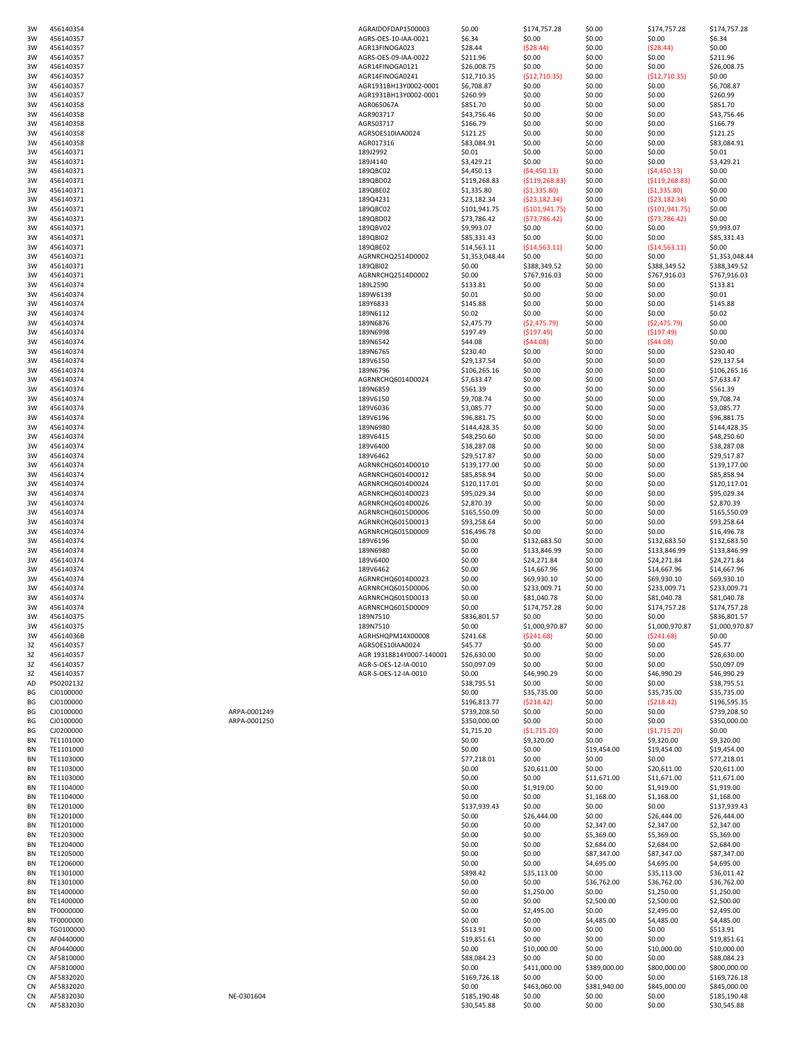| 3W        | 456140354 |              | AGRAIDOFDAP1500003       | \$0.00                      | \$174,757.28     | \$0.00           | \$174,757.28     | \$174,757.28                |
|-----------|-----------|--------------|--------------------------|-----------------------------|------------------|------------------|------------------|-----------------------------|
| 3W        | 456140357 |              | AGRS-OES-10-IAA-0021     | \$6.34                      | \$0.00           | \$0.00           | \$0.00           | \$6.34                      |
| 3W        | 456140357 |              | AGR13FINOGA023           | \$28.44                     | (528.44)         | \$0.00           | (528.44)         | \$0.00                      |
| 3W        | 456140357 |              | AGRS-OES-09-IAA-0022     | \$211.96                    | \$0.00           | \$0.00           | \$0.00           | \$211.96                    |
| 3W        | 456140357 |              | AGR14FINOGA0121          | \$26,008.75                 | \$0.00           | \$0.00           | \$0.00           | \$26,008.75                 |
| 3W        | 456140357 |              | AGR14FINOGA0241          | \$12,710.35                 | (512, 710.35)    | \$0.00           | (512, 710.35)    | \$0.00                      |
| 3W        | 456140357 |              | AGR1931BH13Y0002-0001    | \$6,708.87                  | \$0.00           | \$0.00           | \$0.00           | \$6,708.87                  |
| 3W        | 456140357 |              | AGR1931BH13Y0002-0001    | \$260.99                    | \$0.00           | \$0.00           | \$0.00           | \$260.99                    |
| 3W        | 456140358 |              | AGR065067A               | \$851.70                    | \$0.00           | \$0.00           | \$0.00           | \$851.70                    |
| 3W        | 456140358 |              | AGR903717                | \$43,756.46                 | \$0.00           | \$0.00           | \$0.00           | \$43,756.46                 |
| 3W        | 456140358 |              | AGRS03717                | \$166.79                    | \$0.00           | \$0.00           | \$0.00           | \$166.79                    |
|           |           |              | AGRSOES10IAA0024         | \$121.25                    | \$0.00           | \$0.00           | \$0.00           | \$121.25                    |
| 3W        | 456140358 |              |                          |                             |                  |                  |                  |                             |
| 3W        | 456140358 |              | AGR017316                | \$83,084.91                 | \$0.00           | \$0.00           | \$0.00           | \$83,084.91                 |
| 3W        | 456140371 |              | 189J2992                 | \$0.01                      | \$0.00           | \$0.00           | \$0.00           | \$0.01                      |
| 3W        | 456140371 |              | 189J4140                 | \$3,429.21                  | \$0.00           | \$0.00           | \$0.00           | \$3,429.21                  |
| 3W        | 456140371 |              | 189QBC02                 | \$4,450.13                  | (54, 450.13)     | \$0.00           | (54, 450.13)     | \$0.00                      |
| 3W        | 456140371 |              | 189QBD02                 | \$119,268.83                | (5119, 268.83)   | \$0.00           | (5119, 268.83)   | \$0.00                      |
| 3W        | 456140371 |              | 189QBE02                 | \$1,335.80                  | (51, 335.80)     | \$0.00           | (51,335.80)      | \$0.00                      |
| 3W        | 456140371 |              | 189Q4231                 | \$23,182.34                 | (523, 182.34)    | \$0.00           | (523, 182.34)    | \$0.00                      |
| 3W        | 456140371 |              | 189QBC02                 | \$101,941.75                | ( \$101, 941.75) | \$0.00           | ( \$101, 941.75) | \$0.00                      |
| 3W        | 456140371 |              | 189QBD02                 | \$73,786.42                 | (573, 786.42)    | \$0.00           | (573, 786.42)    | \$0.00                      |
| 3W        | 456140371 |              | 189QBV02                 | \$9,993.07                  | \$0.00           | \$0.00           | \$0.00           | \$9,993.07                  |
| 3W        | 456140371 |              | 189QBI02                 | \$85,331.43                 | \$0.00           | \$0.00           | \$0.00           | \$85,331.43                 |
| 3W        | 456140371 |              | 189QBE02                 | \$14,563.11                 | (514, 563.11)    | \$0.00           | ( \$14, 563.11)  | \$0.00                      |
| 3W        | 456140371 |              | AGRNRCHQ2514D0002        | \$1,353,048.44              | \$0.00           | \$0.00           | \$0.00           | \$1,353,048.44              |
| 3W        | 456140371 |              | 189QBI02                 | \$0.00                      | \$388,349.52     | \$0.00           | \$388,349.52     | \$388,349.52                |
|           |           |              |                          |                             |                  |                  |                  |                             |
| 3W        | 456140371 |              | AGRNRCHQ2514D0002        | \$0.00                      | \$767,916.03     | \$0.00           | \$767,916.03     | \$767,916.03                |
| 3W        | 456140374 |              | 189L2590                 | \$133.81                    | \$0.00           | \$0.00           | \$0.00           | \$133.81                    |
| 3W        | 456140374 |              | 189W6139                 | \$0.01                      | \$0.00           | \$0.00           | \$0.00           | \$0.01                      |
| 3W        | 456140374 |              | 189Y6833                 | \$145.88                    | \$0.00           | \$0.00           | \$0.00           | \$145.88                    |
| 3W        | 456140374 |              | 189N6112                 | \$0.02                      | \$0.00           | \$0.00           | \$0.00           | \$0.02                      |
| 3W        | 456140374 |              | 189N6876                 | \$2,475.79                  | (52, 475.79)     | \$0.00           | (52, 475.79)     | \$0.00                      |
| 3W        | 456140374 |              | 189N6998                 | \$197.49                    | (5197.49)        | \$0.00           | (5197.49)        | \$0.00                      |
| 3W        | 456140374 |              | 189N6542                 | \$44.08                     | (544.08)         | \$0.00           | (544.08)         | \$0.00                      |
| 3W        | 456140374 |              | 189N6765                 | \$230.40                    | \$0.00           | \$0.00           | \$0.00           | \$230.40                    |
| 3W        | 456140374 |              | 189V6150                 | \$29,137.54                 | \$0.00           | \$0.00           | \$0.00           | \$29,137.54                 |
| 3W        | 456140374 |              | 189N6796                 | \$106,265.16                | \$0.00           | \$0.00           | \$0.00           | \$106,265.16                |
| 3W        | 456140374 |              | AGRNRCHQ6014D0024        | \$7,633.47                  | \$0.00           | \$0.00           | \$0.00           | \$7,633.47                  |
| 3W        | 456140374 |              | 189N6859                 | \$561.39                    | \$0.00           | \$0.00           | \$0.00           | \$561.39                    |
| 3W        | 456140374 |              | 189V6150                 | \$9,708.74                  | \$0.00           | \$0.00           | \$0.00           | \$9,708.74                  |
|           |           |              |                          |                             |                  |                  |                  |                             |
| 3W        | 456140374 |              | 189V6036                 | \$3,085.77                  | \$0.00           | \$0.00           | \$0.00           | \$3,085.77                  |
| 3W        | 456140374 |              | 189V6196                 | \$96,881.75                 | \$0.00           | \$0.00           | \$0.00           | \$96,881.75                 |
| 3W        | 456140374 |              | 189N6980                 | \$144,428.35                | \$0.00           | \$0.00           | \$0.00           | \$144,428.35                |
| 3W        | 456140374 |              | 189V6415                 | \$48,250.60                 | \$0.00           | \$0.00           | \$0.00           | \$48,250.60                 |
| 3W        | 456140374 |              | 189V6400                 | \$38,287.08                 | \$0.00           | \$0.00           | \$0.00           | \$38,287.08                 |
| 3W        | 456140374 |              | 189V6462                 | \$29,517.87                 | \$0.00           | \$0.00           | \$0.00           | \$29,517.87                 |
| 3W        | 456140374 |              | AGRNRCHQ6014D0010        | \$139,177.00                | \$0.00           | \$0.00           | \$0.00           | \$139,177.00                |
| 3W        | 456140374 |              | AGRNRCHQ6014D0012        | \$85,858.94                 | \$0.00           | \$0.00           | \$0.00           | \$85,858.94                 |
| 3W        | 456140374 |              | AGRNRCHQ6014D0024        | \$120,117.01                | \$0.00           | \$0.00           | \$0.00           | \$120,117.01                |
| 3W        | 456140374 |              | AGRNRCHQ6014D0023        | \$95,029.34                 | \$0.00           | \$0.00           | \$0.00           | \$95,029.34                 |
| 3W        |           |              |                          |                             | \$0.00           |                  |                  | \$2,870.39                  |
|           | 456140374 |              | AGRNRCHQ6014D0026        | \$2,870.39                  |                  | \$0.00           | \$0.00           |                             |
| 3W        | 456140374 |              | AGRNRCHQ6015D0006        | \$165,550.09                | \$0.00           | \$0.00           | \$0.00           | \$165,550.09                |
| 3W        | 456140374 |              | AGRNRCHQ6015D0013        | \$93,258.64                 | \$0.00           | \$0.00           | \$0.00           | \$93,258.64                 |
| 3W        | 456140374 |              | AGRNRCHQ6015D0009        | \$16,496.78                 | \$0.00           | \$0.00           | \$0.00           | \$16,496.78                 |
| 3W        | 456140374 |              | 189V6196                 | \$0.00                      | \$132,683.50     | \$0.00           | \$132,683.50     | \$132,683.50                |
| 3W        | 456140374 |              | 189N6980                 | \$0.00                      | \$133,846.99     | \$0.00           | \$133,846.99     | \$133,846.99                |
| 3W        | 456140374 |              | 189V6400                 | \$0.00                      | \$24,271.84      | \$0.00           | \$24,271.84      | \$24,271.84                 |
| 3W        | 456140374 |              | 189V6462                 | \$0.00                      | \$14,667.96      | \$0.00           | \$14,667.96      | \$14,667.96                 |
| 3W        | 456140374 |              | AGRNRCHQ6014D0023        | \$0.00                      | \$69,930.10      | \$0.00           | \$69,930.10      | \$69,930.10                 |
| 3W        | 456140374 |              | AGRNRCHQ6015D0006        | \$0.00                      | \$233,009.71     | \$0.00           | \$233,009.71     | \$233,009.71                |
| 3W        | 456140374 |              | AGRNRCHQ6015D0013        | \$0.00                      | \$81,040.78      | \$0.00           | \$81,040.78      | \$81,040.78                 |
|           |           |              |                          | \$0.00                      |                  |                  |                  |                             |
| 3W        | 456140374 |              | AGRNRCHQ6015D0009        |                             | \$174,757.28     | \$0.00           | \$174,757.28     | \$174,757.28                |
| ЗW        | 456140375 |              | 189N7510                 | \$836,801.57                | \$0.00           | \$0.00           | 50.00            | \$836,801.57                |
| 3W        | 456140375 |              | 189N7510                 | \$0.00                      | \$1,000,970.87   | \$0.00           | \$1,000,970.87   | \$1,000,970.87              |
| 3W        | 45614036B |              | AGRHSHQPM14X00008        | \$241.68                    | (5241.68)        | \$0.00           | (5241.68)        | \$0.00                      |
| 3Z        | 456140357 |              | AGRSOES10IAA0024         | \$45.77                     | \$0.00           | \$0.00           | \$0.00           | \$45.77                     |
| 3Z        | 456140357 |              | AGR 19318814Y0007-140001 | \$26,630.00                 | \$0.00           | \$0.00           | \$0.00           | \$26,630.00                 |
| 3Z        | 456140357 |              | AGR-S-OES-12-IA-0010     | \$50,097.09                 | \$0.00           | \$0.00           | \$0.00           | \$50,097.09                 |
| 3Z        | 456140357 |              | AGR-S-OES-12-IA-0010     | \$0.00                      | \$46,990.29      | \$0.00           | \$46,990.29      | \$46,990.29                 |
| AD        | PS0202132 |              |                          | \$38,795.51                 | \$0.00           | \$0.00           | \$0.00           | \$38,795.51                 |
| ΒG        | CJ0100000 |              |                          | \$0.00                      | \$35,735.00      | \$0.00           | \$35,735.00      | \$35,735.00                 |
| ΒG        | CJ0100000 |              |                          | \$196,813.77                | (5218.42)        | \$0.00           | (5218.42)        | \$196,595.35                |
| ΒG        | CJ0100000 | ARPA-0001249 |                          | \$739,208.50                | \$0.00           | \$0.00           | \$0.00           | \$739,208.50                |
| ΒG        | CJ0100000 | ARPA-0001250 |                          | \$350,000.00                | \$0.00           | \$0.00           | \$0.00           | \$350,000.00                |
| ВG        | CJ0200000 |              |                          | \$1,715.20                  | (51, 715.20)     | \$0.00           | ( \$1,715.20)    | \$0.00                      |
| BN        | TE1101000 |              |                          | \$0.00                      | \$9,320.00       | \$0.00           | \$9,320.00       | \$9,320.00                  |
| BN        | TE1101000 |              |                          | \$0.00                      | \$0.00           | \$19,454.00      | \$19,454.00      | \$19,454.00                 |
| BN        | TE1103000 |              |                          | \$77,218.01                 | \$0.00           | \$0.00           | \$0.00           | \$77,218.01                 |
|           |           |              |                          |                             |                  |                  |                  |                             |
| ΒN        | TE1103000 |              |                          | \$0.00                      | \$20,611.00      | \$0.00           | \$20,611.00      | \$20,611.00                 |
| BN        | TE1103000 |              |                          | \$0.00                      | \$0.00           | \$11,671.00      | \$11,671.00      | \$11,671.00                 |
| BN        | TE1104000 |              |                          | \$0.00                      | \$1,919.00       | \$0.00           | \$1,919.00       | \$1,919.00                  |
| BN        | TE1104000 |              |                          | \$0.00                      | \$0.00           | \$1,168.00       | \$1,168.00       | \$1,168.00                  |
| BN        | TE1201000 |              |                          | \$137,939.43                | \$0.00           | \$0.00           | \$0.00           | \$137,939.43                |
| ΒN        | TE1201000 |              |                          | \$0.00                      | \$26,444.00      | \$0.00           | \$26,444.00      | \$26,444.00                 |
| BN        | TE1201000 |              |                          | \$0.00                      | \$0.00           | \$2,347.00       | \$2,347.00       | \$2,347.00                  |
| BN        | TE1203000 |              |                          | \$0.00                      | \$0.00           | \$5,369.00       | \$5,369.00       | \$5,369.00                  |
| BN        | TE1204000 |              |                          | \$0.00                      | \$0.00           | \$2,684.00       | \$2,684.00       | \$2,684.00                  |
| BN        | TE1205000 |              |                          | \$0.00                      | \$0.00           | \$87,347.00      | \$87,347.00      | \$87,347.00                 |
| BN        | TE1206000 |              |                          | \$0.00                      | \$0.00           | \$4,695.00       | \$4,695.00       | \$4,695.00                  |
| BN        | TE1301000 |              |                          | \$898.42                    |                  | \$0.00           | \$35,113.00      | \$36,011.42                 |
|           |           |              |                          |                             | \$35,113.00      |                  |                  |                             |
| BN        | TE1301000 |              |                          | \$0.00                      | \$0.00           | \$36,762.00      | \$36,762.00      | \$36,762.00                 |
| BN        | TE1400000 |              |                          | \$0.00                      | \$1,250.00       | \$0.00           | \$1,250.00       | \$1,250.00                  |
| BN        | TE1400000 |              |                          | \$0.00                      | \$0.00           | \$2,500.00       | \$2,500.00       | \$2,500.00                  |
| BN        | TF0000000 |              |                          | \$0.00                      | \$2,495.00       | \$0.00           | \$2,495.00       | \$2,495.00                  |
| BN        | TF0000000 |              |                          | \$0.00                      | \$0.00           | \$4,485.00       | \$4,485.00       | \$4,485.00                  |
| BN        | TG0100000 |              |                          | \$513.91                    | \$0.00           | \$0.00           | \$0.00           | \$513.91                    |
| CN        | AF0440000 |              |                          | \$19,851.61                 | \$0.00           | \$0.00           | \$0.00           | \$19,851.61                 |
| CN        | AF0440000 |              |                          | \$0.00                      | \$10,000.00      | \$0.00           | \$10,000.00      | \$10,000.00                 |
| <b>CN</b> | AF5810000 |              |                          | \$88,084.23                 | \$0.00           | \$0.00           | \$0.00           | \$88,084.23                 |
| <b>CN</b> | AF5810000 |              |                          | \$0.00                      | \$411,000.00     | \$389,000.00     | \$800,000.00     | \$800,000.00                |
| CN        | AF5832020 |              |                          | \$169,726.18                | \$0.00           | \$0.00           | \$0.00           | \$169,726.18                |
|           |           |              |                          |                             |                  |                  |                  |                             |
| CN        | AF5832020 |              |                          | \$0.00                      | \$463,060.00     | \$381,940.00     | \$845,000.00     | \$845,000.00                |
| CN        | AF5832030 | NE-0301604   |                          | \$185,190.48<br>\$30,545.88 | \$0.00<br>\$0.00 | \$0.00<br>\$0.00 | \$0.00<br>\$0.00 | \$185,190.48<br>\$30,545.88 |
| CN        | AF5832030 |              |                          |                             |                  |                  |                  |                             |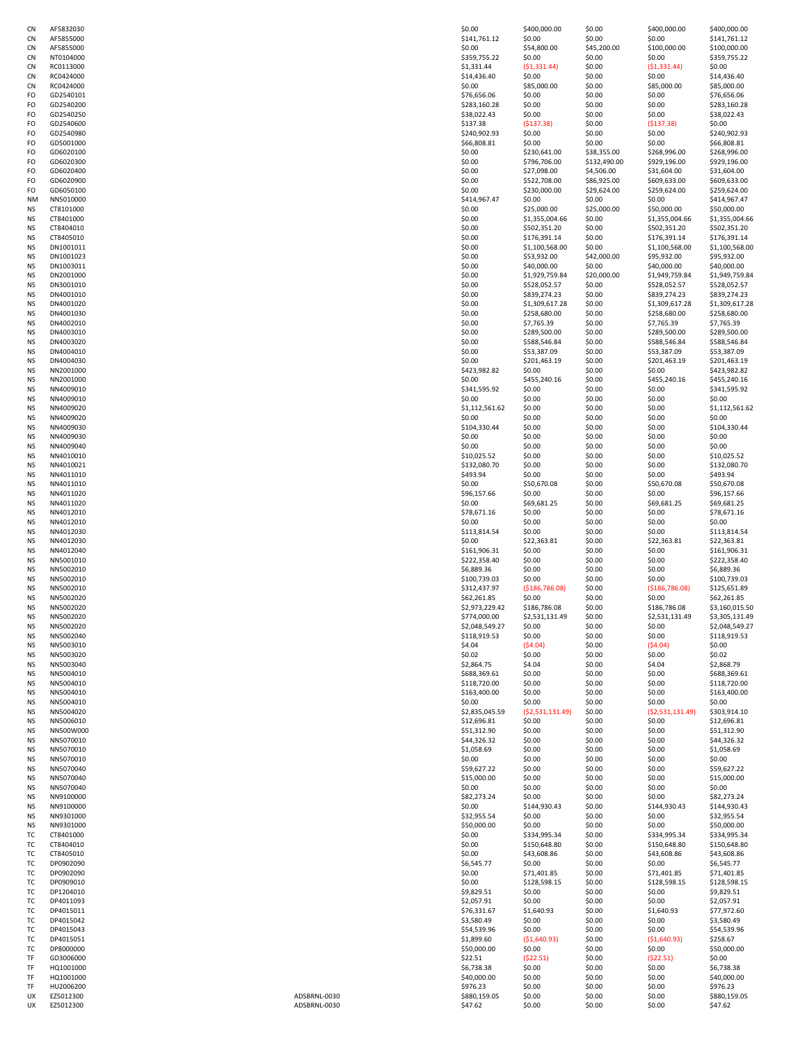| CN | AF5832030 |              | \$0.00         | \$400,000.00    | \$0.00       | \$400,000.00     | \$400,000.00   |
|----|-----------|--------------|----------------|-----------------|--------------|------------------|----------------|
| CN | AF5855000 |              | \$141,761.12   | \$0.00          | \$0.00       | \$0.00           | \$141,761.12   |
|    | AF5855000 |              | \$0.00         | \$54,800.00     | \$45,200.00  |                  |                |
| CN |           |              |                |                 |              | \$100,000.00     | \$100,000.00   |
| CN | NT0104000 |              | \$359,755.22   | \$0.00          | \$0.00       | \$0.00           | \$359,755.22   |
| CN | RC0113000 |              | \$1,331.44     | (51, 331.44)    | \$0.00       | (51, 331.44)     | \$0.00         |
| CN | RC0424000 |              | \$14,436.40    | \$0.00          | \$0.00       | \$0.00           | \$14,436.40    |
| CN | RC0424000 |              | \$0.00         | \$85,000.00     | \$0.00       | \$85,000.00      | \$85,000.00    |
| FO | GD2540101 |              | \$76,656.06    | \$0.00          | \$0.00       | \$0.00           | \$76,656.06    |
|    |           |              |                |                 |              |                  |                |
| FO | GD2540200 |              | \$283,160.28   | \$0.00          | \$0.00       | \$0.00           | \$283,160.28   |
| FO | GD2540250 |              | \$38,022.43    | \$0.00          | \$0.00       | \$0.00           | \$38,022.43    |
| FO | GD2540600 |              | \$137.38       | (5137.38)       | \$0.00       | (5137.38)        | \$0.00         |
| FO | GD2540980 |              | \$240,902.93   | \$0.00          | \$0.00       | \$0.00           | \$240,902.93   |
|    |           |              |                |                 |              |                  |                |
| FO | GD5001000 |              | \$66,808.81    | \$0.00          | \$0.00       | \$0.00           | \$66,808.81    |
| FO | GD6020100 |              | \$0.00         | \$230,641.00    | \$38,355.00  | \$268,996.00     | \$268,996.00   |
| FO | GD6020300 |              | \$0.00         | \$796,706.00    | \$132,490.00 | \$929,196.00     | \$929,196.00   |
| FO | GD6020400 |              | \$0.00         | \$27,098.00     | \$4,506.00   | \$31,604.00      | \$31,604.00    |
|    |           |              |                |                 |              |                  |                |
| FO | GD6020900 |              | \$0.00         | \$522,708.00    | \$86,925.00  | \$609,633.00     | \$609,633.00   |
| FO | GD6050100 |              | \$0.00         | \$230,000.00    | \$29,624.00  | \$259,624.00     | \$259,624.00   |
| NΜ | NN5010000 |              | \$414,967.47   | \$0.00          | \$0.00       | \$0.00           | \$414,967.47   |
| NS | CT8101000 |              | \$0.00         | \$25,000.00     | \$25,000.00  | \$50,000.00      | \$50,000.00    |
| NS | CT8401000 |              |                | \$1,355,004.66  | \$0.00       | \$1,355,004.66   | \$1,355,004.66 |
|    |           |              | \$0.00         |                 |              |                  |                |
| NS | CT8404010 |              | \$0.00         | \$502,351.20    | \$0.00       | \$502,351.20     | \$502,351.20   |
| NS | CT8405010 |              | \$0.00         | \$176,391.14    | \$0.00       | \$176,391.14     | \$176,391.14   |
| NS | DN1001011 |              | \$0.00         | \$1,100,568.00  | \$0.00       | \$1,100,568.00   | \$1,100,568.00 |
| NS | DN1001023 |              | \$0.00         | \$53,932.00     | \$42,000.00  | \$95,932.00      | \$95,932.00    |
|    |           |              |                |                 |              |                  |                |
| NS | DN1003011 |              | \$0.00         | \$40,000.00     | \$0.00       | \$40,000.00      | \$40,000.00    |
| NS | DN2001000 |              | \$0.00         | \$1,929,759.84  | \$20,000.00  | \$1,949,759.84   | \$1,949,759.84 |
| NS | DN3001010 |              | \$0.00         | \$528,052.57    | \$0.00       | \$528,052.57     | \$528,052.57   |
| NS | DN4001010 |              | \$0.00         | \$839,274.23    | \$0.00       | \$839,274.23     | \$839,274.23   |
|    |           |              |                |                 |              |                  |                |
| NS | DN4001020 |              | \$0.00         | \$1,309,617.28  | \$0.00       | \$1,309,617.28   | \$1,309,617.28 |
| NS | DN4001030 |              | \$0.00         | \$258,680.00    | \$0.00       | \$258,680.00     | \$258,680.00   |
| NS | DN4002010 |              | \$0.00         | \$7,765.39      | \$0.00       | \$7,765.39       | \$7,765.39     |
| NS | DN4003010 |              | \$0.00         | \$289,500.00    | \$0.00       | \$289,500.00     | \$289,500.00   |
|    | DN4003020 |              |                |                 |              | \$588,546.84     |                |
| NS |           |              | \$0.00         | \$588,546.84    | \$0.00       |                  | \$588,546.84   |
| NS | DN4004010 |              | \$0.00         | \$53,387.09     | \$0.00       | \$53,387.09      | \$53,387.09    |
| NS | DN4004030 |              | \$0.00         | \$201,463.19    | \$0.00       | \$201,463.19     | \$201,463.19   |
| NS | NN2001000 |              | \$423,982.82   | \$0.00          | \$0.00       | \$0.00           | \$423,982.82   |
|    | NN2001000 |              | \$0.00         | \$455,240.16    | \$0.00       | \$455,240.16     | \$455,240.16   |
| NS |           |              |                |                 |              |                  |                |
| NS | NN4009010 |              | \$341,595.92   | \$0.00          | \$0.00       | \$0.00           | \$341,595.92   |
| NS | NN4009010 |              | \$0.00         | \$0.00          | \$0.00       | \$0.00           | \$0.00         |
| NS | NN4009020 |              | \$1,112,561.62 | \$0.00          | \$0.00       | \$0.00           | \$1,112,561.62 |
| NS | NN4009020 |              | \$0.00         | \$0.00          |              | \$0.00           | \$0.00         |
|    |           |              |                |                 | \$0.00       |                  |                |
| NS | NN4009030 |              | \$104,330.44   | \$0.00          | \$0.00       | \$0.00           | \$104,330.44   |
| NS | NN4009030 |              | \$0.00         | \$0.00          | \$0.00       | \$0.00           | \$0.00         |
| NS | NN4009040 |              | \$0.00         | \$0.00          | \$0.00       | \$0.00           | \$0.00         |
| NS | NN4010010 |              | \$10,025.52    | \$0.00          | \$0.00       | \$0.00           | \$10,025.52    |
|    |           |              |                |                 |              |                  |                |
| NS | NN4010021 |              | \$132,080.70   | \$0.00          | \$0.00       | \$0.00           | \$132,080.70   |
| NS | NN4011010 |              | \$493.94       | \$0.00          | \$0.00       | \$0.00           | \$493.94       |
| NS | NN4011010 |              | \$0.00         | \$50,670.08     | \$0.00       | \$50,670.08      | \$50,670.08    |
| NS | NN4011020 |              | \$96,157.66    | \$0.00          | \$0.00       | \$0.00           | \$96,157.66    |
| NS | NN4011020 |              | \$0.00         | \$69,681.25     | \$0.00       | \$69,681.25      | \$69,681.25    |
|    |           |              |                |                 |              |                  |                |
| NS | NN4012010 |              | \$78,671.16    | \$0.00          | \$0.00       | \$0.00           | \$78,671.16    |
| NS | NN4012010 |              | \$0.00         | \$0.00          | \$0.00       | \$0.00           | \$0.00         |
| NS | NN4012030 |              | \$113,814.54   | \$0.00          | \$0.00       | \$0.00           | \$113,814.54   |
| NS | NN4012030 |              | \$0.00         | \$22,363.81     | \$0.00       | \$22,363.81      | \$22,363.81    |
|    |           |              |                |                 |              |                  |                |
| NS | NN4012040 |              | \$161,906.31   | \$0.00          | \$0.00       | \$0.00           | \$161,906.31   |
| NS | NN5001010 |              | \$222,358.40   | \$0.00          | \$0.00       | \$0.00           | \$222,358.40   |
| NS | NN5002010 |              | \$6,889.36     | \$0.00          | \$0.00       | \$0.00           | \$6,889.36     |
| NS | NN5002010 |              | \$100,739.03   | \$0.00          | \$0.00       | \$0.00           | \$100,739.03   |
|    |           |              |                |                 |              |                  |                |
| NS | NN5002010 |              | \$312,437.97   | (5186, 786.08)  | \$0.00       | ( \$186, 786.08) | \$125,651.89   |
| ΝS | NN5002020 |              | \$62,261.85    | \$0.00          | \$0.00       | \$0.00           | \$62,261.85    |
| NS | NN5002020 |              | \$2,973,229.42 | \$186,786.08    | \$0.00       | \$186,786.08     | \$3,160,015.50 |
| ΝS | NN5002020 |              | \$774,000.00   | \$2,531,131.49  | \$0.00       | \$2,531,131.49   | \$3,305,131.49 |
|    | NN5002020 |              | \$2,048,549.27 | \$0.00          |              | \$0.00           | \$2,048,549.27 |
| NS |           |              |                |                 | \$0.00       |                  |                |
| NS | NN5002040 |              | \$118,919.53   | \$0.00          | \$0.00       | \$0.00           | \$118,919.53   |
| NS | NN5003010 |              | \$4.04         | (54.04)         | \$0.00       | (54.04)          | \$0.00         |
| NS | NN5003020 |              | \$0.02         | \$0.00          | \$0.00       | \$0.00           | \$0.02         |
| NS | NN5003040 |              | \$2,864.75     | \$4.04          | \$0.00       | \$4.04           | \$2,868.79     |
|    |           |              |                |                 |              |                  |                |
| NS | NN5004010 |              | \$688,369.61   | \$0.00          | \$0.00       | \$0.00           | \$688,369.61   |
| NS | NN5004010 |              | \$118,720.00   | \$0.00          | \$0.00       | \$0.00           | \$118,720.00   |
| NS | NN5004010 |              | \$163,400.00   | \$0.00          | \$0.00       | \$0.00           | \$163,400.00   |
| NS | NN5004010 |              | \$0.00         | \$0.00          | \$0.00       | \$0.00           | \$0.00         |
| NS | NN5004020 |              | \$2,835,045.59 | (52,531,131.49) | \$0.00       | (52,531,131.49)  | \$303,914.10   |
|    | NN5006010 |              | \$12,696.81    | \$0.00          | \$0.00       | \$0.00           | \$12,696.81    |
| NS |           |              |                |                 |              |                  |                |
| NS | NN500W000 |              | \$51,312.90    | \$0.00          | \$0.00       | \$0.00           | \$51,312.90    |
| NS | NN5070010 |              | \$44,326.32    | \$0.00          | \$0.00       | \$0.00           | \$44,326.32    |
| NS | NN5070010 |              | \$1,058.69     | \$0.00          | \$0.00       | \$0.00           | \$1,058.69     |
| NS | NN5070010 |              | \$0.00         | \$0.00          | \$0.00       | \$0.00           | \$0.00         |
|    |           |              |                |                 |              |                  |                |
| NS | NN5070040 |              | \$59,627.22    | \$0.00          | \$0.00       | \$0.00           | \$59,627.22    |
| NS | NN5070040 |              | \$15,000.00    | \$0.00          | \$0.00       | \$0.00           | \$15,000.00    |
| NS | NN5070040 |              | \$0.00         | \$0.00          | \$0.00       | \$0.00           | \$0.00         |
| NS | NN9100000 |              | \$82,273.24    | \$0.00          | \$0.00       | \$0.00           | \$82,273.24    |
|    |           |              |                |                 |              |                  |                |
| NS | NN9100000 |              | \$0.00         | \$144,930.43    | \$0.00       | \$144,930.43     | \$144,930.43   |
| NS | NN9301000 |              | \$32,955.54    | \$0.00          | \$0.00       | \$0.00           | \$32,955.54    |
| NS | NN9301000 |              | \$50,000.00    | \$0.00          | \$0.00       | \$0.00           | \$50,000.00    |
| тс | CT8401000 |              | \$0.00         | \$334,995.34    | \$0.00       | \$334,995.34     | \$334,995.34   |
| тc | CT8404010 |              | \$0.00         | \$150,648.80    |              | \$150,648.80     | \$150,648.80   |
|    |           |              |                |                 | \$0.00       |                  |                |
| ТC | CT8405010 |              | \$0.00         | \$43,608.86     | \$0.00       | \$43,608.86      | \$43,608.86    |
| ТC | DP0902090 |              | \$6,545.77     | \$0.00          | \$0.00       | \$0.00           | \$6,545.77     |
| ТC | DP0902090 |              | \$0.00         | \$71,401.85     | \$0.00       | \$71,401.85      | \$71,401.85    |
| ТC | DP0909010 |              | \$0.00         | \$128,598.15    | \$0.00       | \$128,598.15     | \$128,598.15   |
|    |           |              |                |                 |              |                  |                |
| тc | DP1204010 |              | \$9,829.51     | \$0.00          | \$0.00       | \$0.00           | \$9,829.51     |
| ТC | DP4011093 |              | \$2,057.91     | \$0.00          | \$0.00       | \$0.00           | \$2,057.91     |
| ТC | DP4015011 |              | \$76,331.67    | \$1,640.93      | \$0.00       | \$1,640.93       | \$77,972.60    |
| ТC | DP4015042 |              | \$3,580.49     | \$0.00          | \$0.00       | \$0.00           | \$3,580.49     |
|    |           |              |                |                 |              |                  |                |
| ТC | DP4015043 |              | \$54,539.96    | \$0.00          | \$0.00       | \$0.00           | \$54,539.96    |
| тc | DP4015051 |              | \$1,899.60     | (51,640.93)     | \$0.00       | ( \$1,640.93)    | \$258.67       |
| ТC | DP8000000 |              | \$50,000.00    | \$0.00          | \$0.00       | \$0.00           | \$50,000.00    |
| TF | GD3006000 |              | \$22.51        | (522.51)        | \$0.00       | (522.51)         | \$0.00         |
| TF |           |              |                |                 | \$0.00       |                  |                |
|    | HQ1001000 |              | \$6,738.38     | \$0.00          |              | \$0.00           | \$6,738.38     |
| TF | HQ1001000 |              | \$40,000.00    | \$0.00          | \$0.00       | \$0.00           | \$40,000.00    |
| TF | HU2006200 |              | \$976.23       | \$0.00          | \$0.00       | \$0.00           | \$976.23       |
| UX | EZ5012300 | ADSBRNL-0030 | \$880,159.05   | \$0.00          | \$0.00       | \$0.00           | \$880,159.05   |

UX EZ5012300 ADSBRNL-0030 \$47.62 \$0.00 \$0.00 \$0.00 \$47.62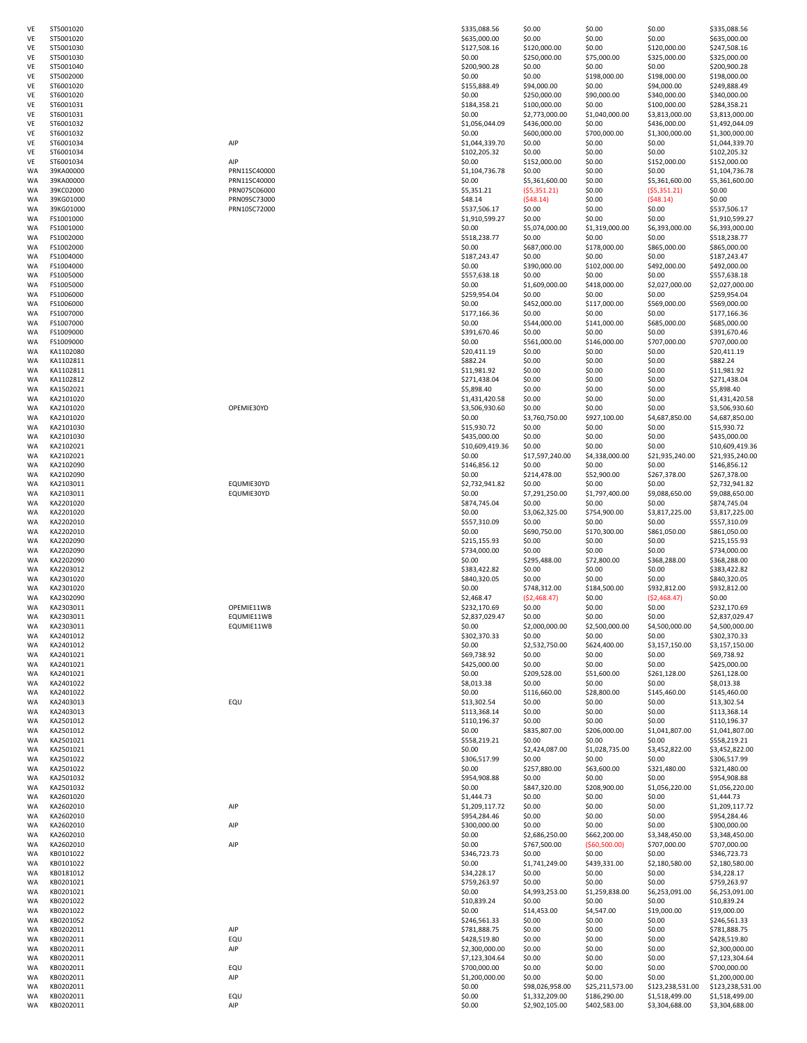| VE        | ST5001020                |
|-----------|--------------------------|
|           | ST5001020                |
| VE        | ST5001030                |
| VE        | ST5001030                |
| VE        | ST5001040                |
| VE<br>VE  | ST5002000                |
| VE        | ST6001020<br>ST6001020   |
| VE        | ST6001031                |
| VE        | ST6001031                |
| VE        | ST6001032                |
| VE        | ST6001032                |
| VE        | ST6001034                |
| VE        | ST6001034                |
| VE        | ST6001034                |
| WA<br>WA  | 39KA00000<br>39KA00000   |
| WA        | 39KC02000                |
| WA        | 39KG01000                |
| WA        | 39KG01000                |
| WA        | FS1001000                |
| WA        | FS1001000                |
| WA        | FS1002000                |
| WA<br>WA  | FS1002000<br>FS1004000   |
| WA        | FS1004000                |
| WA        | FS1005000                |
| WA        | FS1005000                |
| WA        | FS1006000                |
| <b>WA</b> | FS1006000                |
| WA        | FS1007000                |
| WA        | FS1007000                |
| WA        | FS1009000                |
| WA<br>WA  | FS1009000<br>KA1102080   |
| WA        | KA1102811                |
| WA        | KA1102811                |
| <b>WA</b> | KA1102812                |
| WA        | KA1502021                |
| WA        | KA2101020                |
| WA        | KA2101020                |
| WA<br>WA  | KA2101020<br>KA2101030   |
| WA        | KA2101030                |
| WA        | KA2102021                |
| WA        | KA2102021                |
| WA<br>WA  | KA2102090<br>KA2102090   |
| WA        | KA2103011                |
| WA        | KA2103011                |
| WA        | KA2201020                |
| WA        | KA2201020                |
| WA        | KA2202010                |
| WA<br>WA  | KA2202010<br>KA2202090   |
| WA        | KA2202090                |
| WA        | KA2202090                |
| WA        | KA2203012                |
| WA<br>WA  | KA2301020                |
| WA        | KA2301020<br>KA2302090   |
| WA        | KA2303011                |
| WA        | KA230301<br>$\mathbf{1}$ |
| WA        | KA2303011                |
| WA        | KA2401012                |
| WA        |                          |
|           | KA2401012                |
| WA        | KA2401021                |
| WA        | KA2401021                |
| WA        | KA2401021                |
| WA<br>WA  | KA2401022<br>KA2401022   |
| WA        | KA2403013                |
| WA        | KA2403013                |
| WA        | KA2501012                |
| WA        | KA2501012                |
| WA        | KA2501021                |
| WA<br>WA  | KA2501021<br>KA2501022   |
| WA        | KA2501022                |
| WA        | KA2501032                |
| WA        | KA2501032                |
| WA<br>WA  | KA2601020                |
| WA        | KA2602010<br>KA2602010   |
| WA        | KA2602010                |
| WA        | KA2602010                |
| WA        | KA2602010                |
| WA<br>WA  | KB0101022<br>KB0101022   |
| WA        | KB0181012                |
| WA        | KB0201021                |
| WA        | KB0201021                |
| WA<br>WA  | KB0201022<br>KB0201022   |
| WA        | KB0201052                |
| WA        | KB0202011                |
| WA        | KB0202011                |
| WA        | KB0202011                |
| WA<br>WA  | KB0202011<br>KB0202011   |
| WA        | KB0202011                |
| WA        | KB0202011                |
| WA<br>WA  | KB0202011<br>KB0202011   |

| VE       | ST5001020              |                          | \$335,088.56                 | \$0.00                            | \$0.00                          | \$0.00                             | \$335,088.56                       |
|----------|------------------------|--------------------------|------------------------------|-----------------------------------|---------------------------------|------------------------------------|------------------------------------|
| VE       | ST5001020              |                          | \$635,000.00                 | \$0.00                            | \$0.00                          | \$0.00                             | \$635,000.00                       |
| VE       | ST5001030              |                          | \$127,508.16                 | \$120,000.00                      | \$0.00                          | \$120,000.00                       | \$247,508.16                       |
| VE       | ST5001030              |                          | \$0.00                       | \$250,000.00                      | \$75,000.00                     | \$325,000.00                       | \$325,000.00                       |
| VE       | ST5001040              |                          | \$200,900.28                 | \$0.00                            | \$0.00                          | \$0.00                             | \$200,900.28                       |
| VE       | ST5002000              |                          | \$0.00                       | \$0.00                            | \$198,000.00                    | \$198,000.00                       | \$198,000.00                       |
| VE       | ST6001020              |                          | \$155,888.49                 | \$94,000.00                       | \$0.00                          | \$94,000.00                        | \$249,888.49                       |
| VE       | ST6001020              |                          | \$0.00                       | \$250,000.00                      | \$90,000.00                     | \$340,000.00                       | \$340,000.00                       |
| VE       | ST6001031              |                          | \$184,358.21                 | \$100,000.00                      | \$0.00                          | \$100,000.00                       | \$284,358.21                       |
| VE       | ST6001031              |                          | \$0.00                       | \$2,773,000.00                    | \$1,040,000.00                  | \$3,813,000.00                     | \$3,813,000.00                     |
| VE       | ST6001032              |                          | \$1,056,044.09               | \$436,000.00                      | \$0.00                          | \$436,000.00                       | \$1,492,044.09                     |
| VE       | ST6001032              |                          | \$0.00                       | \$600,000.00                      | \$700,000.00                    | \$1,300,000.00                     | \$1,300,000.00                     |
| VE       | ST6001034              | AIP                      | \$1,044,339.70               | \$0.00                            | \$0.00                          | \$0.00                             | \$1,044,339.70                     |
| VE       | ST6001034              |                          | \$102,205.32                 | \$0.00                            | \$0.00                          | \$0.00                             | \$102,205.32                       |
| VE       | ST6001034              | AIP                      | \$0.00                       | \$152,000.00                      | \$0.00                          | \$152,000.00                       | \$152,000.00                       |
| WA       | 39KA00000              | PRN11SC40000             | \$1,104,736.78               | \$0.00                            | \$0.00                          | \$0.00                             | \$1,104,736.78                     |
| WA       | 39KA00000              | PRN11SC40000             | \$0.00                       | \$5,361,600.00                    | \$0.00                          | \$5,361,600.00                     | \$5,361,600.00                     |
| WA       | 39KC02000              | PRN07SC06000             | \$5,351.21                   | (55, 351.21)                      | \$0.00                          | (55, 351.21)                       | \$0.00                             |
| WA       | 39KG01000              | PRN09SC73000             | \$48.14                      | (548.14)                          | \$0.00                          | (548.14)                           | \$0.00                             |
| WA       | 39KG01000              | PRN10SC72000             | \$537,506.17                 | \$0.00                            | \$0.00                          | \$0.00                             | \$537,506.17                       |
| WA       | FS1001000              |                          | \$1,910,599.27               | \$0.00                            | \$0.00                          | \$0.00                             | \$1,910,599.27                     |
| WA       | FS1001000              |                          | \$0.00                       | \$5,074,000.00                    | \$1,319,000.00                  | \$6,393,000.00                     | \$6,393,000.00                     |
| WA       | FS1002000              |                          | \$518,238.77                 | \$0.00                            | \$0.00                          | \$0.00                             | \$518,238.77                       |
| WA       | FS1002000              |                          | \$0.00                       | \$687,000.00                      | \$178,000.00                    | \$865,000.00                       | \$865,000.00                       |
| WA       | FS1004000              |                          | \$187,243.47                 | \$0.00                            | \$0.00                          | \$0.00                             | \$187,243.47                       |
| WA       | FS1004000              |                          | \$0.00                       | \$390,000.00                      | \$102,000.00                    | \$492,000.00                       | \$492,000.00                       |
| WA       | FS1005000              |                          | \$557,638.18                 | \$0.00                            | \$0.00                          | \$0.00                             | \$557,638.18                       |
| WA       | FS1005000              |                          | \$0.00                       | \$1,609,000.00                    | \$418,000.00                    | \$2,027,000.00                     | \$2,027,000.00                     |
| WA       | FS1006000              |                          | \$259,954.04                 | \$0.00                            | \$0.00                          | \$0.00                             | \$259,954.04                       |
| WA       | FS1006000              |                          | \$0.00                       | \$452,000.00                      | \$117,000.00                    | \$569,000.00                       | \$569,000.00                       |
| WA       | FS1007000              |                          | \$177,166.36                 | \$0.00                            | \$0.00                          | \$0.00                             | \$177,166.36                       |
| WA       | FS1007000              |                          | \$0.00                       | \$544,000.00                      | \$141,000.00                    | \$685,000.00                       | \$685,000.00                       |
| WA       | FS1009000              |                          | \$391,670.46                 | \$0.00                            | \$0.00                          | \$0.00                             | \$391,670.46                       |
| WA       | FS1009000              |                          | \$0.00                       | \$561,000.00                      | \$146,000.00                    | \$707,000.00                       | \$707,000.00                       |
| WA       | KA1102080              |                          | \$20,411.19                  | \$0.00                            | \$0.00                          | \$0.00                             | \$20,411.19                        |
| WA       | KA1102811              |                          | \$882.24                     | \$0.00                            | \$0.00                          | \$0.00                             | \$882.24                           |
| WA       | KA1102811              |                          | \$11,981.92                  | \$0.00                            | \$0.00                          | \$0.00                             | \$11,981.92                        |
| WA       | KA1102812              |                          | \$271,438.04                 | \$0.00                            | \$0.00                          | \$0.00                             | \$271,438.04                       |
| WA       | KA1502021              |                          | \$5,898.40                   | \$0.00                            | \$0.00                          | \$0.00                             | \$5,898.40                         |
| WA       | KA2101020              |                          | \$1,431,420.58               | \$0.00                            | \$0.00                          | \$0.00                             | \$1,431,420.58                     |
| WA       | KA2101020              | OPEMIE30YD               | \$3,506,930.60               | \$0.00                            | \$0.00                          | \$0.00                             | \$3,506,930.60                     |
| WA       | KA2101020              |                          | \$0.00                       | \$3,760,750.00                    | \$927,100.00                    | \$4,687,850.00                     | \$4,687,850.00                     |
| WA       | KA2101030              |                          | \$15,930.72                  | \$0.00                            | \$0.00                          | \$0.00                             | \$15,930.72                        |
| WA       | KA2101030              |                          | \$435,000.00                 | \$0.00                            | \$0.00                          | \$0.00                             | \$435,000.00                       |
| WA       | KA2102021              |                          | \$10,609,419.36              | \$0.00                            | \$0.00                          | \$0.00                             | \$10,609,419.36                    |
| WA       | KA2102021              |                          | \$0.00                       | \$17,597,240.00                   | \$4,338,000.00                  | \$21,935,240.00                    | \$21,935,240.00                    |
| WA       | KA2102090              |                          | \$146,856.12                 | \$0.00                            | \$0.00                          | \$0.00                             | \$146,856.12                       |
| WA       | KA2102090              |                          | \$0.00                       | \$214,478.00                      | \$52,900.00                     | \$267,378.00                       | \$267,378.00                       |
| WA       | KA2103011              | EQUMIE30YD               | \$2,732,941.82               | \$0.00                            | \$0.00                          | \$0.00                             | \$2,732,941.82                     |
| WA       | KA2103011              | EQUMIE30YD               | \$0.00                       | \$7,291,250.00                    | \$1,797,400.00                  | \$9,088,650.00                     | \$9,088,650.00                     |
| WA       | KA2201020              |                          | \$874,745.04                 | \$0.00                            | \$0.00                          | \$0.00                             | \$874,745.04                       |
| WA       | KA2201020              |                          | \$0.00                       | \$3,062,325.00                    | \$754,900.00                    | \$3,817,225.00                     | \$3,817,225.00                     |
| WA       | KA2202010              |                          | \$557,310.09                 | \$0.00                            | \$0.00                          | \$0.00                             | \$557,310.09                       |
| WA       | KA2202010              |                          | \$0.00                       | \$690,750.00                      | \$170,300.00                    | \$861,050.00                       | \$861,050.00                       |
| WA       | KA2202090              |                          | \$215,155.93                 | \$0.00                            | \$0.00                          | \$0.00                             | \$215,155.93                       |
| WA       | KA2202090              |                          | \$734,000.00                 | \$0.00                            | \$0.00                          | \$0.00                             | \$734,000.00                       |
| WA       | KA2202090              |                          | \$0.00                       | \$295,488.00                      | \$72,800.00                     | \$368,288.00                       | \$368,288.00                       |
| WA       | KA2203012              |                          | \$383,422.82<br>\$840,320.05 | \$0.00                            | \$0.00                          | \$0.00                             | \$383,422.82                       |
| WA       | KA2301020<br>KA2301020 |                          | \$0.00                       | \$0.00                            | \$0.00<br>\$184,500.00          | \$0.00<br>\$932,812.00             | \$840,320.05<br>\$932,812.00       |
| WA       |                        |                          |                              | \$748,312.00                      |                                 |                                    |                                    |
| WA<br>WA | KA2302090<br>KA2303011 |                          | \$2,468.47<br>\$232,170.69   | (52, 468.47)<br>\$0.00            | \$0.00<br>\$0.00                | ( \$2,468.47)<br>\$0.00            | \$0.00<br>\$232,170.69             |
| WA       | KA2303011              | OPEMIE11WB<br>EQUMIE11WB | \$2,837,029.47               | \$0.00                            | \$0.00                          | \$0.00                             | \$2,837,029.47                     |
| WA       | KA2303011              | EQUMIE11WB               | \$0.00                       | \$2,000,000.00                    | \$2,500,000.00                  | \$4,500,000.00                     | \$4,500,000.00                     |
| WA       | KA2401012              |                          | \$302,370.33                 | \$0.00                            | \$0.00                          | \$0.00                             | \$302,370.33                       |
| WA       | KA2401012              |                          | \$0.00                       | \$2,532,750.00                    | \$624,400.00                    | \$3,157,150.00                     | \$3,157,150.00                     |
| WA       | KA2401021              |                          | \$69,738.92                  | \$0.00                            | \$0.00                          | \$0.00                             | \$69,738.92                        |
| WA       | KA2401021              |                          | \$425,000.00                 | \$0.00                            | \$0.00                          | \$0.00                             | \$425,000.00                       |
| WA       | KA2401021              |                          | \$0.00                       | \$209,528.00                      | \$51,600.00                     | \$261,128.00                       | \$261,128.00                       |
| WA       | KA2401022              |                          | \$8,013.38                   | \$0.00                            | \$0.00                          | \$0.00                             | \$8,013.38                         |
| WA       | KA2401022              |                          | \$0.00                       | \$116,660.00                      | \$28,800.00                     | \$145,460.00                       | \$145,460.00                       |
| WA       | KA2403013              | EQU                      | \$13,302.54                  | \$0.00                            | \$0.00                          | \$0.00                             | \$13,302.54                        |
| WA       | KA2403013              |                          | \$113,368.14                 | \$0.00                            | \$0.00                          | \$0.00                             | \$113,368.14                       |
| WA       | KA2501012              |                          | \$110,196.37                 | \$0.00                            | \$0.00                          | \$0.00                             | \$110,196.37                       |
| WA       | KA2501012              |                          | \$0.00                       | \$835,807.00                      | \$206,000.00                    | \$1,041,807.00                     | \$1,041,807.00                     |
| WA       | KA2501021              |                          | \$558,219.21                 | \$0.00                            | \$0.00                          | \$0.00                             | \$558,219.21                       |
| WA       | KA2501021              |                          | \$0.00                       | \$2,424,087.00                    | \$1,028,735.00                  | \$3,452,822.00                     | \$3,452,822.00                     |
| WA       | KA2501022              |                          | \$306,517.99                 | \$0.00                            | \$0.00                          | \$0.00                             | \$306,517.99                       |
| WA       | KA2501022              |                          | \$0.00                       | \$257,880.00                      | \$63,600.00                     | \$321,480.00                       | \$321,480.00                       |
| WA       | KA2501032              |                          | \$954,908.88                 | \$0.00                            | \$0.00                          | \$0.00                             | \$954,908.88                       |
| WA       | KA2501032              |                          | \$0.00                       | \$847,320.00                      | \$208,900.00                    | \$1,056,220.00                     | \$1,056,220.00                     |
| WA       | KA2601020              |                          | \$1,444.73                   | \$0.00                            | \$0.00                          | \$0.00                             | \$1,444.73                         |
| WA       | KA2602010              | AIP                      | \$1,209,117.72               | \$0.00                            | \$0.00                          | \$0.00                             | \$1,209,117.72                     |
| WA       | KA2602010              |                          | \$954,284.46                 | \$0.00                            | \$0.00                          | \$0.00                             | \$954,284.46                       |
| WA       | KA2602010              | AIP                      | \$300,000.00                 | \$0.00                            | \$0.00                          | \$0.00                             | \$300,000.00                       |
| WA       | KA2602010              |                          | \$0.00                       | \$2,686,250.00                    | \$662,200.00                    | \$3,348,450.00                     | \$3,348,450.00                     |
| WA       | KA2602010              | AIP                      | \$0.00                       | \$767,500.00                      | (560,500.00)                    | \$707,000.00                       | \$707,000.00                       |
| WA       | KB0101022              |                          | \$346,723.73                 | \$0.00                            | \$0.00                          | \$0.00                             | \$346,723.73                       |
| WA       | KB0101022              |                          | \$0.00                       | \$1,741,249.00                    | \$439,331.00                    | \$2,180,580.00                     | \$2,180,580.00                     |
| WA       | KB0181012              |                          | \$34,228.17                  | \$0.00                            | \$0.00                          | \$0.00                             | \$34,228.17                        |
| WA       | KB0201021              |                          | \$759,263.97                 | \$0.00                            | \$0.00                          | \$0.00                             | \$759,263.97                       |
| WA       | KB0201021              |                          | \$0.00                       | \$4,993,253.00                    | \$1,259,838.00                  | \$6,253,091.00                     | \$6,253,091.00                     |
| WA       | KB0201022              |                          | \$10,839.24                  | \$0.00                            | \$0.00                          | \$0.00                             | \$10,839.24                        |
| WA       | KB0201022              |                          | \$0.00                       | \$14,453.00                       | \$4,547.00                      | \$19,000.00                        | \$19,000.00                        |
| WA       | KB0201052              |                          | \$246,561.33                 | \$0.00                            | \$0.00                          | \$0.00                             | \$246,561.33                       |
| WA<br>WA | KB0202011<br>KB0202011 | AIP<br>EQU               | \$781,888.75<br>\$428,519.80 | \$0.00<br>\$0.00                  | \$0.00<br>\$0.00                | \$0.00<br>\$0.00                   | \$781,888.75<br>\$428,519.80       |
| WA       | KB0202011              | AIP                      | \$2,300,000.00               | \$0.00                            | \$0.00                          | \$0.00                             | \$2,300,000.00                     |
| WA       | KB0202011              |                          | \$7,123,304.64               | \$0.00                            | \$0.00                          | \$0.00                             | \$7,123,304.64                     |
| WA       | KB0202011              | EQU                      | \$700,000.00                 | \$0.00                            | \$0.00                          | \$0.00                             | \$700,000.00                       |
|          |                        |                          |                              |                                   |                                 |                                    |                                    |
|          |                        |                          |                              |                                   |                                 |                                    |                                    |
| WA       | KB0202011              | AIP                      | \$1,200,000.00               | \$0.00                            | \$0.00                          | \$0.00                             | \$1,200,000.00                     |
| WA<br>WA | KB0202011<br>KB0202011 | EQU                      | \$0.00<br>\$0.00             | \$98,026,958.00<br>\$1,332,209.00 | \$25,211,573.00<br>\$186,290.00 | \$123,238,531.00<br>\$1,518,499.00 | \$123,238,531.00<br>\$1,518,499.00 |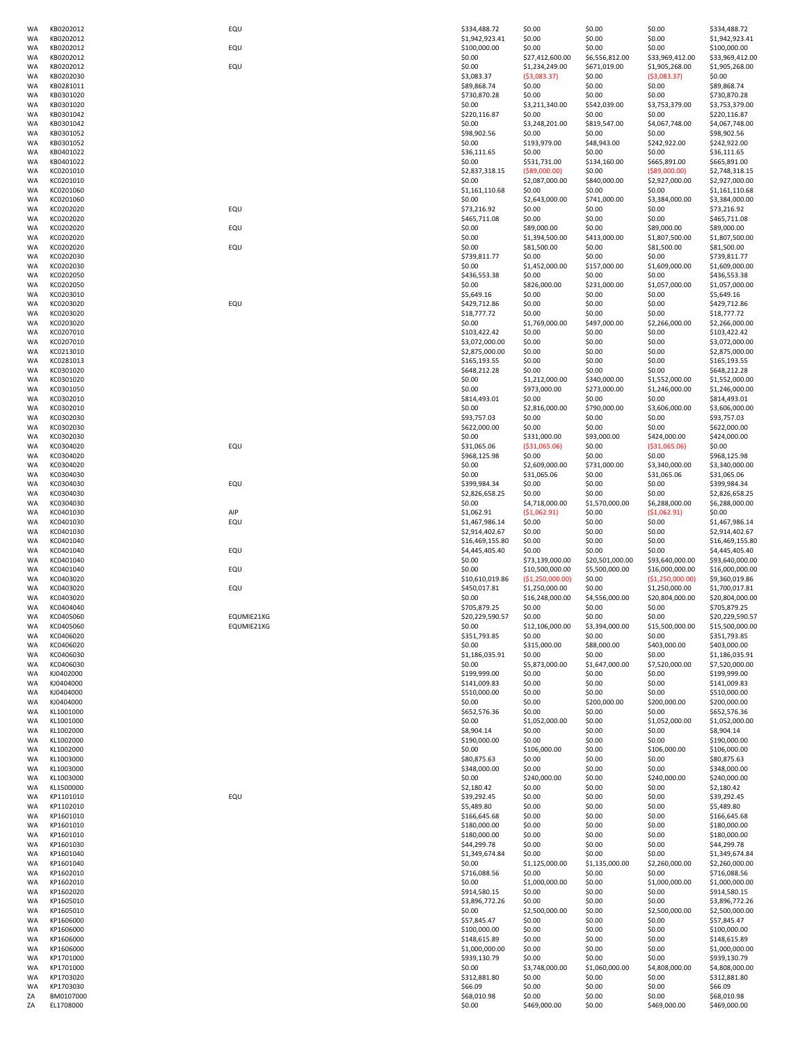| WA       | KB0202012              | EQU        | \$334,488.72                     | \$0.00                           | \$0.00                   | \$0.00                         | \$334,488.72                     |
|----------|------------------------|------------|----------------------------------|----------------------------------|--------------------------|--------------------------------|----------------------------------|
| WA       | KB0202012              |            | \$1,942,923.41                   | \$0.00                           | \$0.00                   | \$0.00                         | \$1,942,923.41                   |
| WA       | KB0202012              | EQU        | \$100,000.00                     | \$0.00                           | \$0.00                   | \$0.00                         | \$100,000.00                     |
| WA       | KB0202012              |            | \$0.00                           | \$27,412,600.00                  | \$6,556,812.00           | \$33,969,412.00                | \$33,969,412.00                  |
| WA       | KB0202012              | EQU        | \$0.00                           | \$1,234,249.00                   | \$671,019.00             | \$1,905,268.00                 | \$1,905,268.00                   |
| WA       | KB0202030<br>KB0281011 |            | \$3,083.37                       | (53,083.37)<br>\$0.00            | \$0.00                   | ( \$3,083.37)                  | \$0.00                           |
| WA<br>WA | KB0301020              |            | \$89,868.74<br>\$730,870.28      | \$0.00                           | \$0.00<br>\$0.00         | \$0.00<br>\$0.00               | \$89,868.74<br>\$730,870.28      |
| WA       | KB0301020              |            | \$0.00                           | \$3,211,340.00                   | \$542,039.00             | \$3,753,379.00                 | \$3,753,379.00                   |
| WA       | KB0301042              |            | \$220,116.87                     | \$0.00                           | \$0.00                   | \$0.00                         | \$220,116.87                     |
| WA       | KB0301042              |            | \$0.00                           | \$3,248,201.00                   | \$819,547.00             | \$4,067,748.00                 | \$4,067,748.00                   |
| WA       | KB0301052              |            | \$98,902.56                      | \$0.00                           | \$0.00                   | \$0.00                         | \$98,902.56                      |
| WA       | KB0301052              |            | \$0.00                           | \$193,979.00                     | \$48,943.00              | \$242,922.00                   | \$242,922.00                     |
| WA       | KB0401022              |            | \$36,111.65                      | \$0.00                           | \$0.00                   | \$0.00                         | \$36,111.65                      |
| WA       | KB0401022              |            | \$0.00<br>\$2,837,318.15         | \$531,731.00                     | \$134,160.00             | \$665,891.00<br>( \$89,000.00) | \$665,891.00                     |
| WA<br>WA | KC0201010<br>KC0201010 |            | \$0.00                           | ( \$89,000.00)<br>\$2,087,000.00 | \$0.00<br>\$840,000.00   | \$2,927,000.00                 | \$2,748,318.15<br>\$2,927,000.00 |
| WA       | KC0201060              |            | \$1,161,110.68                   | \$0.00                           | \$0.00                   | \$0.00                         | \$1,161,110.68                   |
| WA       | KC0201060              |            | \$0.00                           | \$2,643,000.00                   | \$741,000.00             | \$3,384,000.00                 | \$3,384,000.00                   |
| WA       | KC0202020              | EQU        | \$73,216.92                      | \$0.00                           | \$0.00                   | \$0.00                         | \$73,216.92                      |
| WA       | KC0202020              |            | \$465,711.08                     | \$0.00                           | \$0.00                   | \$0.00                         | \$465,711.08                     |
| WA       | KC0202020              | EQU        | \$0.00                           | \$89,000.00                      | \$0.00                   | \$89,000.00                    | \$89,000.00                      |
| WA       | KC0202020              |            | \$0.00                           | \$1,394,500.00                   | \$413,000.00             | \$1,807,500.00                 | \$1,807,500.00                   |
| WA       | KC0202020              | EQU        | \$0.00                           | \$81,500.00                      | \$0.00                   | \$81,500.00                    | \$81,500.00                      |
| WA<br>WA | KC0202030<br>KC0202030 |            | \$739,811.77<br>\$0.00           | \$0.00<br>\$1,452,000.00         | \$0.00<br>\$157,000.00   | \$0.00<br>\$1,609,000.00       | \$739,811.77<br>\$1,609,000.00   |
| WA       | KC0202050              |            | \$436,553.38                     | \$0.00                           | \$0.00                   | \$0.00                         | \$436,553.38                     |
| WA       | KC0202050              |            | \$0.00                           | \$826,000.00                     | \$231,000.00             | \$1,057,000.00                 | \$1,057,000.00                   |
| WA       | KC0203010              |            | \$5,649.16                       | \$0.00                           | \$0.00                   | \$0.00                         | \$5,649.16                       |
| WA       | KC0203020              | EQU        | \$429,712.86                     | \$0.00                           | \$0.00                   | \$0.00                         | \$429,712.86                     |
| WA       | KC0203020              |            | \$18,777.72                      | \$0.00                           | \$0.00                   | \$0.00                         | \$18,777.72                      |
| WA       | KC0203020              |            | \$0.00                           | \$1,769,000.00                   | \$497,000.00             | \$2,266,000.00                 | \$2,266,000.00                   |
| WA       | KC0207010              |            | \$103,422.42                     | \$0.00                           | \$0.00                   | \$0.00                         | \$103,422.42                     |
| WA       | KC0207010<br>KC0213010 |            | \$3,072,000.00<br>\$2,875,000.00 | \$0.00<br>\$0.00                 | \$0.00<br>\$0.00         | \$0.00<br>\$0.00               | \$3,072,000.00                   |
| WA<br>WA | KC0281013              |            | \$165,193.55                     | \$0.00                           | \$0.00                   | \$0.00                         | \$2,875,000.00<br>\$165,193.55   |
| WA       | KC0301020              |            | \$648,212.28                     | \$0.00                           | \$0.00                   | \$0.00                         | \$648,212.28                     |
| WA       | KC0301020              |            | \$0.00                           | \$1,212,000.00                   | \$340,000.00             | \$1,552,000.00                 | \$1,552,000.00                   |
| WA       | KC0301050              |            | \$0.00                           | \$973,000.00                     | \$273,000.00             | \$1,246,000.00                 | \$1,246,000.00                   |
| WA       | KC0302010              |            | \$814,493.01                     | \$0.00                           | \$0.00                   | \$0.00                         | \$814,493.01                     |
| WA       | KC0302010              |            | \$0.00                           | \$2,816,000.00                   | \$790,000.00             | \$3,606,000.00                 | \$3,606,000.00                   |
| WA       | KC0302030              |            | \$93,757.03                      | \$0.00                           | \$0.00                   | \$0.00                         | \$93,757.03                      |
| WA<br>WA | KC0302030<br>KC0302030 |            | \$622,000.00<br>\$0.00           | \$0.00<br>\$331,000.00           | \$0.00<br>\$93,000.00    | \$0.00<br>\$424,000.00         | \$622,000.00<br>\$424,000.00     |
| WA       | KC0304020              | EQU        | \$31,065.06                      | ( \$31,065.06)                   | \$0.00                   | ( \$31,065.06)                 | \$0.00                           |
| WA       | KC0304020              |            | \$968,125.98                     | \$0.00                           | \$0.00                   | \$0.00                         | \$968,125.98                     |
| WA       | KC0304020              |            | \$0.00                           | \$2,609,000.00                   | \$731,000.00             | \$3,340,000.00                 | \$3,340,000.00                   |
| WA       | KC0304030              |            | \$0.00                           | \$31,065.06                      | \$0.00                   | \$31,065.06                    | \$31,065.06                      |
| WA       | KC0304030              | EQU        | \$399,984.34                     | \$0.00                           | \$0.00                   | \$0.00                         | \$399,984.34                     |
| WA       | KC0304030              |            | \$2,826,658.25                   | \$0.00                           | \$0.00                   | \$0.00                         | \$2,826,658.25                   |
| WA       | KC0304030              |            | \$0.00                           | \$4,718,000.00                   | \$1,570,000.00           | \$6,288,000.00                 | \$6,288,000.00                   |
| WA<br>WA | KC0401030<br>KC0401030 | AIP<br>EQU | \$1,062.91<br>\$1,467,986.14     | (51,062.91)<br>\$0.00            | \$0.00<br>\$0.00         | (51,062.91)<br>\$0.00          | \$0.00<br>\$1,467,986.14         |
| WA       | KC0401030              |            | \$2,914,402.67                   | \$0.00                           | \$0.00                   | \$0.00                         | \$2,914,402.67                   |
| WA       | KC0401040              |            | \$16,469,155.80                  | \$0.00                           | \$0.00                   | \$0.00                         | \$16,469,155.80                  |
| WA       | KC0401040              | EQU        | \$4,445,405.40                   | \$0.00                           | \$0.00                   | \$0.00                         | \$4,445,405.40                   |
| WA       | KC0401040              |            | \$0.00                           | \$73,139,000.00                  | \$20,501,000.00          | \$93,640,000.00                | \$93,640,000.00                  |
| WA       | KC0401040              | EQU        | \$0.00                           | \$10,500,000.00                  | \$5,500,000.00           | \$16,000,000.00                | \$16,000,000.00                  |
| WA       | KC0403020              |            | \$10,610,019.86                  | (51, 250, 000.00)                | \$0.00                   | ( \$1,250,000.00)              | \$9,360,019.86                   |
| WA       | KC0403020              | EQU        | \$450,017.81                     | \$1,250,000.00                   | \$0.00                   | \$1,250,000.00                 | \$1,700,017.81                   |
| WA<br>WA | KC0403020<br>KC0404040 |            | \$0.00<br>\$705,879.25           | \$16,248,000.00<br>\$0.00        | \$4,556,000.00<br>\$0.00 | \$20,804,000.00<br>\$0.00      | \$20,804,000.00<br>\$705,879.25  |
| WA       | KC0405060              | EQUMIE21XG | \$20,229,590.57                  | \$0.00                           | \$0.00                   | \$0.00                         | \$20,229,590.57                  |
| WA       | KC0405060              | EQUMIE21XG | \$0.00                           | \$12,106,000.00                  | \$3,394,000.00           | \$15,500,000.00                | \$15,500,000.00                  |
| WA       | KC0406020              |            | \$351,793.85                     | \$0.00                           | \$0.00                   | \$0.00                         | \$351,793.85                     |
| WA       | KC0406020              |            | \$0.00                           | \$315,000.00                     | \$88,000.00              | \$403,000.00                   | \$403,000.00                     |
| WA       | KC0406030              |            | \$1,186,035.91                   | \$0.00                           | \$0.00                   | \$0.00                         | \$1,186,035.91                   |
| WA       | KC0406030              |            | \$0.00                           | \$5,873,000.00                   | \$1,647,000.00           | \$7,520,000.00                 | \$7,520,000.00                   |
| WA       | KJ0402000              |            | \$199,999.00<br>\$141,009.83     | \$0.00                           | \$0.00                   | \$0.00                         | \$199,999.00                     |
| WA<br>WA | KJ0404000<br>KJ0404000 |            | \$510,000.00                     | \$0.00<br>\$0.00                 | \$0.00<br>\$0.00         | \$0.00<br>\$0.00               | \$141,009.83<br>\$510,000.00     |
| WA       | KJ0404000              |            | \$0.00                           | \$0.00                           | \$200,000.00             | \$200,000.00                   | \$200,000.00                     |
| WA       | KL1001000              |            | \$652,576.36                     | \$0.00                           | \$0.00                   | \$0.00                         | \$652,576.36                     |
| WA       | KL1001000              |            | \$0.00                           | \$1,052,000.00                   | \$0.00                   | \$1,052,000.00                 | \$1,052,000.00                   |
| WA       | KL1002000              |            | \$8,904.14                       | \$0.00                           | \$0.00                   | \$0.00                         | \$8,904.14                       |
| WA       | KL1002000              |            | \$190,000.00                     | \$0.00                           | \$0.00                   | \$0.00                         | \$190,000.00                     |
| WA       | KL1002000              |            | \$0.00                           | \$106,000.00                     | \$0.00                   | \$106,000.00                   | \$106,000.00                     |
| WA<br>WA | KL1003000<br>KL1003000 |            | \$80,875.63<br>\$348,000.00      | \$0.00<br>\$0.00                 | \$0.00<br>\$0.00         | \$0.00<br>\$0.00               | \$80,875.63<br>\$348,000.00      |
| WA       | KL1003000              |            | \$0.00                           | \$240,000.00                     | \$0.00                   | \$240,000.00                   | \$240,000.00                     |
| WA       | KL1500000              |            | \$2,180.42                       | \$0.00                           | \$0.00                   | \$0.00                         | \$2,180.42                       |
| WA       | KP1101010              | EQU        | \$39,292.45                      | \$0.00                           | \$0.00                   | \$0.00                         | \$39,292.45                      |
| WA       | KP1102010              |            | \$5,489.80                       | \$0.00                           | \$0.00                   | \$0.00                         | \$5,489.80                       |
| WA       | KP1601010              |            | \$166,645.68                     | \$0.00                           | \$0.00                   | \$0.00                         | \$166,645.68                     |
| WA       | KP1601010              |            | \$180,000.00                     | \$0.00                           | \$0.00                   | \$0.00                         | \$180,000.00                     |
| WA<br>WA | KP1601010<br>KP1601030 |            | \$180,000.00<br>\$44,299.78      | \$0.00<br>\$0.00                 | \$0.00<br>\$0.00         | \$0.00<br>\$0.00               | \$180,000.00                     |
| WA       | KP1601040              |            | \$1,349,674.84                   | \$0.00                           | \$0.00                   | \$0.00                         | \$44,299.78<br>\$1,349,674.84    |
| WA       | KP1601040              |            | \$0.00                           | \$1,125,000.00                   | \$1,135,000.00           | \$2,260,000.00                 | \$2,260,000.00                   |
| WA       | KP1602010              |            | \$716,088.56                     | \$0.00                           | \$0.00                   | \$0.00                         | \$716,088.56                     |
| WA       | KP1602010              |            | \$0.00                           | \$1,000,000.00                   | \$0.00                   | \$1,000,000.00                 | \$1,000,000.00                   |
| WA       | KP1602020              |            | \$914,580.15                     | \$0.00                           | \$0.00                   | \$0.00                         | \$914,580.15                     |
| WA       | KP1605010              |            | \$3,896,772.26                   | \$0.00                           | \$0.00                   | \$0.00                         | \$3,896,772.26                   |
| WA       | KP1605010              |            | \$0.00                           | \$2,500,000.00                   | \$0.00                   | \$2,500,000.00                 | \$2,500,000.00                   |
| WA<br>WA | KP1606000<br>KP1606000 |            | \$57,845.47<br>\$100,000.00      | \$0.00<br>\$0.00                 | \$0.00<br>\$0.00         | \$0.00<br>\$0.00               | \$57,845.47<br>\$100,000.00      |
| WA       | KP1606000              |            | \$148,615.89                     | \$0.00                           | \$0.00                   | \$0.00                         | \$148,615.89                     |
| WA       | KP1606000              |            | \$1,000,000.00                   | \$0.00                           | \$0.00                   | \$0.00                         | \$1,000,000.00                   |
| WA       | KP1701000              |            | \$939,130.79                     | \$0.00                           | \$0.00                   | \$0.00                         | \$939,130.79                     |
| WA       | KP1701000              |            | \$0.00                           | \$3,748,000.00                   | \$1,060,000.00           | \$4,808,000.00                 | \$4,808,000.00                   |
| WA       | KP1703020              |            | \$312,881.80                     | \$0.00                           | \$0.00                   | \$0.00                         | \$312,881.80                     |
| WA       | KP1703030              |            | \$66.09                          | \$0.00                           | \$0.00                   | \$0.00                         | \$66.09                          |
| ZA       | BM0107000              |            | \$68,010.98                      | \$0.00                           | \$0.00                   | \$0.00                         | \$68,010.98                      |
| ZA       | EL1708000              |            | \$0.00                           | \$469,000.00                     | \$0.00                   | \$469,000.00                   | \$469,000.00                     |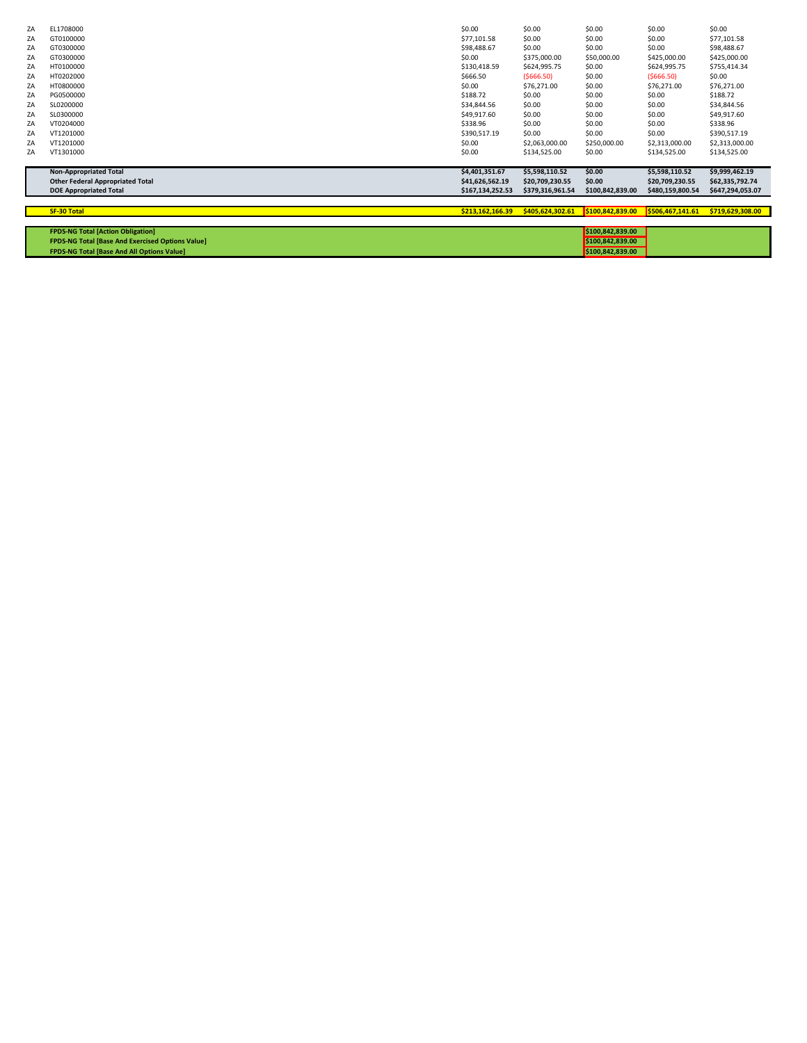| ZA | EL1708000                                               | \$0.00           | \$0.00           | \$0.00           | \$0.00           | \$0.00           |
|----|---------------------------------------------------------|------------------|------------------|------------------|------------------|------------------|
| ZA | GT0100000                                               | \$77,101.58      | \$0.00           | \$0.00           | \$0.00           | \$77,101.58      |
| ZA | GT0300000                                               | \$98,488.67      | \$0.00           | \$0.00           | \$0.00           | \$98,488.67      |
|    |                                                         |                  |                  |                  |                  |                  |
| ZA | GT0300000                                               | \$0.00           | \$375,000.00     | \$50,000.00      | \$425,000.00     | \$425,000.00     |
| ZA | HT0100000                                               | \$130,418.59     | \$624,995.75     | \$0.00           | \$624,995.75     | \$755,414.34     |
| ZA | HT0202000                                               | \$666.50         | (5666.50)        | \$0.00           | (5666.50)        | \$0.00           |
| ZA | HT0800000                                               | \$0.00           | \$76,271.00      | \$0.00           | \$76,271.00      | \$76,271.00      |
| ZA | PG0500000                                               | \$188.72         | \$0.00           | \$0.00           | \$0.00           | \$188.72         |
| ZA | SL0200000                                               | \$34,844.56      | \$0.00           | \$0.00           | \$0.00           | \$34,844.56      |
| ZA | SL0300000                                               | \$49,917.60      | \$0.00           | \$0.00           | \$0.00           | \$49,917.60      |
| ZA | VT0204000                                               | \$338.96         | \$0.00           | \$0.00           | \$0.00           | \$338.96         |
| ZA | VT1201000                                               | \$390,517.19     | \$0.00           | \$0.00           | \$0.00           | \$390,517.19     |
| ZA | VT1201000                                               | \$0.00           | \$2,063,000.00   | \$250,000.00     | \$2,313,000.00   | \$2,313,000.00   |
| ZA | VT1301000                                               | \$0.00           | \$134,525.00     | \$0.00           | \$134,525.00     | \$134,525.00     |
|    |                                                         |                  |                  |                  |                  |                  |
|    | <b>Non-Appropriated Total</b>                           | \$4,401,351.67   | \$5,598,110.52   | \$0.00           | \$5,598,110.52   | \$9,999,462.19   |
|    | <b>Other Federal Appropriated Total</b>                 | \$41,626,562.19  | \$20,709,230.55  | \$0.00           | \$20,709,230.55  | \$62,335,792.74  |
|    | <b>DOE Appropriated Total</b>                           | \$167,134,252.53 | \$379,316,961.54 | \$100,842,839.00 | \$480,159,800.54 | \$647,294,053.07 |
|    |                                                         |                  |                  |                  |                  |                  |
|    | <b>SF-30 Total</b>                                      | \$213,162,166.39 | \$405,624,302.61 | \$100,842,839.00 | \$506,467,141.61 | \$719,629,308.00 |
|    |                                                         |                  |                  |                  |                  |                  |
|    | <b>FPDS-NG Total [Action Obligation]</b>                |                  |                  | \$100,842,839.00 |                  |                  |
|    | <b>FPDS-NG Total [Base And Exercised Options Value]</b> |                  |                  | \$100,842,839.00 |                  |                  |
|    | <b>FPDS-NG Total [Base And All Options Value]</b>       |                  |                  | \$100,842,839.00 |                  |                  |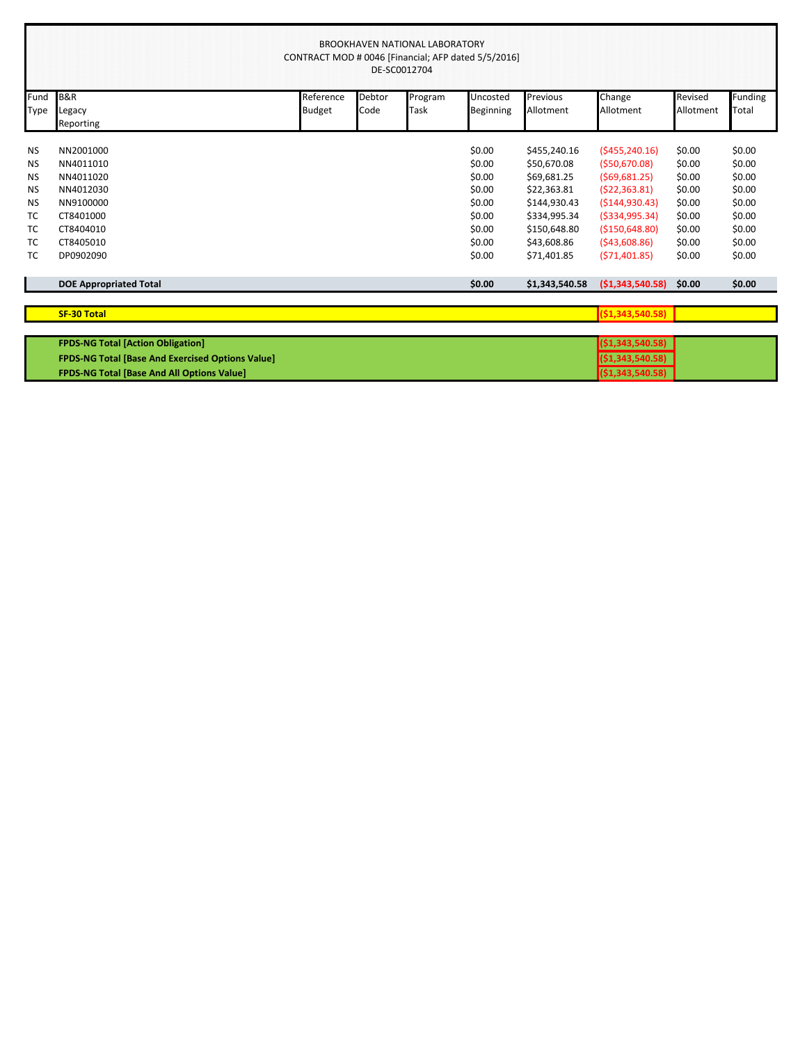|           | BROOKHAVEN NATIONAL LABORATORY<br>CONTRACT MOD # 0046 [Financial; AFP dated 5/5/2016]<br>DE-SC0012704 |               |        |         |           |                |                    |           |                |  |  |  |
|-----------|-------------------------------------------------------------------------------------------------------|---------------|--------|---------|-----------|----------------|--------------------|-----------|----------------|--|--|--|
| Fund      | <b>B&amp;R</b>                                                                                        | Reference     | Debtor | Program | Uncosted  | Previous       | Change             | Revised   | <b>Funding</b> |  |  |  |
| Type      | Legacy                                                                                                | <b>Budget</b> | Code   | Task    | Beginning | Allotment      | Allotment          | Allotment | Total          |  |  |  |
|           | Reporting                                                                                             |               |        |         |           |                |                    |           |                |  |  |  |
| <b>NS</b> | NN2001000                                                                                             |               |        |         | \$0.00    | \$455,240.16   | (5455, 240.16)     | \$0.00    | \$0.00         |  |  |  |
| NS        | NN4011010                                                                                             |               |        |         | \$0.00    | \$50,670.08    | (550,670.08)       | \$0.00    | \$0.00         |  |  |  |
| <b>NS</b> | NN4011020                                                                                             |               |        |         | \$0.00    | \$69,681.25    | (569, 681.25)      | \$0.00    | \$0.00         |  |  |  |
| <b>NS</b> | NN4012030                                                                                             |               |        |         | \$0.00    | \$22,363.81    | (522, 363.81)      | \$0.00    | \$0.00         |  |  |  |
| <b>NS</b> | NN9100000                                                                                             |               |        |         | \$0.00    | \$144,930.43   | ( \$144, 930.43)   | \$0.00    | \$0.00         |  |  |  |
| TC        | CT8401000                                                                                             |               |        |         | \$0.00    | \$334,995.34   | (5334,995.34)      | \$0.00    | \$0.00         |  |  |  |
| <b>TC</b> | CT8404010                                                                                             |               |        |         | \$0.00    | \$150,648.80   | ( \$150, 648.80)   | \$0.00    | \$0.00         |  |  |  |
| TC        | CT8405010                                                                                             |               |        |         | \$0.00    | \$43,608.86    | (543,608.86)       | \$0.00    | \$0.00         |  |  |  |
| ТC        | DP0902090                                                                                             |               |        |         | \$0.00    | \$71,401.85    | (571, 401.85)      | \$0.00    | \$0.00         |  |  |  |
|           |                                                                                                       |               |        |         |           |                |                    |           |                |  |  |  |
|           | <b>DOE Appropriated Total</b>                                                                         |               |        |         | \$0.00    | \$1,343,540.58 | (51,343,540.58)    | \$0.00    | \$0.00         |  |  |  |
|           |                                                                                                       |               |        |         |           |                |                    |           |                |  |  |  |
|           | <b>SF-30 Total</b>                                                                                    |               |        |         |           |                | (51, 343, 540.58)  |           |                |  |  |  |
|           |                                                                                                       |               |        |         |           |                |                    |           |                |  |  |  |
|           | <b>FPDS-NG Total [Action Obligation]</b>                                                              |               |        |         |           |                | ( \$1,343,540.58 ) |           |                |  |  |  |
|           | <b>FPDS-NG Total [Base And Exercised Options Value]</b>                                               |               |        |         |           |                | (51, 343, 540.58)  |           |                |  |  |  |
|           | <b>FPDS-NG Total [Base And All Options Value]</b>                                                     |               |        |         |           |                | ( \$1,343,540.58)  |           |                |  |  |  |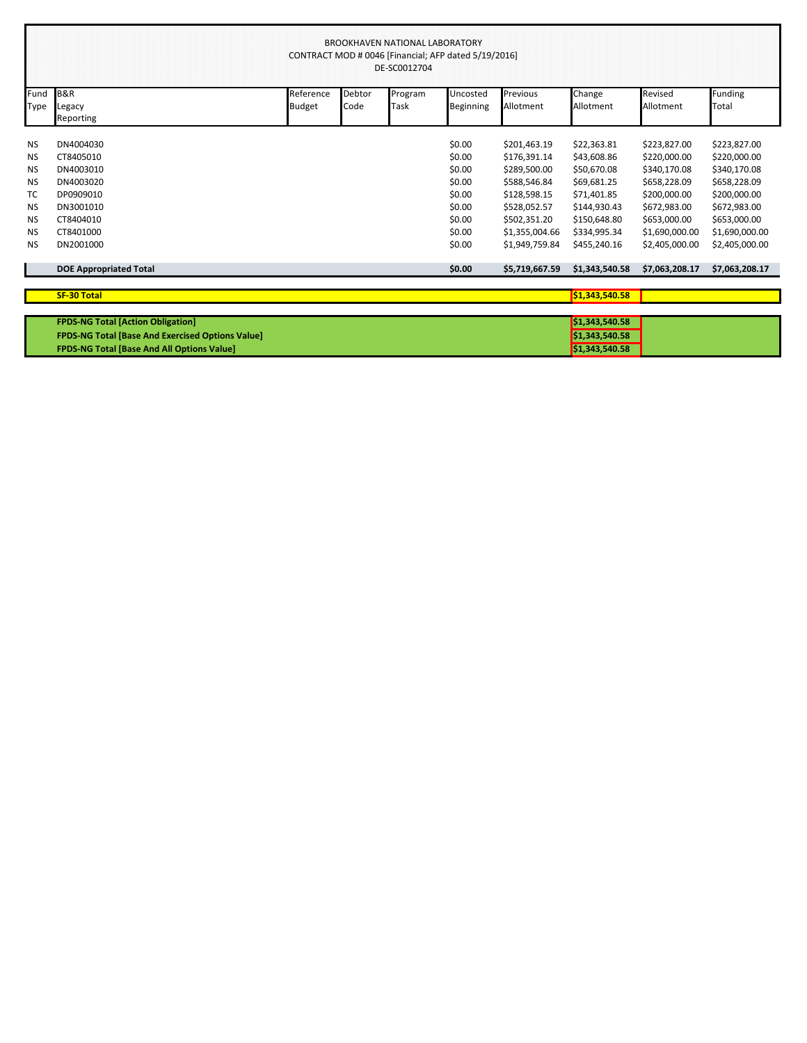|           | <b>BROOKHAVEN NATIONAL LABORATORY</b><br>CONTRACT MOD # 0046 [Financial; AFP dated 5/19/2016]<br>DE-SC0012704 |           |        |         |           |                |                |                |                |  |
|-----------|---------------------------------------------------------------------------------------------------------------|-----------|--------|---------|-----------|----------------|----------------|----------------|----------------|--|
| Fund      | <b>B&amp;R</b>                                                                                                | Reference | Debtor | Program | Uncosted  | Previous       | Change         | Revised        | Funding        |  |
| Type      | Legacy<br>Reporting                                                                                           | Budget    | Code   | Task    | Beginning | Allotment      | Allotment      | Allotment      | Total          |  |
| <b>NS</b> | DN4004030                                                                                                     |           |        |         | \$0.00    | \$201,463.19   | \$22,363.81    | \$223,827.00   | \$223,827.00   |  |
| <b>NS</b> | CT8405010                                                                                                     |           |        |         | \$0.00    | \$176,391.14   | \$43,608.86    | \$220,000.00   | \$220,000.00   |  |
| <b>NS</b> | DN4003010                                                                                                     |           |        |         | \$0.00    | \$289,500.00   | \$50,670.08    | \$340,170.08   | \$340,170.08   |  |
| <b>NS</b> | DN4003020                                                                                                     |           |        |         | \$0.00    | \$588,546.84   | \$69,681.25    | \$658,228.09   | \$658,228.09   |  |
| TC        | DP0909010                                                                                                     |           |        |         | \$0.00    | \$128,598.15   | \$71,401.85    | \$200,000.00   | \$200,000.00   |  |
| <b>NS</b> | DN3001010                                                                                                     |           |        |         | \$0.00    | \$528,052.57   | \$144,930.43   | \$672,983.00   | \$672,983.00   |  |
| <b>NS</b> | CT8404010                                                                                                     |           |        |         | \$0.00    | \$502,351.20   | \$150,648.80   | \$653,000.00   | \$653,000.00   |  |
| NS        | CT8401000                                                                                                     |           |        |         | \$0.00    | \$1,355,004.66 | \$334,995.34   | \$1,690,000.00 | \$1,690,000.00 |  |
| <b>NS</b> | DN2001000                                                                                                     |           |        |         | \$0.00    | \$1,949,759.84 | \$455,240.16   | \$2,405,000.00 | \$2,405,000.00 |  |
|           | <b>DOE Appropriated Total</b>                                                                                 |           |        |         | \$0.00    | \$5,719,667.59 | \$1,343,540.58 | \$7,063,208.17 | \$7,063,208.17 |  |
|           | <b>SF-30 Total</b>                                                                                            |           |        |         |           |                | \$1,343,540.58 |                |                |  |
|           |                                                                                                               |           |        |         |           |                |                |                |                |  |
|           | <b>FPDS-NG Total [Action Obligation]</b>                                                                      |           |        |         |           |                | \$1,343,540.58 |                |                |  |
|           | <b>FPDS-NG Total [Base And Exercised Options Value]</b>                                                       |           |        |         |           |                | \$1,343,540.58 |                |                |  |
|           | FPDS-NG Total [Base And All Options Value]                                                                    |           |        |         |           |                | \$1,343,540.58 |                |                |  |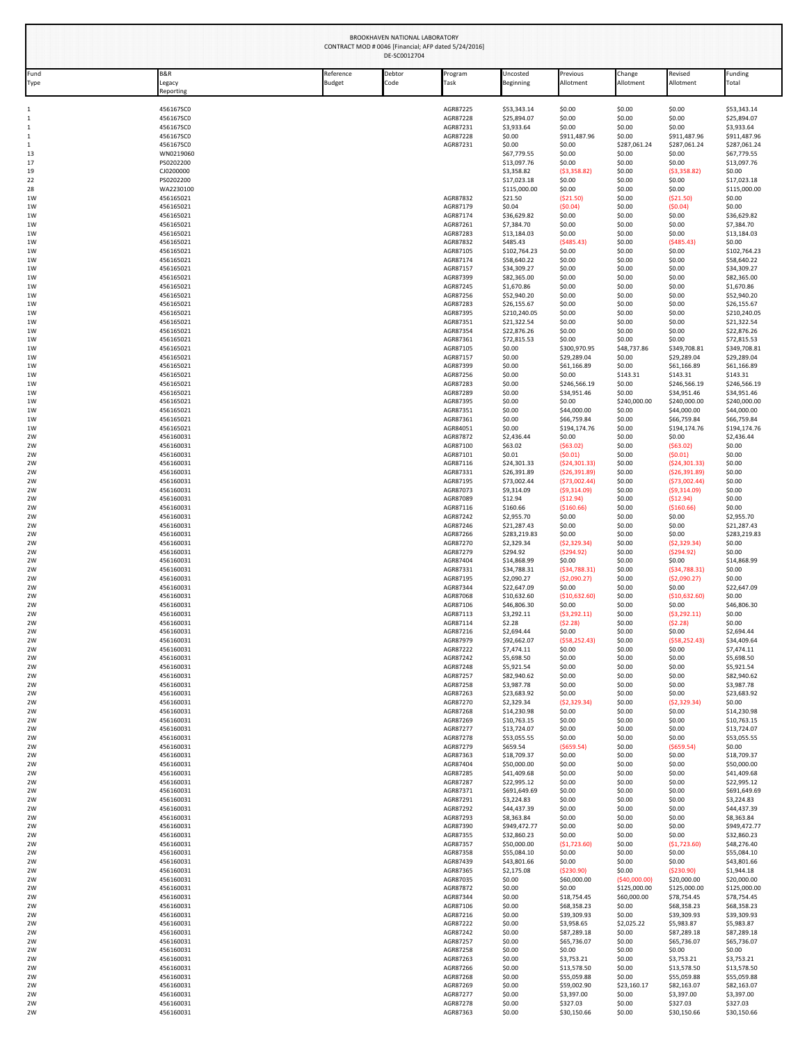|                   |                                       |                     | BROOKHAVEN NATIONAL LABORATORY<br>DE-SC0012704 | CONTRACT MOD # 0046 [Financial; AFP dated 5/24/2016] |                             |                            |                               |                             |                             |
|-------------------|---------------------------------------|---------------------|------------------------------------------------|------------------------------------------------------|-----------------------------|----------------------------|-------------------------------|-----------------------------|-----------------------------|
| Fund<br>Type      | <b>B&amp;R</b><br>Legacy<br>Reporting | Reference<br>Budget | Debtor<br>Code                                 | Program<br>Task                                      | Uncosted<br>Beginning       | Previous<br>Allotment      | Change<br>Allotment           | Revised<br>Allotment        | Funding<br>Total            |
| $\mathbf{1}$      | 456167SC0                             |                     |                                                | AGR87225                                             | \$53,343.14                 | \$0.00                     | \$0.00                        | \$0.00                      | \$53,343.14                 |
| $\mathbf{1}$      | 456167SC0                             |                     |                                                | AGR87228                                             | \$25.894.07                 | \$0.00                     | \$0.00                        | \$0.00                      | \$25.894.07                 |
| 1<br>$\mathbf{1}$ | 456167SC0<br>456167SC0                |                     |                                                | AGR87231<br>AGR87228                                 | \$3,933.64<br>\$0.00        | \$0.00<br>\$911,487.96     | \$0.00<br>\$0.00              | \$0.00<br>\$911,487.96      | \$3,933.64<br>\$911,487.96  |
| $\mathbf{1}$      | 456167SC0                             |                     |                                                | AGR87231                                             | \$0.00                      | \$0.00                     | \$287,061.24                  | \$287,061.24                | \$287,061.24                |
| 13<br>17          | WN0219060<br>PS0202200                |                     |                                                |                                                      | \$67,779.55<br>\$13,097.76  | \$0.00<br>\$0.00           | \$0.00<br>\$0.00              | \$0.00<br>\$0.00            | \$67,779.55<br>\$13,097.76  |
| 19                | CJ0200000                             |                     |                                                |                                                      | \$3,358.82                  | ( \$3,358.82)              | \$0.00                        | (53,358.82)                 | \$0.00                      |
| 22<br>28          | PS0202200<br>WA2230100                |                     |                                                |                                                      | \$17,023.18<br>\$115,000.00 | \$0.00<br>\$0.00           | \$0.00<br>\$0.00              | \$0.00<br>\$0.00            | \$17,023.18<br>\$115,000.00 |
| 1W                | 456165021                             |                     |                                                | AGR87832                                             | \$21.50                     | (\$21.50)                  | \$0.00                        | ( \$21.50)                  | \$0.00                      |
| 1W                | 456165021                             |                     |                                                | AGR87179                                             | \$0.04                      | (50.04)                    | \$0.00                        | (50.04)                     | \$0.00                      |
| 1W<br>1W          | 456165021<br>456165021                |                     |                                                | AGR87174<br>AGR87261                                 | \$36,629.82<br>\$7,384.70   | \$0.00<br>\$0.00           | \$0.00<br>\$0.00              | \$0.00<br>\$0.00            | \$36,629.82<br>\$7,384.70   |
| 1W                | 456165021                             |                     |                                                | AGR87283                                             | \$13,184.03                 | \$0.00                     | \$0.00                        | \$0.00                      | \$13,184.03                 |
| 1W<br>1W          | 456165021<br>456165021                |                     |                                                | AGR87832<br>AGR87105                                 | \$485.43<br>\$102,764.23    | (5485.43)<br>\$0.00        | \$0.00<br>\$0.00              | (5485.43)<br>\$0.00         | \$0.00<br>\$102,764.23      |
| 1W                | 456165021                             |                     |                                                | AGR87174                                             | \$58,640.22                 | \$0.00                     | \$0.00                        | \$0.00                      | \$58,640.22                 |
| 1W<br>1W          | 456165021<br>456165021                |                     |                                                | AGR87157<br>AGR87399                                 | \$34,309.27<br>\$82,365.00  | \$0.00<br>\$0.00           | \$0.00<br>\$0.00              | \$0.00<br>\$0.00            | \$34,309.27<br>\$82,365.00  |
| 1W                | 456165021                             |                     |                                                | AGR87245                                             | \$1,670.86                  | \$0.00                     | \$0.00                        | \$0.00                      | \$1,670.86                  |
| 1W                | 456165021                             |                     |                                                | AGR87256                                             | \$52,940.20                 | \$0.00                     | \$0.00                        | \$0.00                      | \$52,940.20                 |
| 1W<br>1W          | 456165021<br>456165021                |                     |                                                | AGR87283<br>AGR87395                                 | \$26,155.67<br>\$210,240.05 | \$0.00<br>\$0.00           | \$0.00<br>\$0.00              | \$0.00<br>\$0.00            | \$26,155.67<br>\$210,240.05 |
| 1W                | 456165021                             |                     |                                                | AGR87351                                             | \$21,322.54                 | \$0.00                     | \$0.00                        | \$0.00                      | \$21,322.54                 |
| 1W<br>1W          | 456165021<br>456165021                |                     |                                                | AGR87354<br>AGR87361                                 | \$22,876.26<br>\$72,815.53  | \$0.00<br>\$0.00           | \$0.00<br>\$0.00              | \$0.00<br>\$0.00            | \$22,876.26<br>\$72,815.53  |
| 1W                | 456165021                             |                     |                                                | AGR87105                                             | \$0.00                      | \$300,970.95               | \$48,737.86                   | \$349,708.81                | \$349,708.81                |
| 1W                | 456165021                             |                     |                                                | AGR87157                                             | \$0.00                      | \$29,289.04                | \$0.00                        | \$29,289.04                 | \$29,289.04                 |
| 1W<br>1W          | 456165021<br>456165021                |                     |                                                | AGR87399<br>AGR87256                                 | \$0.00<br>\$0.00            | \$61,166.89<br>\$0.00      | \$0.00<br>\$143.31            | \$61,166.89<br>\$143.31     | \$61,166.89<br>\$143.31     |
| 1W                | 456165021                             |                     |                                                | AGR87283                                             | \$0.00                      | \$246,566.19               | \$0.00                        | \$246,566.19                | \$246,566.19                |
| 1W<br>1W          | 456165021<br>456165021                |                     |                                                | AGR87289<br>AGR87395                                 | \$0.00<br>\$0.00            | \$34,951.46<br>\$0.00      | \$0.00<br>\$240,000.00        | \$34,951.46<br>\$240,000.00 | \$34,951.46<br>\$240,000.00 |
| 1W                | 456165021                             |                     |                                                | AGR87351                                             | \$0.00                      | \$44,000.00                | \$0.00                        | \$44,000.00                 | \$44,000.00                 |
| 1W                | 456165021                             |                     |                                                | AGR87361                                             | \$0.00                      | \$66,759.84                | \$0.00                        | \$66,759.84                 | \$66,759.84                 |
| 1W<br>2W          | 456165021<br>456160031                |                     |                                                | AGR84051<br>AGR87872                                 | \$0.00<br>\$2,436.44        | \$194,174.76<br>\$0.00     | \$0.00<br>\$0.00              | \$194,174.76<br>\$0.00      | \$194,174.76<br>\$2,436.44  |
| 2W                | 456160031                             |                     |                                                | AGR87100                                             | \$63.02                     | ( \$63.02)                 | \$0.00                        | (563.02)                    | \$0.00                      |
| 2W<br>2W          | 456160031<br>456160031                |                     |                                                | AGR87101<br>AGR87116                                 | \$0.01<br>\$24,301.33       | (50.01)<br>( \$24, 301.33) | \$0.00<br>\$0.00              | (50.01)<br>(524, 301.33)    | \$0.00<br>\$0.00            |
| 2W                | 456160031                             |                     |                                                | AGR87331                                             | \$26,391.89                 | ( \$26, 391.89)            | \$0.00                        | ( \$26, 391.89)             | \$0.00                      |
| 2W                | 456160031                             |                     |                                                | AGR87195<br>AGR87073                                 | \$73,002.44                 | ( \$73,002.44)             | \$0.00                        | (573,002.44)                | \$0.00                      |
| 2W<br>2W          | 456160031<br>456160031                |                     |                                                | AGR87089                                             | \$9,314.09<br>\$12.94       | ( \$9,314.09)<br>(512.94)  | \$0.00<br>\$0.00              | (59,314.09)<br>(512.94)     | \$0.00<br>\$0.00            |
| 2W                | 456160031                             |                     |                                                | AGR87116                                             | \$160.66                    | (\$160.66)                 | \$0.00                        | (\$160.66)                  | \$0.00                      |
| 2W<br>2W          | 456160031<br>456160031                |                     |                                                | AGR87242<br>AGR87246                                 | \$2,955.70<br>\$21,287.43   | \$0.00<br>\$0.00           | \$0.00<br>\$0.00              | \$0.00<br>\$0.00            | \$2,955.70<br>\$21,287.43   |
| 2W                | 456160031                             |                     |                                                | AGR87266                                             | \$283,219.83                | \$0.00                     | \$0.00                        | \$0.00                      | \$283,219.83                |
| 2W                | 456160031                             |                     |                                                | AGR87270                                             | \$2,329.34                  | (52, 329.34)               | \$0.00                        | ( \$2,329.34)               | \$0.00                      |
| 2W<br>2W          | 456160031<br>456160031                |                     |                                                | AGR87279<br>AGR87404                                 | \$294.92<br>\$14,868.99     | (5294.92)<br>\$0.00        | \$0.00<br>\$0.00              | (5294.92)<br>\$0.00         | \$0.00<br>\$14,868.99       |
| 2W                | 456160031                             |                     |                                                | AGR87331                                             | \$34,788.31                 | ( \$34,788.31)             | \$0.00                        | (534,788.31)                | \$0.00                      |
| 2W<br>2W          | 456160031<br>456160031                |                     |                                                | AGR87195<br>AGR87344                                 | \$2,090.27<br>\$22,647.09   | ( \$2,090.27)<br>\$0.00    | \$0.00<br>\$0.00              | ( \$2,090.27)<br>\$0.00     | \$0.00<br>\$22,647.09       |
| 2W                | 456160031                             |                     |                                                | AGR87068                                             | \$10,632.60                 | (510.632.60)               | \$0.00                        | (\$10,632.60)               | \$0.00                      |
| 2W<br>2W          | 456160031<br>456160031                |                     |                                                | AGR87106<br>AGR87113                                 | \$46,806.30<br>\$3,292.11   | \$0.00<br>( \$3, 292.11)   | \$0.00<br>\$0.00              | \$0.00<br>(53, 292.11)      | \$46,806.30<br>\$0.00       |
| 2W                | 456160031                             |                     |                                                | AGR87114                                             | \$2.28                      | (52.28)                    | \$0.00                        | (52.28)                     | \$0.00                      |
| 2W                | 456160031                             |                     |                                                | AGR87216                                             | \$2,694.44                  | \$0.00                     | \$0.00                        | \$0.00<br>(558, 252.43)     | \$2,694.44                  |
| 2W<br>2W          | 456160031<br>456160031                |                     |                                                | AGR87979<br>AGR87222                                 | \$92,662.07<br>\$7,474.11   | ( \$58, 252.43)<br>\$0.00  | \$0.00<br>\$0.00              | \$0.00                      | \$34,409.64<br>\$7,474.11   |
| 2W                | 456160031                             |                     |                                                | AGR87242                                             | \$5,698.50                  | \$0.00                     | \$0.00                        | \$0.00                      | \$5,698.50                  |
| 2W<br>2W          | 456160031<br>456160031                |                     |                                                | AGR87248<br>AGR87257                                 | \$5,921.54<br>\$82,940.62   | \$0.00<br>\$0.00           | \$0.00<br>\$0.00              | \$0.00<br>\$0.00            | \$5,921.54<br>\$82,940.62   |
| 2W                | 456160031                             |                     |                                                | AGR87258                                             | \$3,987.78                  | \$0.00                     | \$0.00                        | \$0.00                      | \$3,987.78                  |
| 2W<br>2W          | 456160031<br>456160031                |                     |                                                | AGR87263<br>AGR87270                                 | \$23,683.92<br>\$2,329.34   | \$0.00<br>(52, 329.34)     | \$0.00<br>\$0.00              | \$0.00<br>(52, 329.34)      | \$23,683.92<br>\$0.00       |
| 2W                | 456160031                             |                     |                                                | AGR87268                                             | \$14,230.98                 | \$0.00                     | \$0.00                        | \$0.00                      | \$14,230.98                 |
| 2W                | 456160031                             |                     |                                                | AGR87269                                             | \$10,763.15                 | \$0.00                     | \$0.00                        | \$0.00                      | \$10,763.15                 |
| 2W<br>2W          | 456160031<br>456160031                |                     |                                                | AGR87277<br>AGR87278                                 | \$13,724.07<br>\$53,055.55  | \$0.00<br>\$0.00           | \$0.00<br>\$0.00              | \$0.00<br>\$0.00            | \$13,724.07<br>\$53,055.55  |
| 2W                | 456160031                             |                     |                                                | AGR87279                                             | \$659.54                    | $($ \$659.54)              | \$0.00                        | ( \$659.54)                 | \$0.00                      |
| 2W<br>2W          | 456160031<br>456160031                |                     |                                                | AGR87363<br>AGR87404                                 | \$18,709.37<br>\$50,000.00  | \$0.00<br>\$0.00           | \$0.00<br>\$0.00              | \$0.00<br>\$0.00            | \$18,709.37<br>\$50,000.00  |
| 2W                | 456160031                             |                     |                                                | AGR87285                                             | \$41,409.68                 | \$0.00                     | \$0.00                        | \$0.00                      | \$41,409.68                 |
| 2W                | 456160031                             |                     |                                                | AGR87287                                             | \$22,995.12                 | \$0.00                     | \$0.00<br>\$0.00              | \$0.00                      | \$22,995.12                 |
| 2W<br>2W          | 456160031<br>456160031                |                     |                                                | AGR87371<br>AGR87291                                 | \$691,649.69<br>\$3,224.83  | \$0.00<br>\$0.00           | \$0.00                        | \$0.00<br>\$0.00            | \$691,649.69<br>\$3,224.83  |
| 2W                | 456160031                             |                     |                                                | AGR87292                                             | \$44,437.39                 | \$0.00                     | \$0.00                        | \$0.00                      | \$44,437.39                 |
| 2W<br>2W          | 456160031<br>456160031                |                     |                                                | AGR87293<br>AGR87390                                 | \$8,363.84<br>\$949,472.77  | \$0.00<br>\$0.00           | \$0.00<br>\$0.00              | \$0.00<br>\$0.00            | \$8,363.84<br>\$949,472.77  |
| 2W                | 456160031                             |                     |                                                | AGR87355                                             | \$32,860.23                 | \$0.00                     | \$0.00                        | \$0.00                      | \$32,860.23                 |
| 2W                | 456160031                             |                     |                                                | AGR87357                                             | \$50,000.00                 | (\$1,723.60)               | \$0.00                        | ( \$1,723.60)               | \$48,276.40                 |
| 2W<br>2W          | 456160031<br>456160031                |                     |                                                | AGR87358<br>AGR87439                                 | \$55,084.10<br>\$43,801.66  | \$0.00<br>\$0.00           | \$0.00<br>\$0.00              | \$0.00<br>\$0.00            | \$55,084.10<br>\$43,801.66  |
| 2W                | 456160031                             |                     |                                                | AGR87365                                             | \$2,175.08                  | ( \$230.90)                | \$0.00                        | ( \$230.90)                 | \$1,944.18                  |
| 2W<br>2W          | 456160031<br>456160031                |                     |                                                | AGR87035<br>AGR87872                                 | \$0.00<br>\$0.00            | \$60,000.00<br>\$0.00      | (\$40,000.00]<br>\$125,000.00 | \$20,000.00<br>\$125,000.00 | \$20,000.00<br>\$125,000.00 |
| 2W                | 456160031                             |                     |                                                | AGR87344                                             | \$0.00                      | \$18,754.45                | \$60,000.00                   | \$78,754.45                 | \$78,754.45                 |
| 2W                | 456160031                             |                     |                                                | AGR87106                                             | \$0.00                      | \$68,358.23                | \$0.00                        | \$68,358.23                 | \$68,358.23                 |
| 2W<br>2W          | 456160031<br>456160031                |                     |                                                | AGR87216<br>AGR87222                                 | \$0.00<br>\$0.00            | \$39,309.93<br>\$3,958.65  | \$0.00<br>\$2,025.22          | \$39,309.93<br>\$5,983.87   | \$39,309.93<br>\$5,983.87   |
| 2W                | 456160031                             |                     |                                                | AGR87242                                             | \$0.00                      | \$87,289.18                | \$0.00                        | \$87,289.18                 | \$87,289.18                 |
| 2W                | 456160031<br>456160031                |                     |                                                | AGR87257                                             | \$0.00<br>\$0.00            | \$65,736.07<br>\$0.00      | \$0.00<br>\$0.00              | \$65,736.07<br>\$0.00       | \$65,736.07<br>\$0.00       |
| 2W<br>2W          | 456160031                             |                     |                                                | AGR87258<br>AGR87263                                 | \$0.00                      | \$3,753.21                 | \$0.00                        | \$3,753.21                  | \$3,753.21                  |
| 2W                | 456160031                             |                     |                                                | AGR87266                                             | \$0.00                      | \$13,578.50                | \$0.00                        | \$13,578.50                 | \$13,578.50                 |
| 2W<br>2W          | 456160031<br>456160031                |                     |                                                | AGR87268<br>AGR87269                                 | \$0.00<br>\$0.00            | \$55,059.88<br>\$59,002.90 | \$0.00<br>\$23,160.17         | \$55,059.88<br>\$82,163.07  | \$55,059.88<br>\$82,163.07  |
| 2W                | 456160031                             |                     |                                                | AGR87277                                             | \$0.00                      | \$3,397.00                 | \$0.00                        | \$3,397.00                  | \$3,397.00                  |
| 2W<br>2W          | 456160031<br>456160031                |                     |                                                | AGR87278<br>AGR87363                                 | \$0.00<br>\$0.00            | \$327.03<br>\$30,150.66    | \$0.00<br>\$0.00              | \$327.03<br>\$30,150.66     | \$327.03<br>\$30,150.66     |
|                   |                                       |                     |                                                |                                                      |                             |                            |                               |                             |                             |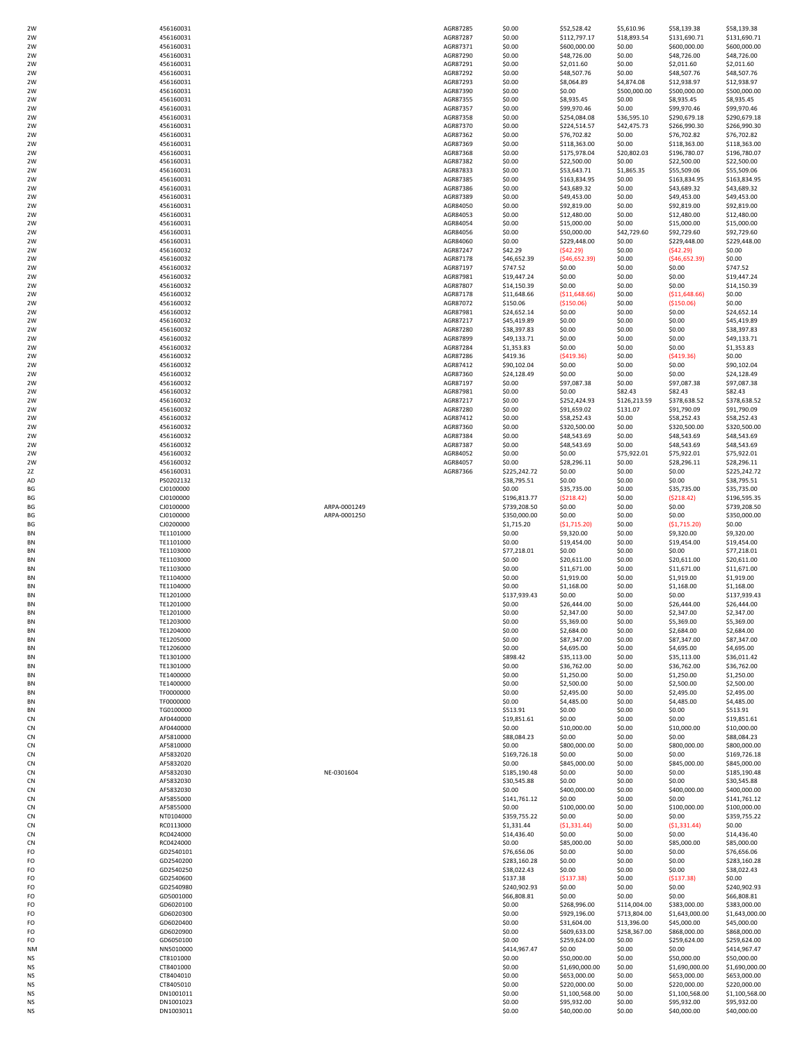|           | 456160031 |              | AGR87285 | \$0.00       | \$52,528.42    | \$5,610.96   | \$58,139.38    | \$58,139.38    |
|-----------|-----------|--------------|----------|--------------|----------------|--------------|----------------|----------------|
| 2W        | 456160031 |              | AGR87287 | \$0.00       | \$112,797.17   | \$18,893.54  | \$131,690.71   | \$131,690.71   |
| 2W        | 456160031 |              | AGR87371 | \$0.00       | \$600,000.00   | \$0.00       | \$600,000.00   | \$600,000.00   |
| 2W        | 456160031 |              | AGR87290 | \$0.00       |                | \$0.00       | \$48,726.00    | \$48,726.00    |
|           |           |              |          |              | \$48,726.00    |              |                |                |
| 2W        | 456160031 |              | AGR87291 | \$0.00       | \$2,011.60     | \$0.00       | \$2,011.60     | \$2,011.60     |
| 2W        | 456160031 |              | AGR87292 | \$0.00       | \$48,507.76    | \$0.00       | \$48,507.76    | \$48,507.76    |
| 2W        | 456160031 |              | AGR87293 | \$0.00       | \$8,064.89     | \$4,874.08   | \$12,938.97    | \$12,938.97    |
| 2W        | 456160031 |              | AGR87390 | \$0.00       | \$0.00         | \$500,000.00 | \$500,000.00   | \$500,000.00   |
| 2W        | 456160031 |              | AGR87355 | \$0.00       | \$8,935.45     | \$0.00       | \$8,935.45     | \$8,935.45     |
| 2W        | 456160031 |              | AGR87357 | \$0.00       | \$99,970.46    | \$0.00       | \$99,970.46    | \$99,970.46    |
| 2W        | 456160031 |              | AGR87358 | \$0.00       | \$254,084.08   | \$36,595.10  | \$290,679.18   | \$290,679.18   |
|           |           |              |          | \$0.00       |                |              |                |                |
| 2W        | 456160031 |              | AGR87370 |              | \$224,514.57   | \$42,475.73  | \$266,990.30   | \$266,990.30   |
| 2W        | 456160031 |              | AGR87362 | \$0.00       | \$76,702.82    | \$0.00       | \$76,702.82    | \$76,702.82    |
| 2W        | 456160031 |              | AGR87369 | \$0.00       | \$118,363.00   | \$0.00       | \$118,363.00   | \$118,363.00   |
| 2W        | 456160031 |              | AGR87368 | \$0.00       | \$175,978.04   | \$20,802.03  | \$196,780.07   | \$196,780.07   |
| 2W        | 456160031 |              | AGR87382 | \$0.00       | \$22,500.00    | \$0.00       | \$22,500.00    | \$22,500.00    |
| 2W        | 456160031 |              | AGR87833 | \$0.00       | \$53,643.71    | \$1,865.35   | \$55,509.06    | \$55,509.06    |
| 2W        | 456160031 |              | AGR87385 | \$0.00       | \$163,834.95   | \$0.00       | \$163,834.95   | \$163,834.95   |
| 2W        | 456160031 |              | AGR87386 | \$0.00       | \$43,689.32    | \$0.00       | \$43,689.32    | \$43,689.32    |
| 2W        |           |              | AGR87389 | \$0.00       |                |              |                |                |
|           | 456160031 |              |          |              | \$49,453.00    | \$0.00       | \$49,453.00    | \$49,453.00    |
| 2W        | 456160031 |              | AGR84050 | \$0.00       | \$92,819.00    | \$0.00       | \$92,819.00    | \$92,819.00    |
| 2W        | 456160031 |              | AGR84053 | \$0.00       | \$12,480.00    | \$0.00       | \$12,480.00    | \$12,480.00    |
| 2W        | 456160031 |              | AGR84054 | \$0.00       | \$15,000.00    | \$0.00       | \$15,000.00    | \$15,000.00    |
| 2W        | 456160031 |              | AGR84056 | \$0.00       | \$50,000.00    | \$42,729.60  | \$92,729.60    | \$92,729.60    |
| 2W        | 456160031 |              | AGR84060 | \$0.00       | \$229,448.00   | \$0.00       | \$229,448.00   | \$229,448.00   |
| 2W        | 456160032 |              | AGR87247 | \$42.29      | (542.29)       | \$0.00       | (542.29)       | \$0.00         |
| 2W        | 456160032 |              | AGR87178 | \$46,652.39  | (546, 652.39)  | \$0.00       | (546, 652.39)  | \$0.00         |
| 2W        | 456160032 |              | AGR87197 | \$747.52     | \$0.00         | \$0.00       | \$0.00         | \$747.52       |
|           |           |              |          |              |                |              |                |                |
| 2W        | 456160032 |              | AGR87981 | \$19,447.24  | \$0.00         | \$0.00       | \$0.00         | \$19,447.24    |
| 2W        | 456160032 |              | AGR87807 | \$14,150.39  | \$0.00         | \$0.00       | \$0.00         | \$14,150.39    |
| 2W        | 456160032 |              | AGR87178 | \$11,648.66  | ( \$11,648.66) | \$0.00       | ( \$11,648.66) | \$0.00         |
| 2W        | 456160032 |              | AGR87072 | \$150.06     | (\$150.06)     | \$0.00       | (\$150.06)     | \$0.00         |
| 2W        | 456160032 |              | AGR87981 | \$24,652.14  | \$0.00         | \$0.00       | \$0.00         | \$24,652.14    |
| 2W        | 456160032 |              | AGR87217 | \$45,419.89  | \$0.00         | \$0.00       | \$0.00         | \$45,419.89    |
| 2W        | 456160032 |              | AGR87280 | \$38,397.83  | \$0.00         | \$0.00       | \$0.00         | \$38,397.83    |
|           |           |              |          |              |                |              |                |                |
| 2W        | 456160032 |              | AGR87899 | \$49,133.71  | \$0.00         | \$0.00       | \$0.00         | \$49,133.71    |
| 2W        | 456160032 |              | AGR87284 | \$1,353.83   | \$0.00         | \$0.00       | \$0.00         | \$1,353.83     |
| 2W        | 456160032 |              | AGR87286 | \$419.36     | (5419.36)      | \$0.00       | (5419.36)      | \$0.00         |
| 2W        | 456160032 |              | AGR87412 | \$90,102.04  | \$0.00         | \$0.00       | \$0.00         | \$90,102.04    |
| 2W        | 456160032 |              | AGR87360 | \$24,128.49  | \$0.00         | \$0.00       | \$0.00         | \$24,128.49    |
| 2W        | 456160032 |              | AGR87197 | \$0.00       | \$97,087.38    | \$0.00       | \$97,087.38    | \$97,087.38    |
| 2W        | 456160032 |              | AGR87981 | \$0.00       | \$0.00         | \$82.43      | \$82.43        | \$82.43        |
| 2W        | 456160032 |              | AGR87217 | \$0.00       | \$252,424.93   | \$126,213.59 | \$378,638.52   | \$378,638.52   |
|           |           |              |          |              |                |              |                |                |
| 2W        | 456160032 |              | AGR87280 | \$0.00       | \$91,659.02    | \$131.07     | \$91,790.09    | \$91,790.09    |
| 2W        | 456160032 |              | AGR87412 | \$0.00       | \$58,252.43    | \$0.00       | \$58,252.43    | \$58,252.43    |
| 2W        | 456160032 |              | AGR87360 | \$0.00       | \$320,500.00   | \$0.00       | \$320,500.00   | \$320,500.00   |
| 2W        | 456160032 |              | AGR87384 | \$0.00       | \$48,543.69    | \$0.00       | \$48,543.69    | \$48,543.69    |
| 2W        | 456160032 |              | AGR87387 | \$0.00       | \$48,543.69    | \$0.00       | \$48,543.69    | \$48,543.69    |
| 2W        | 456160032 |              | AGR84052 | \$0.00       | \$0.00         | \$75,922.01  | \$75,922.01    | \$75,922.01    |
| 2W        | 456160032 |              | AGR84057 | \$0.00       | \$28,296.11    | \$0.00       | \$28,296.11    | \$28,296.11    |
| 2Z        | 456160031 |              | AGR87366 | \$225,242.72 | \$0.00         | \$0.00       | \$0.00         | \$225,242.72   |
|           |           |              |          |              |                |              |                |                |
| AD        | PS0202132 |              |          | \$38,795.51  | \$0.00         | \$0.00       | \$0.00         | \$38,795.51    |
| BG        | CJ0100000 |              |          | \$0.00       | \$35,735.00    | \$0.00       | \$35,735.00    | \$35,735.00    |
| ВG        | CJ0100000 |              |          | \$196,813.77 | (5218.42)      | \$0.00       | (5218.42)      | \$196,595.35   |
| BG        | CJ0100000 | ARPA-0001249 |          | \$739,208.50 | \$0.00         | \$0.00       | \$0.00         | \$739,208.50   |
| BG        | CJ0100000 | ARPA-0001250 |          | \$350,000.00 | \$0.00         | \$0.00       | \$0.00         | \$350,000.00   |
| BG        | CJ0200000 |              |          | \$1,715.20   | (51, 715.20)   | \$0.00       | (51,715.20)    | \$0.00         |
| BN        | TE1101000 |              |          | \$0.00       | \$9,320.00     | \$0.00       | \$9,320.00     | \$9,320.00     |
| BN        | TE1101000 |              |          | \$0.00       | \$19,454.00    | \$0.00       | \$19,454.00    | \$19,454.00    |
|           |           |              |          |              |                |              |                |                |
| <b>BN</b> | TE1103000 |              |          | \$77,218.01  | \$0.00         | \$0.00       | \$0.00         | \$77,218.01    |
| ΒN        | TE1103000 |              |          | \$0.00       | \$20,611.00    | \$0.00       | \$20,611.00    | \$20,611.00    |
| ΒN        | TE1103000 |              |          | \$0.00       | \$11,671.00    | \$0.00       | \$11,671.00    | \$11,671.00    |
| BN        | TE1104000 |              |          | \$0.00       | \$1,919.00     | \$0.00       | \$1,919.00     | \$1,919.00     |
| <b>BN</b> | TE1104000 |              |          | \$0.00       | \$1,168.00     | \$0.00       | \$1,168.00     | \$1,168.00     |
| ΒN        | TE1201000 |              |          | \$137,939.43 | \$0.00         | \$0.00       | \$0.00         | \$137,939.43   |
| <b>BN</b> | TE1201000 |              |          | \$0.00       | \$26,444.00    | \$0.00       | \$26,444.00    | \$26,444.00    |
|           |           |              |          |              |                |              |                |                |
|           | TE1201000 |              |          | \$0.00       | \$2,347.00     | \$0.00       | \$2,347.00     | \$2,347.00     |
| <b>BN</b> | TE1203000 |              |          | \$0.00       | \$5,369.00     | \$0.00       | \$5,369.00     | \$5,369.00     |
| BN        | TE1204000 |              |          | \$0.00       | \$2,684.00     | \$0.00       | \$2,684.00     | \$2,684.00     |
| ΒN        | TE1205000 |              |          | \$0.00       | \$87,347.00    | \$0.00       | \$87,347.00    | \$87,347.00    |
| BN        | TE1206000 |              |          | \$0.00       | \$4,695.00     | \$0.00       | \$4,695.00     | \$4,695.00     |
| ΒN        | TE1301000 |              |          | \$898.42     | \$35,113.00    | \$0.00       | \$35,113.00    | \$36,011.42    |
| ΒN        | TE1301000 |              |          | \$0.00       | \$36,762.00    | \$0.00       | \$36,762.00    | \$36,762.00    |
| ΒN        | TE1400000 |              |          | \$0.00       | \$1,250.00     | \$0.00       | \$1,250.00     | \$1,250.00     |
|           | TE1400000 |              |          |              |                |              |                | \$2,500.00     |
| BN        |           |              |          | \$0.00       | \$2,500.00     | \$0.00       | \$2,500.00     |                |
| BN        | TF0000000 |              |          | \$0.00       | \$2,495.00     | \$0.00       | \$2,495.00     | \$2,495.00     |
| BN        | TF0000000 |              |          | \$0.00       | \$4,485.00     | \$0.00       | \$4,485.00     | \$4,485.00     |
| ΒN        | TG0100000 |              |          | \$513.91     | \$0.00         | \$0.00       | \$0.00         | \$513.91       |
| CN        | AF0440000 |              |          | \$19,851.61  | \$0.00         | \$0.00       | \$0.00         | \$19,851.61    |
| CN        | AF0440000 |              |          | \$0.00       | \$10,000.00    | \$0.00       | \$10,000.00    | \$10,000.00    |
| CN        | AF5810000 |              |          | \$88,084.23  | \$0.00         | \$0.00       | \$0.00         | \$88,084.23    |
| CN        | AF5810000 |              |          | \$0.00       | \$800,000.00   | \$0.00       | \$800,000.00   | \$800,000.00   |
| CN        | AF5832020 |              |          | \$169,726.18 | \$0.00         | \$0.00       | \$0.00         | \$169,726.18   |
| CN        | AF5832020 |              |          | \$0.00       | \$845,000.00   | \$0.00       | \$845,000.00   | \$845,000.00   |
| CN        | AF5832030 | NE-0301604   |          | \$185,190.48 | \$0.00         | \$0.00       | \$0.00         | \$185,190.48   |
|           |           |              |          |              |                |              |                |                |
| CN        | AF5832030 |              |          | \$30,545.88  | \$0.00         | \$0.00       | \$0.00         | \$30,545.88    |
| CN        | AF5832030 |              |          | \$0.00       | \$400,000.00   | \$0.00       | \$400,000.00   | \$400,000.00   |
| CN        | AF5855000 |              |          | \$141,761.12 | \$0.00         | \$0.00       | \$0.00         | \$141,761.12   |
| CN        | AF5855000 |              |          | \$0.00       | \$100,000.00   | \$0.00       | \$100,000.00   | \$100,000.00   |
| CN        | NT0104000 |              |          | \$359,755.22 | \$0.00         | \$0.00       | \$0.00         | \$359,755.22   |
| CN        | RC0113000 |              |          | \$1,331.44   | ( \$1,331.44)  | \$0.00       | ( \$1,331.44)  | \$0.00         |
| CN        | RC0424000 |              |          | \$14,436.40  | \$0.00         | \$0.00       | \$0.00         | \$14,436.40    |
|           |           |              |          |              |                |              |                |                |
| CN        | RC0424000 |              |          | \$0.00       | \$85,000.00    | \$0.00       | \$85,000.00    | \$85,000.00    |
| FO        | GD2540101 |              |          | \$76,656.06  | \$0.00         | \$0.00       | \$0.00         | \$76,656.06    |
| FO        | GD2540200 |              |          | \$283,160.28 | \$0.00         | \$0.00       | \$0.00         | \$283,160.28   |
| FO        | GD2540250 |              |          | \$38,022.43  | \$0.00         | \$0.00       | \$0.00         | \$38,022.43    |
| FO        | GD2540600 |              |          | \$137.38     | (5137.38)      | \$0.00       | (5137.38)      | \$0.00         |
| FO        | GD2540980 |              |          | \$240,902.93 | \$0.00         | \$0.00       | \$0.00         | \$240,902.93   |
| FO        | GD5001000 |              |          | \$66,808.81  | \$0.00         | \$0.00       | \$0.00         | \$66,808.81    |
| FO        |           |              |          |              |                |              |                |                |
|           | GD6020100 |              |          | \$0.00       | \$268,996.00   | \$114,004.00 | \$383,000.00   | \$383,000.00   |
| FO        | GD6020300 |              |          | \$0.00       | \$929,196.00   | \$713,804.00 | \$1,643,000.00 | \$1,643,000.00 |
| FO        | GD6020400 |              |          | \$0.00       | \$31,604.00    | \$13,396.00  | \$45,000.00    | \$45,000.00    |
| FO        | GD6020900 |              |          | \$0.00       | \$609,633.00   | \$258,367.00 | \$868,000.00   | \$868,000.00   |
| FO        | GD6050100 |              |          | \$0.00       | \$259,624.00   | \$0.00       | \$259,624.00   | \$259,624.00   |
| NΜ        | NN5010000 |              |          | \$414,967.47 | \$0.00         | \$0.00       | \$0.00         | \$414,967.47   |
| NS        | CT8101000 |              |          | \$0.00       | \$50,000.00    | \$0.00       | \$50,000.00    | \$50,000.00    |
| NS        | CT8401000 |              |          | \$0.00       | \$1,690,000.00 | \$0.00       | \$1,690,000.00 | \$1,690,000.00 |
|           |           |              |          |              |                |              |                |                |
| NS        | CT8404010 |              |          | \$0.00       | \$653,000.00   | \$0.00       | \$653,000.00   | \$653,000.00   |
| NS        | CT8405010 |              |          | \$0.00       | \$220,000.00   | \$0.00       | \$220,000.00   | \$220,000.00   |
| NS        | DN1001011 |              |          | \$0.00       | \$1,100,568.00 | \$0.00       | \$1,100,568.00 | \$1,100,568.00 |
|           |           |              |          |              |                |              |                |                |
| NS        | DN1001023 |              |          | \$0.00       | \$95,932.00    | \$0.00       | \$95,932.00    | \$95,932.00    |
| ΝS        | DN1003011 |              |          | \$0.00       | \$40,000.00    | \$0.00       | \$40,000.00    | \$40,000.00    |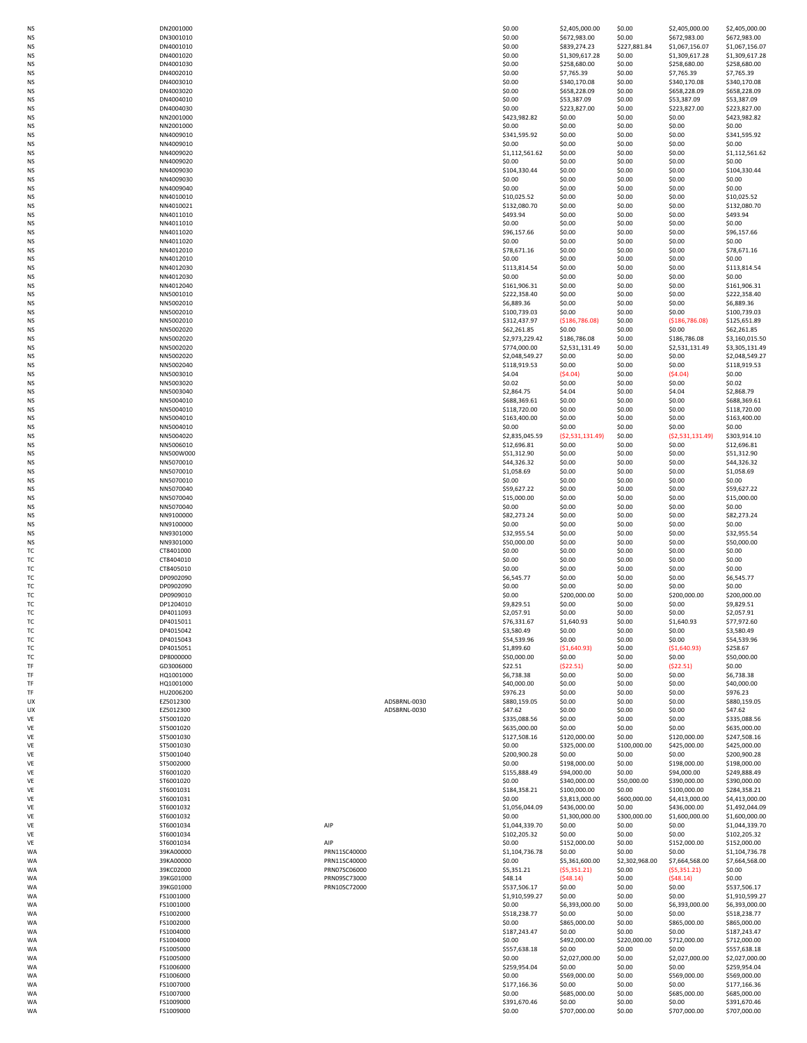| NS<br>ΝS | DN2001000<br>DN3001010 |                              | \$0.00<br>\$0.00               | \$2,405,000.00<br>\$672,983.00 | \$0.00<br>\$0.00         | \$2,405,000.00<br>\$672,983.00 | \$2,405,000.00<br>\$672,983.00   |
|----------|------------------------|------------------------------|--------------------------------|--------------------------------|--------------------------|--------------------------------|----------------------------------|
| NS       | DN4001010              |                              | \$0.00                         | \$839,274.23                   | \$227,881.84             | \$1,067,156.07                 | \$1,067,156.07                   |
| ΝS       | DN4001020              |                              | \$0.00                         | \$1,309,617.28                 | \$0.00                   | \$1,309,617.28                 | \$1,309,617.28                   |
| ΝS<br>NS | DN4001030<br>DN4002010 |                              | \$0.00<br>\$0.00               | \$258,680.00<br>\$7,765.39     | \$0.00<br>\$0.00         | \$258,680.00<br>\$7,765.39     | \$258,680.00<br>\$7,765.39       |
| NS       | DN4003010              |                              | \$0.00                         | \$340,170.08                   | \$0.00                   | \$340,170.08                   | \$340,170.08                     |
| ΝS       | DN4003020              |                              | \$0.00                         | \$658,228.09                   | \$0.00                   | \$658,228.09                   | \$658,228.09                     |
| NS<br>NS | DN4004010<br>DN4004030 |                              | \$0.00<br>\$0.00               | \$53,387.09<br>\$223,827.00    | \$0.00<br>\$0.00         | \$53,387.09<br>\$223,827.00    | \$53,387.09<br>\$223,827.00      |
| NS       | NN2001000              |                              | \$423,982.82                   | \$0.00                         | \$0.00                   | \$0.00                         | \$423,982.82                     |
| ΝS       | NN2001000              |                              | \$0.00                         | \$0.00                         | \$0.00                   | \$0.00                         | \$0.00                           |
| NS       | NN4009010<br>NN4009010 |                              | \$341,595.92<br>\$0.00         | \$0.00<br>\$0.00               | \$0.00<br>\$0.00         | \$0.00<br>\$0.00               | \$341,595.92<br>\$0.00           |
| NS<br>NS | NN4009020              |                              | \$1,112,561.62                 | \$0.00                         | \$0.00                   | \$0.00                         | \$1,112,561.62                   |
| NS       | NN4009020              |                              | \$0.00                         | \$0.00                         | \$0.00                   | \$0.00                         | \$0.00                           |
| NS       | NN4009030              |                              | \$104,330.44                   | \$0.00                         | \$0.00                   | \$0.00                         | \$104,330.44                     |
| NS<br>NS | NN4009030<br>NN4009040 |                              | \$0.00<br>\$0.00               | \$0.00<br>\$0.00               | \$0.00<br>\$0.00         | \$0.00<br>\$0.00               | \$0.00<br>\$0.00                 |
| NS       | NN4010010              |                              | \$10,025.52                    | \$0.00                         | \$0.00                   | \$0.00                         | \$10,025.52                      |
| NS       | NN4010021              |                              | \$132,080.70                   | \$0.00                         | \$0.00                   | \$0.00                         | \$132,080.70                     |
| NS<br>NS | NN4011010<br>NN4011010 |                              | \$493.94<br>\$0.00             | \$0.00<br>\$0.00               | \$0.00<br>\$0.00         | \$0.00<br>\$0.00               | \$493.94<br>\$0.00               |
| NS       | NN4011020              |                              | \$96,157.66                    | \$0.00                         | \$0.00                   | \$0.00                         | \$96,157.66                      |
| NS       | NN4011020              |                              | \$0.00                         | \$0.00                         | \$0.00                   | \$0.00                         | \$0.00                           |
| NS<br>NS | NN4012010<br>NN4012010 |                              | \$78,671.16<br>\$0.00          | \$0.00<br>\$0.00               | \$0.00<br>\$0.00         | \$0.00<br>\$0.00               | \$78,671.16<br>\$0.00            |
| NS       | NN4012030              |                              | \$113,814.54                   | \$0.00                         | \$0.00                   | \$0.00                         | \$113,814.54                     |
| NS       | NN4012030              |                              | \$0.00                         | \$0.00                         | \$0.00                   | \$0.00                         | \$0.00                           |
| ΝS<br>NS | NN4012040<br>NN5001010 |                              | \$161,906.31<br>\$222,358.40   | \$0.00<br>\$0.00               | \$0.00<br>\$0.00         | \$0.00<br>\$0.00               | \$161,906.31<br>\$222,358.40     |
| NS       | NN5002010              |                              | \$6,889.36                     | \$0.00                         | \$0.00                   | \$0.00                         | \$6,889.36                       |
| ΝS       | NN5002010              |                              | \$100,739.03                   | \$0.00                         | \$0.00                   | \$0.00                         | \$100,739.03                     |
| NS<br>NS | NN5002010<br>NN5002020 |                              | \$312,437.97                   | (\$186,786.08)                 | \$0.00                   | ( \$186, 786.08)               | \$125,651.89                     |
| NS       | NN5002020              |                              | \$62,261.85<br>\$2,973,229.42  | \$0.00<br>\$186,786.08         | \$0.00<br>\$0.00         | \$0.00<br>\$186,786.08         | \$62,261.85<br>\$3,160,015.50    |
| ΝS       | NN5002020              |                              | \$774,000.00                   | \$2,531,131.49                 | \$0.00                   | \$2,531,131.49                 | \$3,305,131.49                   |
| ΝS       | NN5002020              |                              | \$2,048,549.27                 | \$0.00                         | \$0.00                   | \$0.00                         | \$2,048,549.27                   |
| NS<br>NS | NN5002040<br>NN5003010 |                              | \$118,919.53<br>\$4.04         | \$0.00<br>(\$4.04)             | \$0.00<br>\$0.00         | \$0.00<br>(\$4.04]             | \$118,919.53<br>\$0.00           |
| ΝS       | NN5003020              |                              | \$0.02                         | \$0.00                         | \$0.00                   | \$0.00                         | \$0.02                           |
| NS       | NN5003040              |                              | \$2,864.75                     | \$4.04                         | \$0.00                   | \$4.04                         | \$2,868.79<br>\$688,369.61       |
| NS<br>NS | NN5004010<br>NN5004010 |                              | \$688,369.61<br>\$118,720.00   | \$0.00<br>\$0.00               | \$0.00<br>\$0.00         | \$0.00<br>\$0.00               | \$118,720.00                     |
| NS       | NN5004010              |                              | \$163,400.00                   | \$0.00                         | \$0.00                   | \$0.00                         | \$163,400.00                     |
| NS       | NN5004010              |                              | \$0.00                         | \$0.00                         | \$0.00                   | \$0.00                         | \$0.00                           |
| NS<br>NS | NN5004020<br>NN5006010 |                              | \$2,835,045.59<br>\$12,696.81  | ( \$2,531,131.49)<br>\$0.00    | \$0.00<br>\$0.00         | ( \$2,531,131.49)<br>\$0.00    | \$303,914.10<br>\$12,696.81      |
| NS       | NN500W000              |                              | \$51,312.90                    | \$0.00                         | \$0.00                   | \$0.00                         | \$51,312.90                      |
| NS       | NN5070010              |                              | \$44,326.32                    | \$0.00                         | \$0.00                   | \$0.00                         | \$44,326.32                      |
| NS<br>NS | NN5070010<br>NN5070010 |                              | \$1,058.69<br>\$0.00           | \$0.00<br>\$0.00               | \$0.00<br>\$0.00         | \$0.00<br>\$0.00               | \$1,058.69<br>\$0.00             |
| NS       | NN5070040              |                              | \$59,627.22                    | \$0.00                         | \$0.00                   | \$0.00                         | \$59,627.22                      |
| NS       | NN5070040              |                              | \$15,000.00                    | \$0.00                         | \$0.00                   | \$0.00                         | \$15,000.00                      |
| NS<br>NS | NN5070040<br>NN9100000 |                              | \$0.00<br>\$82,273.24          | \$0.00<br>\$0.00               | \$0.00<br>\$0.00         | \$0.00<br>\$0.00               | \$0.00<br>\$82,273.24            |
| NS       | NN9100000              |                              | \$0.00                         | \$0.00                         | \$0.00                   | \$0.00                         | \$0.00                           |
| ΝS       | NN9301000              |                              | \$32,955.54                    | \$0.00                         | \$0.00                   | \$0.00                         | \$32,955.54                      |
| ΝS<br>ТC | NN9301000<br>CT8401000 |                              | \$50,000.00<br>\$0.00          | \$0.00<br>\$0.00               | \$0.00<br>\$0.00         | \$0.00<br>\$0.00               | \$50,000.00<br>\$0.00            |
| ТC       | CT8404010              |                              | \$0.00                         | \$0.00                         | \$0.00                   | \$0.00                         | \$0.00                           |
| ТC       | CT8405010              |                              | \$0.00                         | \$0.00                         | \$0.00                   | \$0.00                         | \$0.00                           |
| ТC       | DP0902090              |                              | \$6,545.77                     | \$0.00                         | \$0.00                   | \$0.00                         | \$6,545.77                       |
| ТC<br>ТC | DP0902090<br>DP0909010 |                              | \$0.00<br>\$0.00               | \$0.00<br>\$200,000.00         | \$0.00<br>\$0.00         | \$0.00<br>\$200,000.00         | \$0.00<br>\$200,000.00           |
| ТC       | DP1204010              |                              | \$9,829.51                     | \$0.00                         | \$0.00                   | \$0.00                         | \$9,829.51                       |
| ТC       | DP4011093              |                              | \$2,057.91                     | \$0.00                         | \$0.00                   | \$0.00                         | \$2,057.91                       |
| ТC<br>ТC | DP4015011<br>DP4015042 |                              | \$76,331.67<br>\$3,580.49      | \$1,640.93<br>\$0.00           | \$0.00<br>\$0.00         | \$1,640.93<br>\$0.00           | \$77,972.60<br>\$3,580.49        |
| ТC       | DP4015043              |                              | \$54,539.96                    | \$0.00                         | \$0.00                   | \$0.00                         | \$54,539.96                      |
| ТC       | DP4015051              |                              | \$1,899.60                     | (\$1,640.93)                   | \$0.00                   | ( \$1,640.93)                  | \$258.67                         |
| ТC<br>TF | DP8000000<br>GD3006000 |                              | \$50,000.00<br>\$22.51         | \$0.00<br>( \$22.51)           | \$0.00<br>\$0.00         | \$0.00<br>( \$22.51)           | \$50,000.00<br>\$0.00            |
| TF       | HQ1001000              |                              | \$6,738.38                     | \$0.00                         | \$0.00                   | \$0.00                         | \$6,738.38                       |
| TF       | HQ1001000              |                              | \$40,000.00                    | \$0.00                         | \$0.00                   | \$0.00                         | \$40,000.00                      |
| TF<br>UX | HU2006200<br>EZ5012300 | ADSBRNL-0030                 | \$976.23<br>\$880,159.05       | \$0.00<br>\$0.00               | \$0.00<br>\$0.00         | \$0.00<br>\$0.00               | \$976.23<br>\$880,159.05         |
| UX       | EZ5012300              | ADSBRNL-0030                 | \$47.62                        |                                | \$0.00                   | \$0.00                         | \$47.62                          |
| VE       | ST5001020              |                              |                                | \$0.00                         |                          |                                |                                  |
|          |                        |                              | \$335,088.56                   | \$0.00                         | \$0.00                   | \$0.00                         | \$335,088.56                     |
| VE       | ST5001020<br>ST5001030 |                              | \$635,000.00                   | \$0.00<br>\$120,000.00         | \$0.00                   | \$0.00                         | \$635,000.00                     |
| VE<br>VE | ST5001030              |                              | \$127,508.16<br>\$0.00         | \$325,000.00                   | \$0.00<br>\$100,000.00   | \$120,000.00<br>\$425,000.00   | \$247,508.16<br>\$425,000.00     |
| VE       | ST5001040              |                              | \$200,900.28                   | \$0.00                         | \$0.00                   | \$0.00                         | \$200,900.28                     |
| VE       | ST5002000              |                              | \$0.00                         | \$198,000.00                   | \$0.00                   | \$198,000.00                   | \$198,000.00                     |
| VE<br>VF | ST6001020<br>ST6001020 |                              | \$155,888.49<br>\$0.00         | \$94,000.00                    | \$0.00<br>\$50,000.00    | \$94,000.00                    | \$249,888.49<br>\$390,000.00     |
| VE       | ST6001031              |                              | \$184,358.21                   | \$340,000.00<br>\$100,000.00   | \$0.00                   | \$390,000.00<br>\$100,000.00   | \$284,358.21                     |
| VE       | ST6001031              |                              | \$0.00                         | \$3,813,000.00                 | \$600,000.00             | \$4,413,000.00                 | \$4,413,000.00                   |
| VE<br>VE | ST6001032<br>ST6001032 |                              | \$1,056,044.09<br>\$0.00       | \$436,000.00<br>\$1,300,000.00 | \$0.00<br>\$300,000.00   | \$436,000.00<br>\$1,600,000.00 | \$1,492,044.09                   |
| VE       | ST6001034              | AIP                          | \$1,044,339.70                 | \$0.00                         | \$0.00                   | \$0.00                         | \$1,600,000.00<br>\$1,044,339.70 |
| VE       | ST6001034              |                              | \$102,205.32                   | \$0.00                         | \$0.00                   | \$0.00                         | \$102,205.32                     |
| VE       | ST6001034              | AIP                          | \$0.00                         | \$152,000.00                   | \$0.00                   | \$152,000.00                   | \$152,000.00                     |
| WA<br>WA | 39KA00000<br>39KA00000 | PRN11SC40000<br>PRN11SC40000 | \$1,104,736.78<br>\$0.00       | \$0.00<br>\$5,361,600.00       | \$0.00<br>\$2,302,968.00 | \$0.00<br>\$7,664,568.00       | \$1,104,736.78<br>\$7,664,568.00 |
| WA       | 39KC02000              | PRN07SC06000                 | \$5,351.21                     | ( \$5,351.21)                  | \$0.00                   | ( \$5,351.21)                  | \$0.00                           |
| WA<br>WA | 39KG01000<br>39KG01000 | PRN09SC73000                 | \$48.14                        | (548.14)<br>\$0.00             | \$0.00<br>\$0.00         | (548.14)<br>\$0.00             | \$0.00                           |
| WA       | FS1001000              | PRN10SC72000                 | \$537,506.17<br>\$1,910,599.27 | \$0.00                         | \$0.00                   | \$0.00                         | \$537,506.17<br>\$1,910,599.27   |
| WA       | FS1001000              |                              | \$0.00                         | \$6,393,000.00                 | \$0.00                   | \$6,393,000.00                 | \$6,393,000.00                   |
| WA       | FS1002000              |                              | \$518,238.77                   | \$0.00                         | \$0.00                   | \$0.00                         | \$518,238.77                     |
| WA<br>WA | FS1002000<br>FS1004000 |                              | \$0.00<br>\$187,243.47         | \$865,000.00<br>\$0.00         | \$0.00<br>\$0.00         | \$865,000.00<br>\$0.00         | \$865,000.00<br>\$187,243.47     |
| WA       | FS1004000              |                              | \$0.00                         | \$492,000.00                   | \$220,000.00             | \$712,000.00                   | \$712,000.00                     |
| WA       | FS1005000              |                              | \$557,638.18                   | \$0.00                         | \$0.00                   | \$0.00                         | \$557,638.18                     |
| WA<br>WA | FS1005000<br>FS1006000 |                              | \$0.00<br>\$259,954.04         | \$2,027,000.00<br>\$0.00       | \$0.00<br>\$0.00         | \$2,027,000.00<br>\$0.00       | \$2,027,000.00<br>\$259,954.04   |
| WA       | FS1006000              |                              | \$0.00                         | \$569,000.00                   | \$0.00                   | \$569,000.00                   | \$569,000.00                     |
| WA       | FS1007000              |                              | \$177,166.36                   | \$0.00                         | \$0.00                   | \$0.00                         | \$177,166.36                     |
| WA<br>WA | FS1007000<br>FS1009000 |                              | \$0.00<br>\$391,670.46         | \$685,000.00<br>\$0.00         | \$0.00<br>\$0.00         | \$685,000.00<br>\$0.00         | \$685,000.00<br>\$391,670.46     |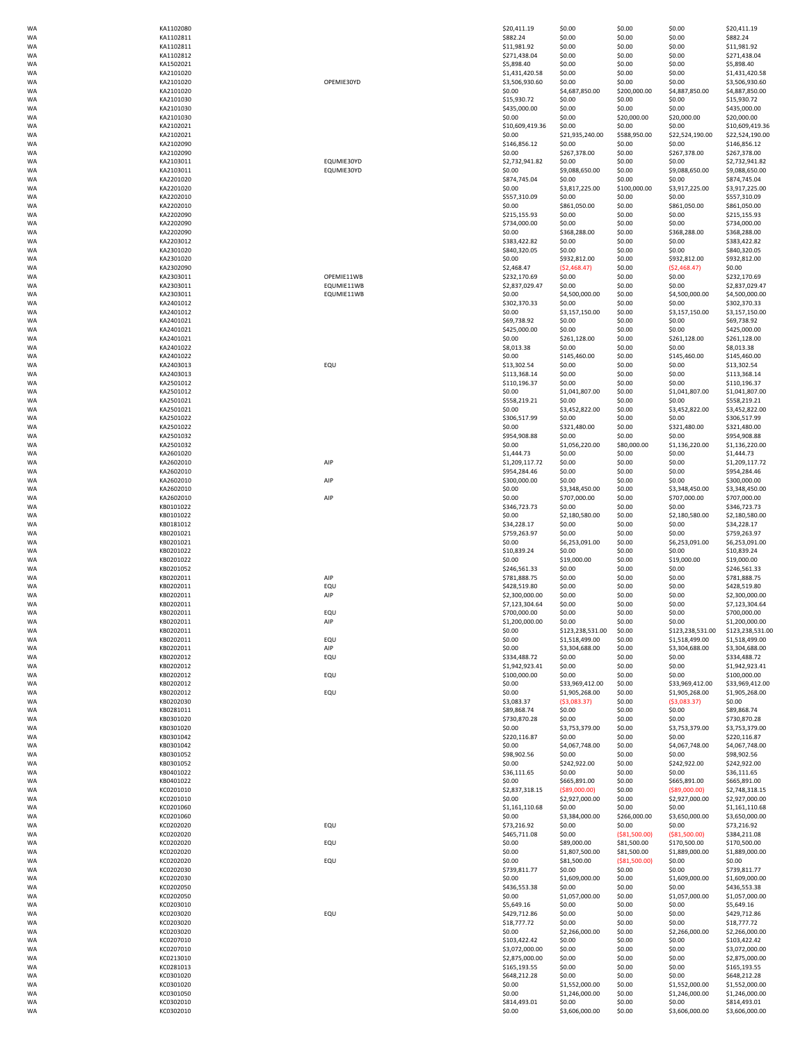| KA1102080              |
|------------------------|
| KA1102811              |
| KA1102811<br>KA1102812 |
| KA1502021              |
| KA2101020              |
| KA2101020              |
|                        |
| KA2101020<br>KA2101030 |
| KA2101030              |
|                        |
| KA2101030              |
| KA2102021<br>KA2102021 |
| KA2102090              |
| KA2102090              |
| KA2103011              |
| KA2103011              |
| KA2201020              |
| KA2201020              |
| KA2202010              |
| KA2202010              |
| KA2202090              |
| KA2202090              |
| KA2202090              |
| KA2203012              |
| KA2301020              |
| KA2301020              |
| KA2302090              |
| KA2303011              |
| KA2303011              |
| KA2303011              |
| KA2401012              |
| KA2401012              |
| KA2401021              |
| KA2401021              |
| KA2401021              |
| KA2401022              |
| KA2401022              |
| KA2403013              |
|                        |
| KA2403013              |
| KA2501012<br>KA2501012 |
| KA2501021              |
| KA2501021              |
|                        |
| KA2501022              |
| KA2501022              |
| KA2501032              |
| KA2501032              |
| KA2601020              |
| KA2602010              |
| KA2602010              |
| KA2602010              |
| KA2602010              |
| KA2602010              |
| KB0101022<br>KB0101022 |
|                        |
| KB0181012<br>KB0201021 |
|                        |
| KB0201021<br>KB0201022 |
|                        |
| KB0201022<br>KB0201052 |
|                        |
| KB0202011              |
| KB0202011              |
| KB0202011              |
| KB0202011              |
| KB0202011              |
| KB0202011              |
| KB0202011              |
| KB0202011<br>KB0202011 |
| KB0202012              |
| KB0202012              |
| KB0202012              |
| KB0202012              |
| KB0202012              |
| KB0202030              |
| KB0281011              |
|                        |
| KB0301020              |
| KB0301020              |
| KB0301042              |
| KB0301042              |
| KB0301052              |
| KB0301052              |
| KB0401022              |
| KB0401022              |
| KC0201010              |
| KC0201010              |
| KC0201060              |
| KC0201060              |
| KC0202020              |
| KC0202020              |
| KC0202020              |
| KC0202020              |
| KC0202020              |
| KC0202030              |
| KC0202030              |
|                        |
| KC0202050              |
| KC0202050              |
| KC0203010<br>KC0203020 |
|                        |
| KC0203020              |
| KC0203020              |
| KC0207010<br>KC0207010 |
| KC0213010              |
| KC0281013              |
| KC0301020              |
| KC0301020              |
| KC0301050              |
| KC0302010              |

| OPEMIE30YD                             |
|----------------------------------------|
| EQUMIE30YD<br>EQUMIE30YD               |
| OPEMIE11WB<br>EQUMIE11WB<br>EQUMIE11WB |
| EQU                                    |
|                                        |
| AIP                                    |
| AIP                                    |
| AIP                                    |
|                                        |
| AIP<br>EQU<br>AIP                      |
| EQU<br>AIP                             |
| EQU<br>AIP                             |
| EQU                                    |
| EQU<br>EQU                             |
|                                        |
| EQU                                    |
| EQU                                    |
| EQU                                    |
|                                        |
| EQU                                    |

| WA | KA1102080 |            | \$20,411.19     | \$0.00           | \$0.00         | \$0.00                             | \$20,411.19                        |
|----|-----------|------------|-----------------|------------------|----------------|------------------------------------|------------------------------------|
| WA | KA1102811 |            | \$882.24        | \$0.00           | \$0.00         | \$0.00                             | \$882.24                           |
| WA | KA1102811 |            | \$11,981.92     | \$0.00           | \$0.00         | \$0.00                             | \$11,981.92                        |
| WA | KA1102812 |            | \$271,438.04    | \$0.00           | \$0.00         | \$0.00                             | \$271,438.04                       |
| WA | KA1502021 |            | \$5,898.40      | \$0.00           | \$0.00         | \$0.00                             | \$5,898.40                         |
| WA | KA2101020 |            | \$1,431,420.58  | \$0.00           | \$0.00         | \$0.00                             | \$1,431,420.58                     |
| WA | KA2101020 | OPEMIE30YD | \$3,506,930.60  | \$0.00           | \$0.00         | \$0.00                             | \$3,506,930.60                     |
| WA | KA2101020 |            | \$0.00          | \$4,687,850.00   | \$200,000.00   | \$4,887,850.00                     | \$4,887,850.00                     |
| WA | KA2101030 |            | \$15,930.72     | \$0.00           | \$0.00         | \$0.00                             | \$15,930.72                        |
| WA | KA2101030 |            | \$435,000.00    | \$0.00           | \$0.00         | \$0.00                             | \$435,000.00                       |
| WA | KA2101030 |            | \$0.00          | \$0.00           | \$20,000.00    | \$20,000.00                        | \$20,000.00                        |
| WA | KA2102021 |            | \$10,609,419.36 | \$0.00           | \$0.00         | \$0.00                             | \$10,609,419.36                    |
| WA | KA2102021 |            | \$0.00          | \$21,935,240.00  | \$588,950.00   | \$22,524,190.00                    | \$22,524,190.00                    |
| WA | KA2102090 |            | \$146,856.12    | \$0.00           | \$0.00         | \$0.00                             | \$146,856.12                       |
| WA | KA2102090 |            | \$0.00          | \$267,378.00     | \$0.00         | \$267,378.00                       | \$267,378.00                       |
| WA | KA2103011 | EQUMIE30YD | \$2,732,941.82  | \$0.00           | \$0.00         | \$0.00                             | \$2,732,941.82                     |
| WA | KA2103011 | EQUMIE30YD | \$0.00          | \$9,088,650.00   | \$0.00         | \$9,088,650.00                     | \$9,088,650.00                     |
| WA | KA2201020 |            | \$874.745.04    | \$0.00           | \$0.00         | \$0.00                             | \$874,745.04                       |
| WA | KA2201020 |            | \$0.00          | \$3,817,225.00   | \$100,000.00   | \$3,917,225.00                     | \$3,917,225.00                     |
| WA | KA2202010 |            | \$557,310.09    | \$0.00           | \$0.00         | \$0.00                             | \$557,310.09                       |
| WA | KA2202010 |            | \$0.00          | \$861,050.00     | \$0.00         | \$861,050.00                       | \$861,050.00                       |
| WA | KA2202090 |            | \$215,155.93    | \$0.00           | \$0.00         | \$0.00                             | \$215,155.93                       |
| WA | KA2202090 |            | \$734,000.00    | \$0.00           | \$0.00         | \$0.00                             | \$734,000.00                       |
| WA | KA2202090 |            | \$0.00          | \$368,288.00     | \$0.00         | \$368,288.00                       | \$368,288.00                       |
| WA | KA2203012 |            | \$383,422.82    | \$0.00           | \$0.00         | \$0.00                             | \$383,422.82                       |
| WA | KA2301020 |            | \$840,320.05    | \$0.00           | \$0.00         | \$0.00                             | \$840,320.05                       |
| WA | KA2301020 |            | \$0.00          | \$932,812.00     | \$0.00         | \$932,812.00                       | \$932,812.00                       |
| WA | KA2302090 |            | \$2,468.47      | (52, 468.47)     | \$0.00         | (52, 468.47)                       | \$0.00                             |
| WA | KA2303011 | OPEMIE11WB | \$232,170.69    | \$0.00           | \$0.00         | \$0.00                             | \$232,170.69                       |
| WA | KA2303011 | EQUMIE11WB | \$2,837,029.47  | \$0.00           | \$0.00         | \$0.00                             | \$2,837,029.47                     |
| WA | KA2303011 | EQUMIE11WB | \$0.00          | \$4,500,000.00   | \$0.00         | \$4,500,000.00                     | \$4,500,000.00                     |
| WA | KA2401012 |            | \$302,370.33    | \$0.00           | \$0.00         | \$0.00                             | \$302,370.33                       |
| WA | KA2401012 |            | \$0.00          | \$3,157,150.00   | \$0.00         | \$3,157,150.00                     | \$3,157,150.00                     |
| WA | KA2401021 |            | \$69,738.92     | \$0.00           | \$0.00         | \$0.00                             | \$69,738.92                        |
| WA | KA2401021 |            | \$425,000.00    | \$0.00           | \$0.00         | \$0.00                             | \$425,000.00                       |
| WA | KA2401021 |            | \$0.00          | \$261,128.00     | \$0.00         | \$261,128.00                       | \$261,128.00                       |
| WA | KA2401022 |            | \$8,013.38      | \$0.00           | \$0.00         | \$0.00                             | \$8,013.38                         |
| WA | KA2401022 |            | \$0.00          | \$145,460.00     | \$0.00         | \$145,460.00                       | \$145,460.00                       |
| WA | KA2403013 | EQU        | \$13,302.54     | \$0.00           | \$0.00         | \$0.00                             | \$13,302.54                        |
| WA | KA2403013 |            | \$113,368.14    | \$0.00           | \$0.00         | \$0.00                             | \$113,368.14                       |
| WA | KA2501012 |            | \$110,196.37    | \$0.00           | \$0.00         | \$0.00                             | \$110,196.37                       |
| WA | KA2501012 |            | \$0.00          | \$1,041,807.00   | \$0.00         | \$1,041,807.00                     | \$1,041,807.00                     |
| WA | KA2501021 |            | \$558,219.21    | \$0.00           | \$0.00         | \$0.00                             | \$558,219.21                       |
|    |           |            |                 |                  |                |                                    |                                    |
| WA | KA2501021 |            | \$0.00          | \$3,452,822.00   | \$0.00         | \$3,452,822.00                     | \$3,452,822.00                     |
| WA | KA2501022 |            | \$306,517.99    | \$0.00           | \$0.00         | \$0.00                             | \$306,517.99                       |
| WA | KA2501022 |            | \$0.00          | \$321,480.00     | \$0.00         | \$321,480.00                       | \$321,480.00                       |
| WA | KA2501032 |            | \$954,908.88    | \$0.00           | \$0.00         | \$0.00                             | \$954,908.88                       |
| WA | KA2501032 |            | \$0.00          | \$1,056,220.00   | \$80,000.00    | \$1,136,220.00                     | \$1,136,220.00                     |
| WA | KA2601020 |            | \$1,444.73      | \$0.00           | \$0.00         | \$0.00                             | \$1,444.73                         |
| WA | KA2602010 | AIP        | \$1,209,117.72  | \$0.00           | \$0.00         | \$0.00                             | \$1,209,117.72                     |
| WA | KA2602010 |            | \$954,284.46    | \$0.00           | \$0.00         | \$0.00                             | \$954,284.46                       |
| WA | KA2602010 | AIP        | \$300,000.00    | \$0.00           | \$0.00         | \$0.00                             | \$300,000.00                       |
| WA | KA2602010 |            | \$0.00          | \$3,348,450.00   | \$0.00         | \$3,348,450.00                     | \$3,348,450.00                     |
| WA | KA2602010 | AIP        | \$0.00          | \$707,000.00     | \$0.00         | \$707,000.00                       | \$707,000.00                       |
| WA | KB0101022 |            | \$346,723.73    | \$0.00           | \$0.00         | \$0.00                             | \$346,723.73                       |
| WA | KB0101022 |            | \$0.00          | \$2,180,580.00   | \$0.00         | \$2,180,580.00                     | \$2,180,580.00                     |
| WA | KB0181012 |            | \$34,228.17     | \$0.00           | \$0.00         | \$0.00                             | \$34,228.17                        |
| WA | KB0201021 |            | \$759,263.97    | \$0.00           | \$0.00         | \$0.00                             | \$759,263.97                       |
| WA | KB0201021 |            | \$0.00          | \$6,253,091.00   | \$0.00         | \$6,253,091.00                     | \$6,253,091.00                     |
| WA | KB0201022 |            | \$10,839.24     | \$0.00           | \$0.00         | \$0.00                             | \$10,839.24                        |
| WA | KB0201022 |            | \$0.00          | \$19,000.00      | \$0.00         | \$19,000.00                        | \$19,000.00                        |
| WA | KB0201052 |            | \$246,561.33    | \$0.00           | \$0.00         | \$0.00                             | \$246,561.33                       |
| WA | KB0202011 | AIP        | \$781,888.75    | \$0.00           | \$0.00         | \$0.00                             | \$781,888.75                       |
| WA | KB0202011 | EQU        | \$428,519.80    | \$0.00           | \$0.00         | \$0.00                             | \$428,519.80                       |
| WA | KB0202011 | AIP        | \$2,300,000.00  | \$0.00           | \$0.00         | \$0.00                             | \$2,300,000.00                     |
| WA | KB0202011 |            | \$7,123,304.64  | \$0.00           | \$0.00         | \$0.00                             | \$7,123,304.64                     |
| WA | KB0202011 | EQU        | \$700,000.00    | \$0.00           | \$0.00         | \$0.00                             | \$700,000.00                       |
|    | KB0202011 | AIP        | \$1,200,000.00  |                  | \$0.00         |                                    |                                    |
| WA |           |            |                 | \$0.00           |                | \$0.00                             | \$1,200,000.00<br>\$123,238,531.00 |
| WA | KB0202011 |            | \$0.00          | \$123,238,531.00 | \$0.00         | \$123,238,531.00<br>\$1,518,499.00 |                                    |
| WA | KB0202011 | EQU        | \$0.00          | \$1,518,499.00   | \$0.00         |                                    | \$1,518,499.00                     |
| WA | KB0202011 | AIP        | \$0.00          | \$3,304,688.00   | \$0.00         | \$3,304,688.00                     | \$3,304,688.00                     |
| WA | KB0202012 | EQU        | \$334,488.72    | \$0.00           | \$0.00         | \$0.00                             | \$334,488.72                       |
| WA | KB0202012 |            | \$1,942,923.41  | \$0.00           | \$0.00         | \$0.00                             | \$1,942,923.41                     |
| WA | KB0202012 | EQU        | \$100,000.00    | \$0.00           | \$0.00         | \$0.00                             | \$100,000.00                       |
| WA | KB0202012 |            | \$0.00          | \$33,969,412.00  | \$0.00         | \$33,969,412.00                    | \$33,969,412.00                    |
| WA | KB0202012 | EQU        | \$0.00          | \$1,905,268.00   | \$0.00         | \$1,905,268.00                     | \$1,905,268.00                     |
| WA | KB0202030 |            | \$3,083.37      | ( \$3,083.37)    | \$0.00         | ( \$3,083.37)                      | \$0.00                             |
| WA | KB0281011 |            | \$89,868.74     | \$0.00           | \$0.00         | \$0.00                             | \$89,868.74                        |
| WA | KB0301020 |            | \$730,870.28    | \$0.00           | \$0.00         | \$0.00                             | \$730,870.28                       |
| WA | KB0301020 |            | \$0.00          | \$3,753,379.00   | \$0.00         | \$3,753,379.00                     | \$3,753,379.00                     |
| WA | KB0301042 |            | \$220,116.87    | \$0.00           | \$0.00         | \$0.00                             | \$220,116.87                       |
| WA | KB0301042 |            | \$0.00          | \$4,067,748.00   | \$0.00         | \$4,067,748.00                     | \$4,067,748.00                     |
| WA | KB0301052 |            | \$98,902.56     | \$0.00           | \$0.00         | \$0.00                             | \$98,902.56                        |
| WA | KB0301052 |            | \$0.00          | \$242,922.00     | \$0.00         | \$242,922.00                       | \$242,922.00                       |
| WA | KB0401022 |            | \$36,111.65     | \$0.00           | \$0.00         | \$0.00                             | \$36,111.65                        |
| WA | KB0401022 |            | \$0.00          | \$665,891.00     | \$0.00         | \$665,891.00                       | \$665,891.00                       |
| WA | KC0201010 |            | \$2,837,318.15  | ( \$89,000.00)   | \$0.00         | ( \$89,000.00)                     | \$2,748,318.15                     |
| WA | KC0201010 |            | \$0.00          | \$2,927,000.00   | \$0.00         | \$2,927,000.00                     | \$2,927,000.00                     |
| WA | KC0201060 |            | \$1,161,110.68  | \$0.00           | \$0.00         | \$0.00                             | \$1,161,110.68                     |
| WA | KC0201060 |            | \$0.00          | \$3,384,000.00   | \$266,000.00   | \$3,650,000.00                     | \$3,650,000.00                     |
| WA | KC0202020 | EQU        | \$73,216.92     | \$0.00           | \$0.00         | \$0.00                             | \$73,216.92                        |
| WA | KC0202020 |            | \$465,711.08    | \$0.00           | ( \$81,500.00) | ( \$81,500.00)                     | \$384,211.08                       |
| WA | KC0202020 | EQU        | \$0.00          | \$89,000.00      | \$81,500.00    | \$170,500.00                       | \$170,500.00                       |
| WA | KC0202020 |            | \$0.00          | \$1,807,500.00   | \$81,500.00    | \$1,889,000.00                     | \$1,889,000.00                     |
| WA | KC0202020 | EQU        | \$0.00          | \$81,500.00      | ( \$81,500.00) | \$0.00                             | \$0.00                             |
| WA | KC0202030 |            | \$739,811.77    | \$0.00           | \$0.00         | \$0.00                             | \$739,811.77                       |
| WA | KC0202030 |            | \$0.00          | \$1,609,000.00   | \$0.00         | \$1,609,000.00                     | \$1,609,000.00                     |
| WA | KC0202050 |            | \$436,553.38    | \$0.00           | \$0.00         | \$0.00                             | \$436,553.38                       |
| WA | KC0202050 |            | \$0.00          | \$1,057,000.00   | \$0.00         | \$1,057,000.00                     | \$1,057,000.00                     |
| WA | KC0203010 |            | \$5,649.16      | \$0.00           | \$0.00         | \$0.00                             | \$5,649.16                         |
| WA | KC0203020 | EQU        | \$429,712.86    | \$0.00           | \$0.00         | \$0.00                             | \$429,712.86                       |
| WA | KC0203020 |            | \$18,777.72     | \$0.00           | \$0.00         | \$0.00                             | \$18,777.72                        |
| WA | KC0203020 |            | \$0.00          | \$2,266,000.00   | \$0.00         | \$2,266,000.00                     | \$2,266,000.00                     |
|    |           |            |                 |                  |                |                                    |                                    |
| WA | KC0207010 |            | \$103,422.42    | \$0.00           | \$0.00         | \$0.00                             | \$103,422.42                       |
| WA | KC0207010 |            | \$3,072,000.00  | \$0.00           | \$0.00         | \$0.00                             | \$3,072,000.00                     |
| WA | KC0213010 |            | \$2,875,000.00  | \$0.00           | \$0.00         | \$0.00                             | \$2,875,000.00                     |
| WA | KC0281013 |            | \$165,193.55    | \$0.00           | \$0.00         | \$0.00                             | \$165,193.55                       |
| WA | KC0301020 |            | \$648,212.28    | \$0.00           | \$0.00         | \$0.00                             | \$648,212.28                       |
| WA | KC0301020 |            | \$0.00          | \$1,552,000.00   | \$0.00         | \$1,552,000.00                     | \$1,552,000.00                     |
| WA | KC0301050 |            | \$0.00          | \$1,246,000.00   | \$0.00         | \$1,246,000.00                     | \$1,246,000.00                     |
| WA | KC0302010 |            | \$814,493.01    | \$0.00           | \$0.00         | \$0.00                             | \$814,493.01                       |
| WA | KC0302010 |            | \$0.00          | \$3,606,000.00   | \$0.00         | \$3,606,000.00                     | \$3,606,000.00                     |